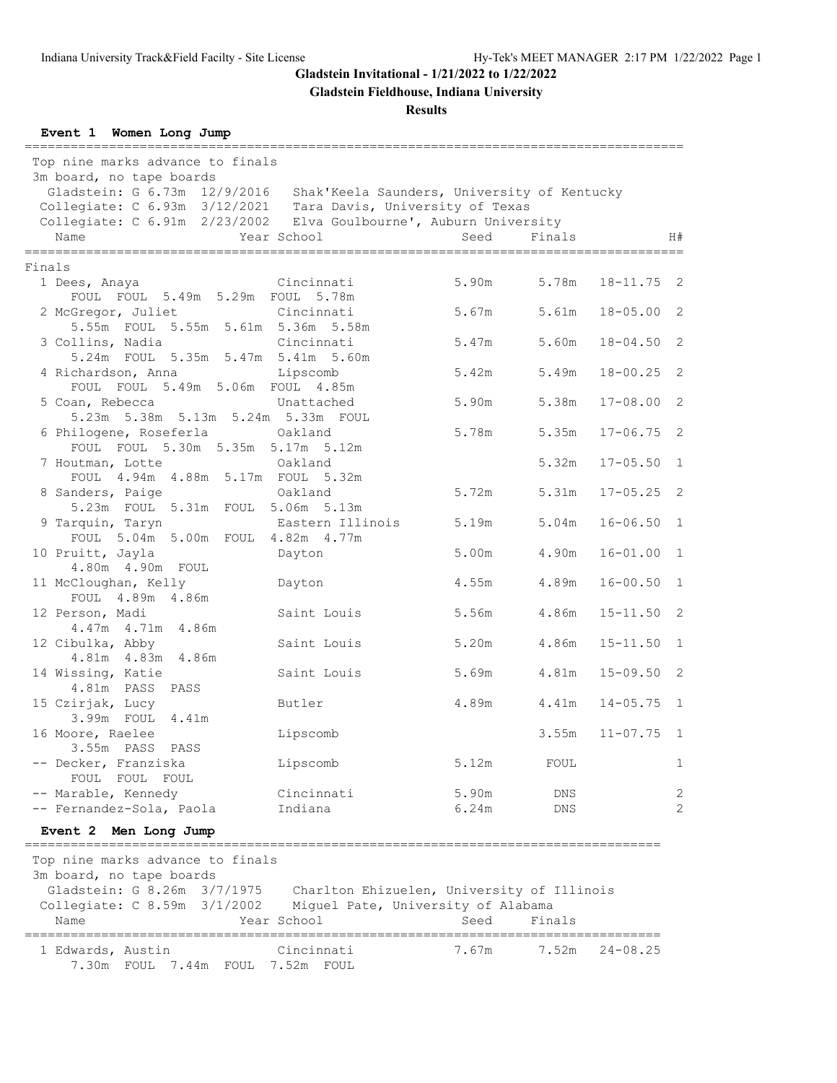**Gladstein Fieldhouse, Indiana University**

#### **Results**

**Event 1 Women Long Jump** ====================================================================================== Top nine marks advance to finals 3m board, no tape boards Gladstein: G 6.73m 12/9/2016 Shak'Keela Saunders, University of Kentucky Collegiate: C 6.93m 3/12/2021 Tara Davis, University of Texas Collegiate: C 6.91m 2/23/2002 Elva Goulbourne', Auburn University Name Year School Seed Finals H# ====================================================================================== Finals 1 Dees, Anaya Cincinnati 5.90m 5.78m 18-11.75 2 FOUL FOUL 5.49m 5.29m FOUL 5.78m 2 McGregor, Juliet Cincinnati 5.67m 5.61m 18-05.00 2 5.55m FOUL 5.55m 5.61m 5.36m 5.58m 3 Collins, Nadia Cincinnati 5.47m 5.60m 18-04.50 2 5.24m FOUL 5.35m 5.47m 5.41m 5.60m 4 Richardson, Anna Lipscomb 5.42m 5.49m 18-00.25 2 FOUL FOUL 5.49m 5.06m FOUL 4.85m 5 Coan, Rebecca Unattached 5.90m 5.38m 17-08.00 2 5.23m 5.38m 5.13m 5.24m 5.33m FOUL 6 Philogene, Roseferla Oakland 5.78m 5.35m 17-06.75 2 FOUL FOUL 5.30m 5.35m 5.17m 5.12m<br>outman, Lotte 0akland 1 Houtman, Lotte 0akland 5.32m 17-05.50 1<br>
FOUL 4.94m 4.88m 5.17m FOUL 5.32m<br>
8 Sanders, Paige 0akland 5.12m 5.72m 5.31m 17-05.25 2 FOUL 4.94m 4.88m 5.17m FOUL 5.32m 8 Sanders, Paige Oakland 5.72m 5.31m 17-05.25 2 5.23m FOUL 5.31m FOUL 5.06m 5.13m 9 Tarquin, Taryn **Eastern Illinois** 5.19m 5.04m 16-06.50 1 FOUL 5.04m 5.00m FOUL 4.82m 4.77m 10 Pruitt, Jayla Dayton 5.00m 4.90m 16-01.00 1 4.80m 4.90m FOUL 11 McCloughan, Kelly Dayton 4.55m 4.89m 16-00.50 1 FOUL 4.89m 4.86m<br>12 Person, Madi Saint Louis 5.56m 4.86m 15-11.50 2 4.47m 4.71m 4.86m Saint Louis 5.20m 4.86m 15-11.50 1 12 Cibulka, Abby<br>4.81m 4.83m 4.86m 14 Wissing, Katie Saint Louis 5.69m 4.81m 15-09.50 2 4.81m PASS PASS 15 Czirjak, Lucy Butler 4.89m 4.41m 14-05.75 1 3.99m FOUL 4.41m 16 Moore, Raelee Lipscomb 3.55m 11-07.75 1 3.55m PASS PASS -- Decker, Franziska  $Lipscomb$  5.12m FOUL 1 FOUL FOUL FOUL -- Marable, Kennedy Cincinnati 5.90m DNS 2 -- Fernandez-Sola, Paola 1ndiana 1992 - 6.24m DNS 2 **Event 2 Men Long Jump** =================================================================================== Top nine marks advance to finals 3m board, no tape boards Gladstein: G 8.26m 3/7/1975 Charlton Ehizuelen, University of Illinois Collegiate: C 8.59m 3/1/2002 Miguel Pate, University of Alabama Name **Year School** Seed Finals =================================================================================== 1 Edwards, Austin Cincinnati 7.67m 7.52m 24-08.25 7.30m FOUL 7.44m FOUL 7.52m FOUL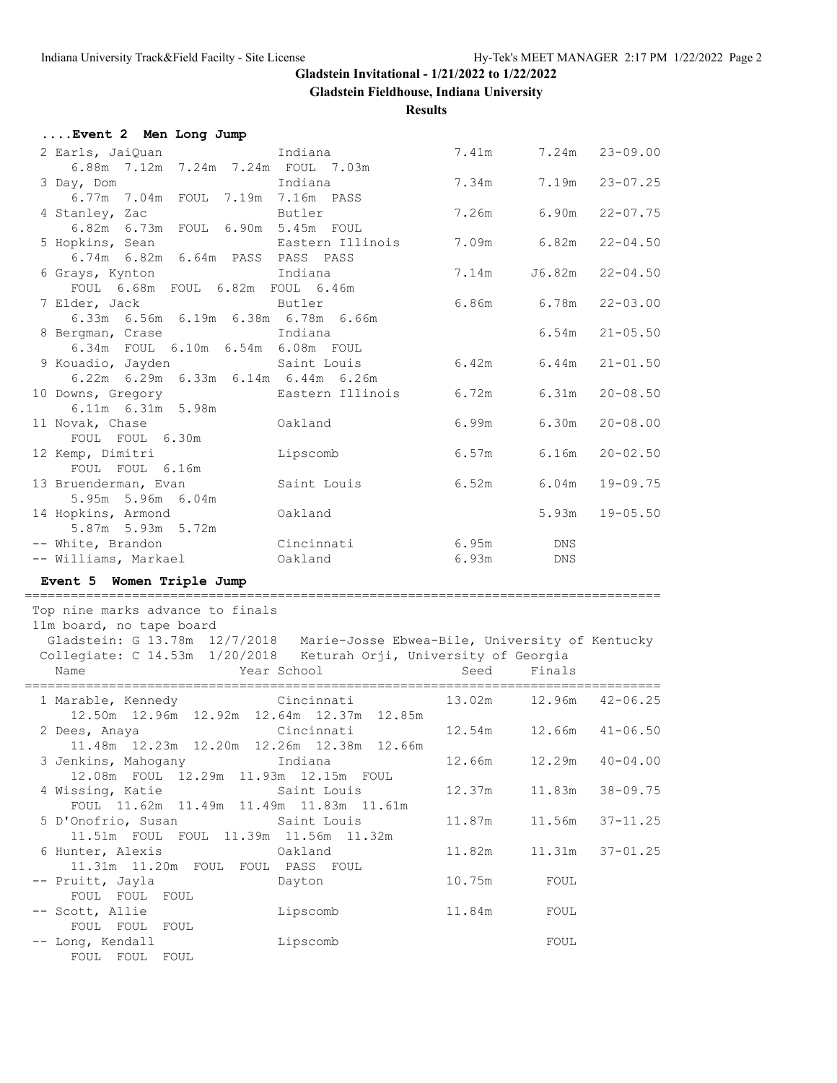**Gladstein Fieldhouse, Indiana University**

| Event 2 Men Long Jump                                                                                                                              |                        |        |                                      |              |
|----------------------------------------------------------------------------------------------------------------------------------------------------|------------------------|--------|--------------------------------------|--------------|
| 2 Earls, JaiQuan                                                                                                                                   | Indiana                | 7.41m  | 7.24m                                | $23 - 09.00$ |
| 6.88m 7.12m 7.24m 7.24m FOUL 7.03m                                                                                                                 |                        |        |                                      |              |
| 3 Day, Dom                                                                                                                                         | Indiana                | 7.34m  | 7.19m                                | $23 - 07.25$ |
| 6.77m 7.04m FOUL 7.19m 7.16m PASS                                                                                                                  |                        |        |                                      |              |
| 4 Stanley, Zac                                                                                                                                     | Butler                 | 7.26m  | 6.90m                                | $22 - 07.75$ |
| 6.82m 6.73m FOUL 6.90m 5.45m FOUL                                                                                                                  |                        |        |                                      |              |
| 5 Hopkins, Sean<br>6.74m 6.82m 6.64m PASS PASS PASS                                                                                                | Eastern Illinois       | 7.09m  | 6.82m                                | $22 - 04.50$ |
| 6 Grays, Kynton                                                                                                                                    | Indiana                | 7.14m  | J6.82m                               | $22 - 04.50$ |
| FOUL 6.68m FOUL 6.82m FOUL 6.46m                                                                                                                   |                        |        |                                      |              |
| 7 Elder, Jack                                                                                                                                      | Butler                 | 6.86m  | 6.78m                                | $22 - 03.00$ |
| 6.33m 6.56m 6.19m 6.38m 6.78m 6.66m                                                                                                                |                        |        |                                      |              |
| 8 Bergman, Crase                                                                                                                                   | Indiana                |        | 6.54m                                | $21 - 05.50$ |
| 6.34m FOUL 6.10m 6.54m 6.08m FOUL                                                                                                                  |                        |        |                                      |              |
| 9 Kouadio, Jayden                                                                                                                                  | Saint Louis            | 6.42m  | 6.44m                                | $21 - 01.50$ |
| 6.22m 6.29m 6.33m 6.14m 6.44m 6.26m<br>10 Downs, Gregory                                                                                           | Eastern Illinois       | 6.72m  | 6.31m                                | $20 - 08.50$ |
| 6.11m 6.31m 5.98m                                                                                                                                  |                        |        |                                      |              |
| 11 Novak, Chase                                                                                                                                    | Oakland                | 6.99m  | 6.30m                                | $20 - 08.00$ |
| FOUL FOUL 6.30m                                                                                                                                    |                        |        |                                      |              |
| 12 Kemp, Dimitri                                                                                                                                   | Lipscomb               | 6.57m  | 6.16m                                | $20 - 02.50$ |
| FOUL FOUL 6.16m                                                                                                                                    |                        |        |                                      |              |
| 13 Bruenderman, Evan                                                                                                                               | Saint Louis            | 6.52m  | 6.04m                                | $19 - 09.75$ |
| 5.95m 5.96m 6.04m<br>14 Hopkins, Armond                                                                                                            | Oakland                |        | 5.93m                                | $19 - 05.50$ |
| 5.87m 5.93m 5.72m                                                                                                                                  |                        |        |                                      |              |
| -- White, Brandon                                                                                                                                  | Cincinnati             | 6.95m  | DNS                                  |              |
| -- Williams, Markael                                                                                                                               | Oakland                | 6.93m  | DNS                                  |              |
| Event 5 Women Triple Jump                                                                                                                          |                        |        |                                      |              |
|                                                                                                                                                    |                        |        |                                      |              |
| Top nine marks advance to finals                                                                                                                   |                        |        |                                      |              |
| 11m board, no tape board                                                                                                                           |                        |        |                                      |              |
| Gladstein: G 13.78m 12/7/2018 Marie-Josse Ebwea-Bile, University of Kentucky<br>Collegiate: C 14.53m 1/20/2018 Keturah Orji, University of Georgia |                        |        |                                      |              |
| Name                                                                                                                                               | Year School            | Seed   | Finals                               |              |
|                                                                                                                                                    |                        |        | ____________________________________ |              |
| 1 Marable, Kennedy                                                                                                                                 | Cincinnati             | 13.02m | 12.96m                               | $42 - 06.25$ |
| 12.50m  12.96m  12.92m  12.64m  12.37m  12.85m                                                                                                     |                        |        |                                      |              |
| 2 Dees, Anaya                                                                                                                                      | Cincinnati             | 12.54m | 12.66m                               | $41 - 06.50$ |
| 11.48m  12.23m  12.20m  12.26m  12.38m  12.66m                                                                                                     | Indiana                | 12.66m | 12.29m                               | $40 - 04.00$ |
| 3 Jenkins, Mahogany<br>12.08m  FOUL  12.29m                                                                                                        | 11.93m  12.15m  FOUL   |        |                                      |              |
| 4 Wissing, Katie                                                                                                                                   | Saint Louis            | 12.37m | 11.83m                               | $38 - 09.75$ |
| FOUL 11.62m 11.49m                                                                                                                                 | 11.49m  11.83m  11.61m |        |                                      |              |
| 5 D'Onofrio, Susan                                                                                                                                 | Saint Louis            | 11.87m | 11.56m                               | $37 - 11.25$ |
| 11.51m FOUL FOUL                                                                                                                                   | 11.39m 11.56m 11.32m   |        |                                      |              |
| 6 Hunter, Alexis                                                                                                                                   | Oakland                | 11.82m | 11.31m                               | $37 - 01.25$ |
| 11.31m  11.20m  FOUL                                                                                                                               | FOUL PASS FOUL         |        |                                      |              |
| -- Pruitt, Jayla<br>FOUL FOUL<br>FOUL                                                                                                              | Dayton                 | 10.75m | FOUL                                 |              |
| -- Scott, Allie                                                                                                                                    | Lipscomb               | 11.84m | FOUL                                 |              |
| FOUL FOUL<br>FOUL                                                                                                                                  |                        |        |                                      |              |
| -- Long, Kendall                                                                                                                                   | Lipscomb               |        | FOUL                                 |              |
| FOUL FOUL FOUL                                                                                                                                     |                        |        |                                      |              |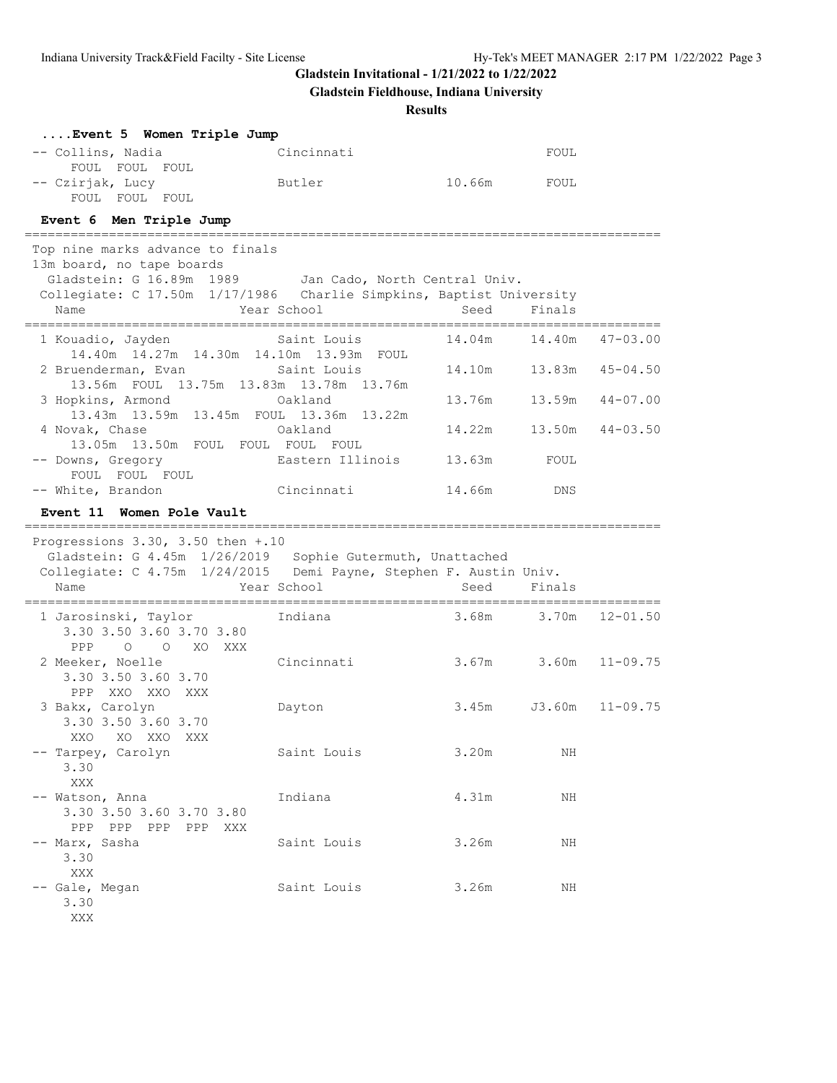**Gladstein Fieldhouse, Indiana University**

| Event 5 Women Triple Jump                                                                                                                                                                              |                  |                                     |                 |              |
|--------------------------------------------------------------------------------------------------------------------------------------------------------------------------------------------------------|------------------|-------------------------------------|-----------------|--------------|
| -- Collins, Nadia<br>FOUL FOUL FOUL                                                                                                                                                                    | Cincinnati       |                                     | FOUL            |              |
| -- Czirjak, Lucy<br>FOUL FOUL FOUL                                                                                                                                                                     | Butler           | 10.66m FOUL                         |                 |              |
| Event 6 Men Triple Jump                                                                                                                                                                                |                  |                                     |                 |              |
| Top nine marks advance to finals<br>13m board, no tape boards<br>Gladstein: G 16.89m 1989 Jan Cado, North Central Univ.<br>Collegiate: C 17.50m 1/17/1986 Charlie Simpkins, Baptist University<br>Name | Year School      | Seed<br>=========================== | Finals          |              |
| 1 Kouadio, Jayden                                                                                                                                                                                      | Saint Louis      | 14.04m                              | 14.40m          | $47 - 03.00$ |
| 14.40m  14.27m  14.30m  14.10m  13.93m  FOUL<br>2 Bruenderman, Evan Saint Louis<br>13.56m FOUL 13.75m 13.83m 13.78m 13.76m                                                                             |                  | 14.10m                              | 13.83m          | $45 - 04.50$ |
| 3 Hopkins, Armond<br>13.43m 13.59m 13.45m FOUL 13.36m 13.22m                                                                                                                                           | Oakland          | 13.76m                              | 13.59m          | $44 - 07.00$ |
| 4 Novak, Chase<br>13.05m 13.50m FOUL FOUL FOUL FOUL                                                                                                                                                    | Oakland          | 14.22m                              | 13.50m          | $44 - 03.50$ |
| -- Downs, Gregory<br>FOUL FOUL FOUL                                                                                                                                                                    | Eastern Illinois | 13.63m                              | FOUL            |              |
| -- White, Brandon                                                                                                                                                                                      | Cincinnati       | 14.66m                              | DNS             |              |
| Event 11 Women Pole Vault                                                                                                                                                                              |                  |                                     |                 |              |
| Progressions 3.30, 3.50 then +.10<br>Gladstein: G 4.45m 1/26/2019 Sophie Gutermuth, Unattached<br>Collegiate: C 4.75m 1/24/2015 Demi Payne, Stephen F. Austin Univ.<br>Name                            | Year School      | Seed                                | Finals          |              |
| 1 Jarosinski, Taylor<br>3.30 3.50 3.60 3.70 3.80                                                                                                                                                       | Indiana          | .____________________________       | 3.68m 3.70m     | $12 - 01.50$ |
| PPP 0 0 XO XXX<br>2 Meeker, Noelle<br>3.30 3.50 3.60 3.70<br>PPP XXO XXO XXX                                                                                                                           | Cincinnati       |                                     | $3.67m$ $3.60m$ | $11 - 09.75$ |
| 3 Bakx, Carolyn<br>3.30 3.50 3.60 3.70<br>XXO XO XXO XXX                                                                                                                                               | Dayton           | 3.45m                               | J3.60m          | $11 - 09.75$ |
| -- Tarpey, Carolyn<br>3.30<br>XXX                                                                                                                                                                      | Saint Louis      | 3.20m                               | ΝH              |              |
| -- Watson, Anna<br>3.30 3.50 3.60 3.70 3.80<br>PPP PPP PPP PPP XXX                                                                                                                                     | Indiana          | 4.31m                               | ΝH              |              |
| -- Marx, Sasha<br>3.30                                                                                                                                                                                 | Saint Louis      | 3.26m                               | ΝH              |              |
| XXX                                                                                                                                                                                                    |                  |                                     |                 |              |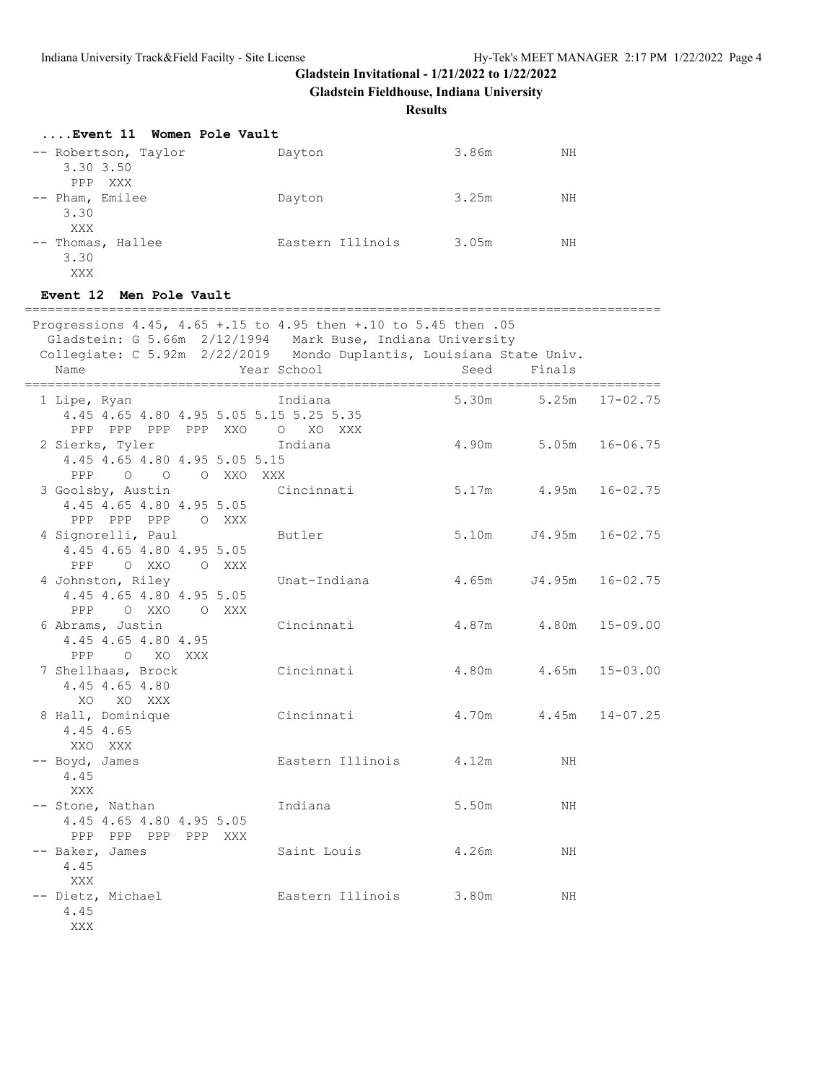**Gladstein Fieldhouse, Indiana University**

**Results**

| Event 11 Women Pole Vault         |                  |       |    |
|-----------------------------------|------------------|-------|----|
| -- Robertson, Taylor<br>3.30 3.50 | Dayton           | 3.86m | NΗ |
| PPP XXX<br>-- Pham, Emilee        | Dayton           | 3.25m | NΗ |
| 3.30<br>XXX                       |                  |       |    |
| -- Thomas, Hallee<br>3.30         | Eastern Illinois | 3.05m | NΗ |
| XXX                               |                  |       |    |

#### **Event 12 Men Pole Vault**

=================================================================================== Progressions 4.45, 4.65 +.15 to 4.95 then +.10 to 5.45 then .05 Gladstein: G 5.66m 2/12/1994 Mark Buse, Indiana University Collegiate: C 5.92m 2/22/2019 Mondo Duplantis, Louisiana State Univ. Name The Year School Seed Finals =================================================================================== 1 Lipe, Ryan Indiana 5.30m 5.25m 17-02.75 4.45 4.65 4.80 4.95 5.05 5.15 5.25 5.35 PPP PPP PPP PPP XXO O XO XXX 2 Sierks, Tyler Indiana 4.90m 5.05m 16-06.75 4.45 4.65 4.80 4.95 5.05 5.15 PPP O O O XXO XXX<br>3 Goolsby, Austin C: Cincinnati 5.17m 4.95m 16-02.75 4.45 4.65 4.80 4.95 5.05 PPP PPP PPP O XXX 4 Signorelli, Paul Butler 5.10m J4.95m 16-02.75 4.45 4.65 4.80 4.95 5.05 PPP O XXO O XXX 4 Johnston, Riley Unat-Indiana 4.65m J4.95m 16-02.75 4.45 4.65 4.80 4.95 5.05 PPP O XXO O XXX<br>6 Abrams, Justin Cincinnati 4.87m 4.80m 15-09.00 4.45 4.65 4.80 4.95 PPP O XO XXX 7 Shellhaas, Brock Cincinnati 4.80m 4.65m 15-03.00 4.45 4.65 4.80 XO XO XXX 8 Hall, Dominique Cincinnati 4.70m 4.45m 14-07.25 4.45 4.65 XXO XXX -- Boyd, James Castern Illinois 4.12m 4.45 XXX -- Stone, Nathan 10 Indiana 10 10 5.50m NH 4.45 4.65 4.80 4.95 5.05 PPP PPP PPP PPP XXX<br>-- Baker, James Saint Louis  $4.26m$  NH 4.45 XXX -- Dietz, Michael  $\qquad \qquad$  Eastern Illinois 3.80m NH 4.45 XXX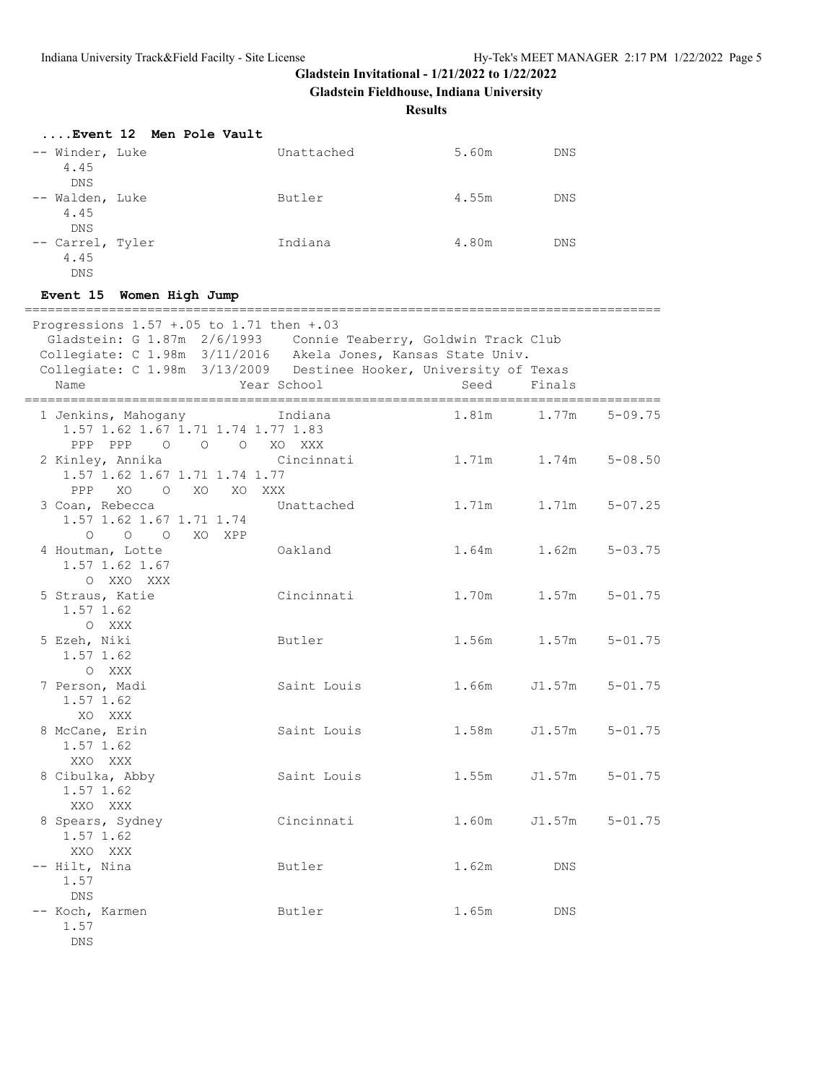**Gladstein Fieldhouse, Indiana University**

**Results**

| Event 12 Men Pole Vault                |            |       |            |
|----------------------------------------|------------|-------|------------|
| -- Winder, Luke<br>4.45<br>DNS         | Unattached | 5.60m | <b>DNS</b> |
| -- Walden, Luke<br>4.45<br>DNS         | Butler     | 4.55m | <b>DNS</b> |
| -- Carrel, Tyler<br>4.45<br><b>DNS</b> | Indiana    | 4.80m | <b>DNS</b> |

#### **Event 15 Women High Jump**

| Progressions $1.57 + .05$ to $1.71$ then $+.03$<br>Gladstein: G 1.87m 2/6/1993 Connie Teaberry, Goldwin Track Club Collegiate: C 1.98m 3/11/2016 Akela Jones, Kansas State Univ.<br>Collegiate: C 1.98m 3/13/2009 Destinee Hooker, University of Texas<br>Name | Year School | Seed  | Finals      |             |
|----------------------------------------------------------------------------------------------------------------------------------------------------------------------------------------------------------------------------------------------------------------|-------------|-------|-------------|-------------|
|                                                                                                                                                                                                                                                                |             |       |             |             |
| 1 Jenkins, Mahogany Mandiana<br>1.57 1.62 1.67 1.71 1.74 1.77 1.83<br>PPP PPP<br>O O O XO XXX                                                                                                                                                                  |             |       | 1.81m 1.77m | $5 - 09.75$ |
| 2 Kinley, Annika<br>1.57 1.62 1.67 1.71 1.74 1.77<br>PPP XO O XO XO XXX                                                                                                                                                                                        | Cincinnati  | 1.71m | 1.74m       | $5 - 08.50$ |
| 3 Coan, Rebecca<br>1.57 1.62 1.67 1.71 1.74<br>0 0 0 XO XPP                                                                                                                                                                                                    | Unattached  | 1.71m | 1.71m       | $5 - 07.25$ |
| 4 Houtman, Lotte<br>1.57 1.62 1.67<br>O XXO XXX                                                                                                                                                                                                                | Oakland     | 1.64m | 1.62m       | $5 - 03.75$ |
| 5 Straus, Katie<br>$1.57$ 1.62<br>O XXX                                                                                                                                                                                                                        | Cincinnati  | 1.70m | 1.57m       | $5 - 01.75$ |
| 5 Ezeh, Niki<br>1.57 1.62<br>O XXX                                                                                                                                                                                                                             | Butler      |       | 1.56m 1.57m | $5 - 01.75$ |
| 7 Person, Madi<br>1.57 1.62<br>XO XXX                                                                                                                                                                                                                          | Saint Louis | 1.66m | J1.57m      | $5 - 01.75$ |
| 8 McCane, Erin<br>1.57 1.62<br>XXO XXX                                                                                                                                                                                                                         | Saint Louis | 1.58m | J1.57m      | $5 - 01.75$ |
| 8 Cibulka, Abby<br>1.57 1.62<br>XXO XXX                                                                                                                                                                                                                        | Saint Louis | 1.55m | J1.57m      | $5 - 01.75$ |
| 8 Spears, Sydney<br>1.57 1.62<br>XXO XXX                                                                                                                                                                                                                       | Cincinnati  | 1.60m | J1.57m      | $5 - 01.75$ |
| -- Hilt, Nina<br>1.57<br><b>DNS</b>                                                                                                                                                                                                                            | Butler      | 1.62m | DNS         |             |
| -- Koch, Karmen<br>1.57<br><b>DNS</b>                                                                                                                                                                                                                          | Butler      | 1.65m | <b>DNS</b>  |             |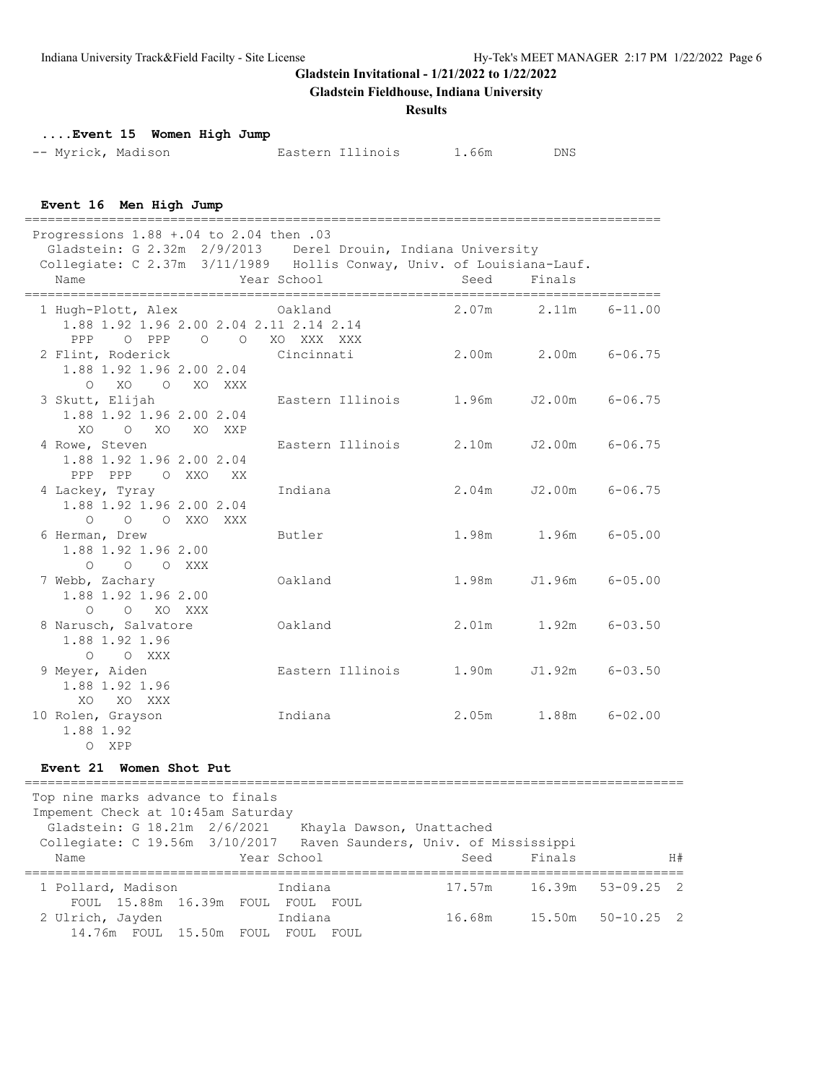**Gladstein Fieldhouse, Indiana University**

#### **Results**

**....Event 15 Women High Jump**

| -- Myrick, Madison |  | Eastern Illinois | 1.66m | DNS |
|--------------------|--|------------------|-------|-----|
|                    |  |                  |       |     |

**Event 16 Men High Jump**

=================================================================================== Progressions 1.88 +.04 to 2.04 then .03 Gladstein: G 2.32m 2/9/2013 Derel Drouin, Indiana University Collegiate: C 2.37m 3/11/1989 Hollis Conway, Univ. of Louisiana-Lauf. Name Year School Seed Finals =================================================================================== 1 Hugh-Plott, Alex 0akland 1.88 1.92 1.96 2.00 2.04 2.11 2.14 2.14 PPP O PPP O O XO XXX XXX 2 Flint, Roderick Cincinnati 2.00m 2.00m 6-06.75 1.88 1.92 1.96 2.00 2.04 O XO O XO XXX 3 Skutt, Elijah Eastern Illinois 1.96m J2.00m 6-06.75 1.88 1.92 1.96 2.00 2.04 XO O XO XO XXP 4 Rowe, Steven Eastern Illinois 2.10m J2.00m 6-06.75 1.88 1.92 1.96 2.00 2.04 PPP PPP O XXO XX 4 Lackey, Tyray Indiana 2.04m J2.00m 6-06.75 1.88 1.92 1.96 2.00 2.04 O O O XXO XXX 6 Herman, Drew Butler 1.98m 1.96m 6-05.00 1.88 1.92 1.96 2.00 O O O XXX<br>7 Webb, Zachary 0akland 1.98m J1.96m 6-05.00 1.88 1.92 1.96 2.00 O O XO XXX 8 Narusch, Salvatore 0akland 2.01m 1.92m 6-03.50 1.88 1.92 1.96 O O XXX<br>9 Meyer, Aiden Eastern Illinois 1.90m J1.92m 6-03.50 1.88 1.92 1.96 XO XO XXX 10 Rolen, Grayson Indiana 2.05m 1.88m 6-02.00 1.88 1.92 O XPP **Event 21 Women Shot Put** ====================================================================================== Top nine marks advance to finals Impement Check at 10:45am Saturday Gladstein: G 18.21m 2/6/2021 Khayla Dawson, Unattached Collegiate: C 19.56m 3/10/2017 Raven Saunders, Univ. of Mississippi Name Year School Seed Finals H# ====================================================================================== 1 Pollard, Madison Indiana 17.57m 16.39m 53-09.25 2 FOUL 15.88m 16.39m FOUL FOUL FOUL

2 Ulrich, Jayden Indiana 16.68m 15.50m 50-10.25 2

14.76m FOUL 15.50m FOUL FOUL FOUL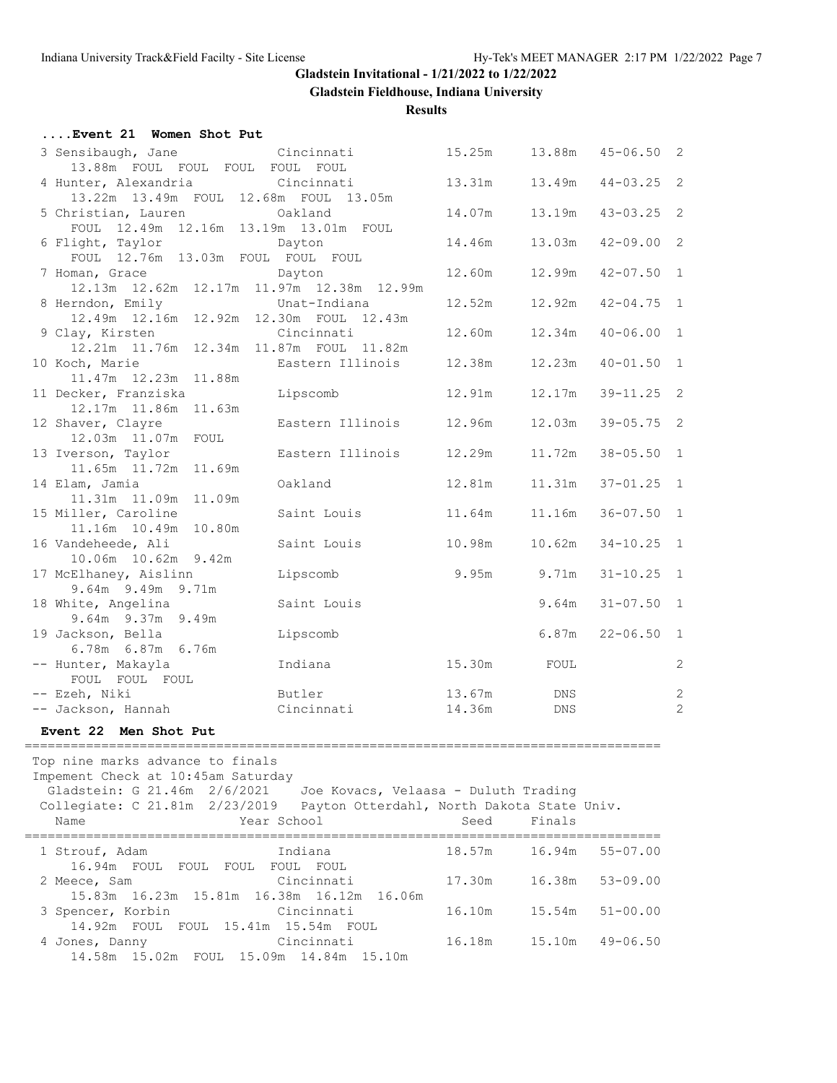**Gladstein Fieldhouse, Indiana University**

| Event 21 Women Shot Put                                                                                                                             |                                                                                                   |                  |                 |                     |                                  |
|-----------------------------------------------------------------------------------------------------------------------------------------------------|---------------------------------------------------------------------------------------------------|------------------|-----------------|---------------------|----------------------------------|
| 3 Sensibaugh, Jane                                                                                                                                  | Cincinnati                                                                                        | 15.25m           |                 | 13.88m  45-06.50  2 |                                  |
| 13.88m FOUL FOUL FOUL FOUL FOUL<br>4 Hunter, Alexandria                                                                                             | Cincinnati                                                                                        | 13.31m           | 13.49m          | $44 - 03.25$ 2      |                                  |
| 13.22m 13.49m FOUL 12.68m FOUL 13.05m<br>5 Christian, Lauren                                                                                        | Oakland                                                                                           | 14.07m           | 13.19m          | $43 - 03.25$ 2      |                                  |
| FOUL 12.49m 12.16m 13.19m 13.01m FOUL<br>6 Flight, Taylor                                                                                           | Dayton                                                                                            | 14.46m           | 13.03m          | $42 - 09.00$ 2      |                                  |
| FOUL 12.76m 13.03m FOUL FOUL FOUL<br>7 Homan, Grace                                                                                                 | Dayton                                                                                            | 12.60m           | 12.99m          | $42 - 07.50$ 1      |                                  |
| 12.13m  12.62m  12.17m  11.97m  12.38m  12.99m<br>8 Herndon, Emily Unat-Indiana<br>12.49m 12.16m 12.92m 12.30m FOUL 12.43m                          |                                                                                                   | 12.52m           | 12.92m          | $42 - 04.75$ 1      |                                  |
| 9 Clay, Kirsten<br>12.21m  11.76m  12.34m  11.87m  FOUL  11.82m                                                                                     | Cincinnati                                                                                        | 12.60m           | 12.34m          | $40 - 06.00$ 1      |                                  |
| 10 Koch, Marie<br>11.47m  12.23m  11.88m                                                                                                            | Eastern Illinois                                                                                  | 12.38m           | 12.23m          | $40 - 01.50$ 1      |                                  |
| 11 Decker, Franziska<br>12.17m  11.86m  11.63m                                                                                                      | Lipscomb                                                                                          | 12.91m           | 12.17m          | $39 - 11.25$ 2      |                                  |
| 12 Shaver, Clayre<br>12.03m  11.07m  FOUL                                                                                                           | Eastern Illinois                                                                                  | 12.96m           | 12.03m          | $39 - 05.75$ 2      |                                  |
| 13 Iverson, Taylor<br>11.65m  11.72m  11.69m                                                                                                        | Eastern Illinois                                                                                  | 12.29m           | 11.72m          | $38 - 05.50$ 1      |                                  |
| 14 Elam, Jamia<br>11.31m  11.09m  11.09m                                                                                                            | Oakland                                                                                           | 12.81m           | 11 <b>.</b> 31m | $37 - 01.25$ 1      |                                  |
| 15 Miller, Caroline<br>11.16m  10.49m  10.80m                                                                                                       | Saint Louis                                                                                       | 11.64m           | 11.16m          | $36 - 07.50$ 1      |                                  |
| 16 Vandeheede, Ali<br>10.06m  10.62m  9.42m                                                                                                         | Saint Louis                                                                                       | 10.98m           | 10.62m          | $34 - 10.25$ 1      |                                  |
| 17 McElhaney, Aislinn<br>9.64m 9.49m 9.71m                                                                                                          | Lipscomb                                                                                          | 9.95m            | 9.71m           | $31 - 10.25$ 1      |                                  |
| 18 White, Angelina<br>9.64m 9.37m 9.49m                                                                                                             | Saint Louis                                                                                       |                  | 9.64m           | $31 - 07.50$ 1      |                                  |
| 19 Jackson, Bella<br>6.78m 6.87m 6.76m                                                                                                              | Lipscomb                                                                                          |                  | 6.87m           | $22 - 06.50$ 1      |                                  |
| -- Hunter, Makayla<br>FOUL FOUL FOUL                                                                                                                | Indiana                                                                                           | 15.30m FOUL      |                 |                     | $\mathbf{2}$                     |
| -- Ezeh, Niki<br>-- Jackson, Hannah                                                                                                                 | Butler<br>Cincinnati                                                                              | 13.67m<br>14.36m | DNS<br>DNS      |                     | $\overline{c}$<br>$\overline{c}$ |
| Event 22 Men Shot Put                                                                                                                               |                                                                                                   |                  |                 |                     |                                  |
| Top nine marks advance to finals<br>Impement Check at 10:45am Saturday<br>Gladstein: G 21.46m<br>2/6/2021<br>Collegiate: C 21.81m 2/23/2019<br>Name | Joe Kovacs, Velaasa - Duluth Trading<br>Payton Otterdahl, North Dakota State Univ.<br>Year School | Seed             | Finals          |                     |                                  |
|                                                                                                                                                     |                                                                                                   |                  |                 |                     |                                  |

| 1 Strouf, Adam                  | Indiana                                   | 18.57m        | 16.94m        | $55 - 07.00$ |
|---------------------------------|-------------------------------------------|---------------|---------------|--------------|
| 16.94m FOUL FOUL FOUL FOUL FOUL |                                           |               |               |              |
| 2 Meece, Sam                    | Cincinnati                                | 17.30m 16.38m |               | $53 - 09.00$ |
|                                 | 15.83m 16.23m 15.81m 16.38m 16.12m 16.06m |               |               |              |
| 3 Spencer, Korbin Cincinnati    |                                           | 16.10m        | 15.54m        | $51 - 00.00$ |
|                                 | 14.92m FOUL FOUL 15.41m 15.54m FOUL       |               |               |              |
| 4 Jones, Danny                  | <b>Cincinnati</b>                         |               | 16.18m 15.10m | $49 - 06.50$ |
|                                 | 14.58m 15.02m FOUL 15.09m 14.84m 15.10m   |               |               |              |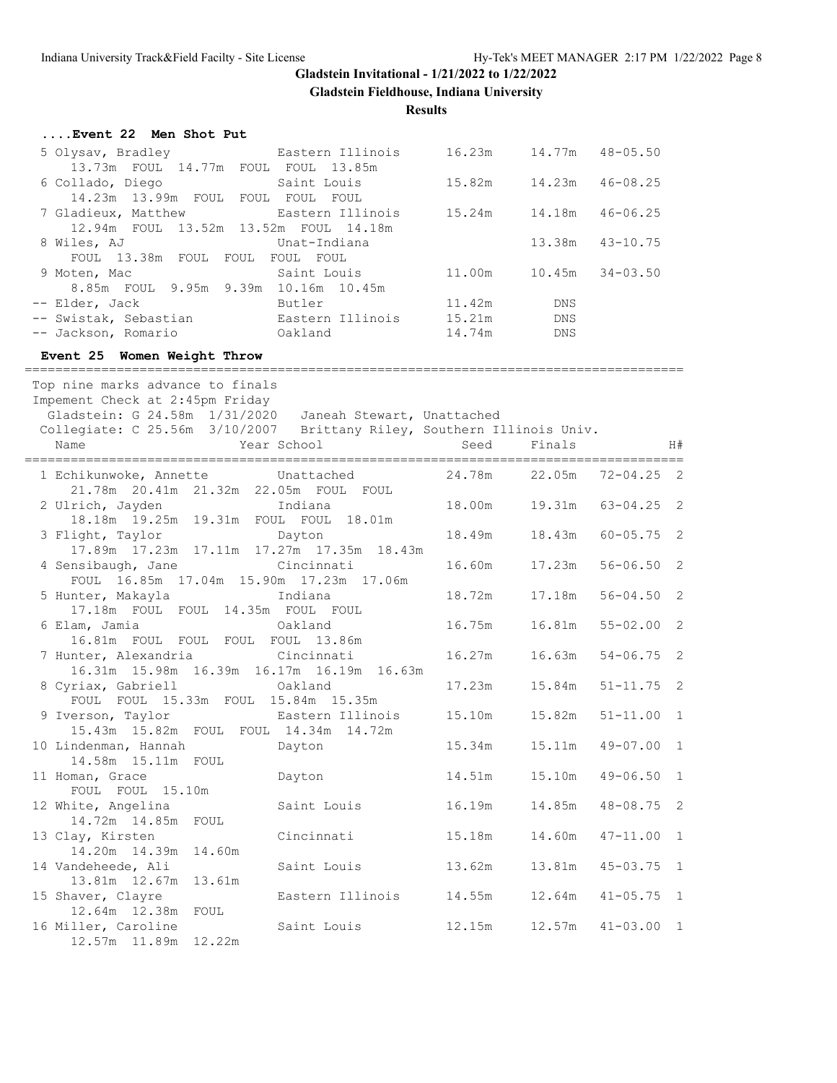**Gladstein Fieldhouse, Indiana University**

| Event 22 Men Shot Put                                                                                  |                  |                             |             |                   |                            |
|--------------------------------------------------------------------------------------------------------|------------------|-----------------------------|-------------|-------------------|----------------------------|
| 5 Olysav, Bradley<br>13.73m FOUL 14.77m FOUL FOUL 13.85m                                               | Eastern Illinois | 16.23m  14.77m  48-05.50    |             |                   |                            |
| 6 Collado, Diego<br>14.23m 13.99m FOUL FOUL FOUL FOUL                                                  | Saint Louis      | 15.82m                      | 14.23m      | $46 - 08.25$      |                            |
| 7 Gladieux, Matthew Eastern Illinois 15.24m<br>12.94m FOUL 13.52m 13.52m FOUL 14.18m                   |                  |                             | 14.18m      | $46 - 06.25$      |                            |
| 8 Wiles, AJ<br>FOUL 13.38m FOUL FOUL FOUL FOUL                                                         | Unat-Indiana     |                             | 13.38m      | $43 - 10.75$      |                            |
| 9 Moten, Mac                                                                                           |                  | 11.00m 10.45m               |             | $34 - 03.50$      |                            |
| -- Elder, Jack                                                                                         | Butler           | 11.42m                      | DNS         |                   |                            |
|                                                                                                        |                  |                             |             |                   |                            |
| -- Jackson, Romario<br>Oakland                                                                         | 14.74m DNS       |                             |             |                   |                            |
| Event 25 Women Weight Throw                                                                            |                  |                             |             |                   |                            |
| Top nine marks advance to finals<br>Impement Check at 2:45pm Friday                                    |                  |                             |             |                   |                            |
| Gladstein: G 24.58m 1/31/2020 Janeah Stewart, Unattached                                               |                  |                             |             |                   |                            |
| Collegiate: C 25.56m 3/10/2007 Brittany Riley, Southern Illinois Univ.                                 |                  |                             |             |                   |                            |
| Year School<br>Name                                                                                    |                  |                             | Seed Finals |                   | H#                         |
| 1 Echikunwoke, Annette Unattached 24.78m 22.05m 72-04.25 2                                             |                  |                             |             |                   |                            |
| 21.78m  20.41m  21.32m  22.05m  FOUL  FOUL                                                             |                  |                             |             |                   |                            |
| 2 Ulrich, Jayden and Indiana<br>18.18m  19.25m  19.31m  FOUL  FOUL  18.01m                             |                  | 18.00m  19.31m  63-04.25  2 |             |                   |                            |
| 3 Flight, Taylor<br>17.89m  17.23m  17.11m  17.27m  17.35m  18.43m                                     | Dayton           | 18.49m                      |             | 18.43m 60-05.75 2 |                            |
| 4 Sensibaugh, Jane Cincinnati<br>FOUL 16.85m 17.04m 15.90m 17.23m 17.06m                               |                  | 16.60m                      | 17.23m      | $56 - 06.50$ 2    |                            |
| 5 Hunter, Makayla<br>17.18m FOUL FOUL 14.35m FOUL FOUL                                                 | Indiana          | 18.72m                      | 17.18m      | $56 - 04.50$ 2    |                            |
| 6 Elam, Jamia<br>16.81m FOUL FOUL FOUL FOUL 13.86m                                                     | Oakland          | 16.75m                      | 16.81m      | $55 - 02.00$ 2    |                            |
| 7 Hunter, Alexandria<br>16.31m 15.98m 16.39m 16.17m 16.19m 16.63m                                      | Cincinnati       | 16.27m                      | 16.63m      | $54 - 06.75$ 2    |                            |
| 8 Cyriax, Gabriell<br><b>Cakland</b><br>FOUL FOUL 15.33m FOUL 15.84m 15.35m                            |                  | 17.23m                      | 15.84m      | $51 - 11.75$ 2    |                            |
| 9 Iverson, Taylor 6 Eastern Illinois 15.10m 15.82m 51-11.00 1<br>15.43m 15.82m FOUL FOUL 14.34m 14.72m |                  |                             |             |                   |                            |
| 10 Lindenman, Hannah<br>14.58m 15.11m FOUL                                                             | Dayton           | 15.34m                      | 15.11m      | $49 - 07.00$      | $\mathbf{1}$               |
| 11 Homan, Grace<br>FOUL FOUL<br>15.10m                                                                 | Dayton           | 14.51m                      | 15.10m      | $49 - 06.50$      | 1                          |
| 12 White, Angelina<br>14.72m  14.85m<br>FOUL                                                           | Saint Louis      | 16.19m                      | 14.85m      | $48 - 08.75$      | $\overline{\phantom{0}}^2$ |
| 13 Clay, Kirsten<br>14.20m  14.39m<br>14.60m                                                           | Cincinnati       | 15.18m                      | 14.60m      | $47 - 11.00$      | 1                          |
| 14 Vandeheede, Ali<br>13.81m 12.67m<br>13.61m                                                          | Saint Louis      | 13.62m                      | 13.81m      | $45 - 03.75$ 1    |                            |
| 15 Shaver, Clayre<br>12.64m 12.38m<br>FOUL                                                             | Eastern Illinois | 14.55m                      | 12.64m      | $41 - 05.75$ 1    |                            |
| 16 Miller, Caroline<br>12.57m  11.89m  12.22m                                                          | Saint Louis      | 12.15m                      | 12.57m      | $41 - 03.00$ 1    |                            |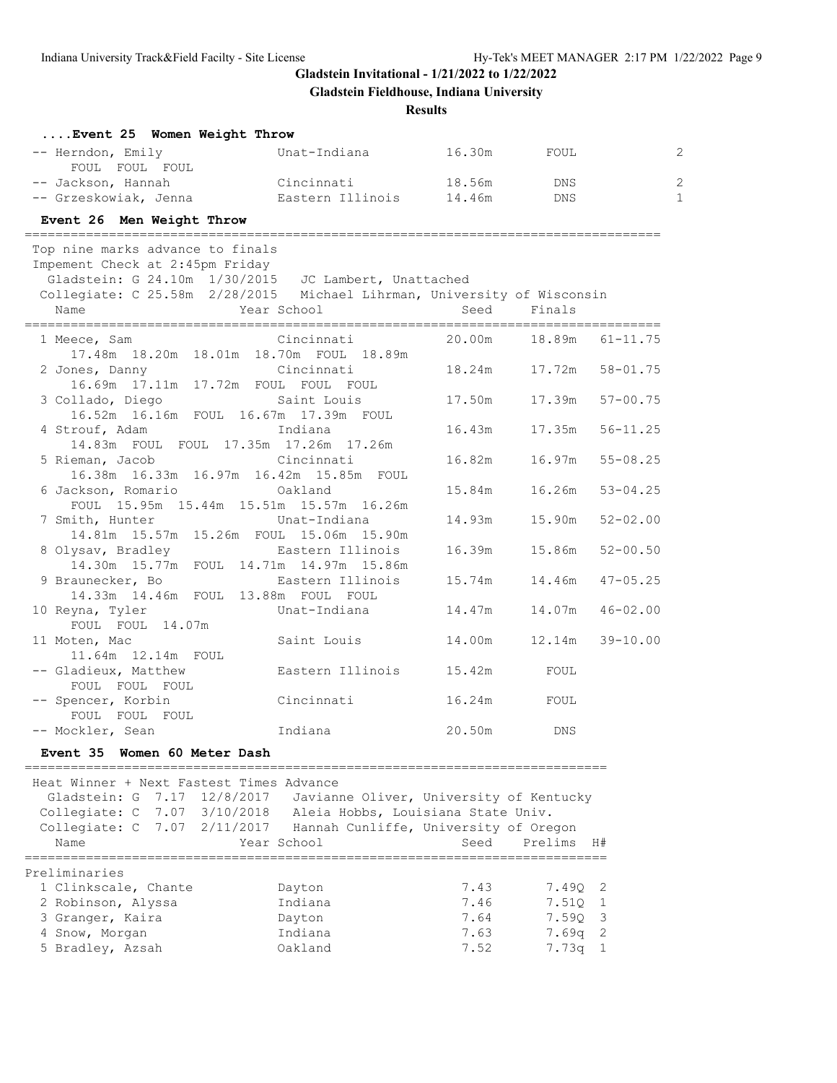**Gladstein Fieldhouse, Indiana University**

| Event 25 Women Weight Throw                                             |                                                      |        |                          |              |
|-------------------------------------------------------------------------|------------------------------------------------------|--------|--------------------------|--------------|
| -- Herndon, Emily<br>FOUL FOUL FOUL                                     | Unat-Indiana                                         | 16.30m | FOUL                     |              |
| -- Jackson, Hannah                                                      | Cincinnati                                           | 18.56m | DNS                      |              |
| -- Grzeskowiak, Jenna               Eastern Illinois       14.46m       |                                                      |        | DNS                      |              |
| Event 26 Men Weight Throw                                               |                                                      |        |                          |              |
| Top nine marks advance to finals                                        |                                                      |        |                          |              |
| Impement Check at 2:45pm Friday                                         |                                                      |        |                          |              |
| Gladstein: G 24.10m 1/30/2015 JC Lambert, Unattached                    |                                                      |        |                          |              |
| Collegiate: C 25.58m 2/28/2015 Michael Lihrman, University of Wisconsin |                                                      |        |                          |              |
| Year School<br>Name                                                     |                                                      | Seed   | Finals                   |              |
| 1 Meece, Sam                                                            | Cincinnati                                           |        | 20.00m  18.89m  61-11.75 |              |
| 17.48m  18.20m  18.01m  18.70m  FOUL  18.89m                            |                                                      |        |                          |              |
| 2 Jones, Danny<br>16.69m  17.11m  17.72m  FOUL  FOUL  FOUL              | Cincinnati                                           | 18.24m | 17.72m                   | $58 - 01.75$ |
| 3 Collado, Diego                                                        | Saint Louis                                          | 17.50m | 17.39m                   | $57 - 00.75$ |
| 16.52m  16.16m  FOUL  16.67m  17.39m  FOUL                              |                                                      |        |                          |              |
| 4 Strouf, Adam                                                          | Indiana                                              | 16.43m | 17.35m                   | $56 - 11.25$ |
| 14.83m FOUL FOUL 17.35m 17.26m 17.26m                                   |                                                      |        |                          |              |
| 5 Rieman, Jacob                                                         | Cincinnati                                           | 16.82m | 16.97m                   | $55 - 08.25$ |
| 16.38m  16.33m  16.97m  16.42m  15.85m  FOUL                            |                                                      |        |                          |              |
| 6 Jackson, Romario                                                      | Oakland                                              | 15.84m | 16.26m                   | $53 - 04.25$ |
| FOUL 15.95m 15.44m 15.51m 15.57m 16.26m                                 |                                                      |        |                          |              |
| 7 Smith, Hunter                                                         | Unat-Indiana                                         | 14.93m | 15.90m                   | $52 - 02.00$ |
| 14.81m  15.57m  15.26m  FOUL  15.06m  15.90m                            |                                                      |        |                          |              |
| 8 Olysav, Bradley<br>14.30m 15.77m FOUL 14.71m 14.97m 15.86m            | Eastern Illinois                                     | 16.39m | 15.86m                   | $52 - 00.50$ |
| 9 Braunecker, Bo                                                        | Eastern Illinois                                     | 15.74m | 14.46m                   | $47 - 05.25$ |
| 14.33m  14.46m  FOUL  13.88m  FOUL  FOUL                                |                                                      |        |                          |              |
| 10 Reyna, Tyler                                                         | Unat-Indiana                                         | 14.47m | 14.07m                   | $46 - 02.00$ |
| FOUL FOUL 14.07m                                                        |                                                      |        |                          |              |
| 11 Moten, Mac                                                           | Saint Louis                                          | 14.00m | 12.14m                   | $39 - 10.00$ |
| 11.64m 12.14m FOUL                                                      |                                                      |        |                          |              |
| -- Gladieux, Matthew                                                    | Eastern Illinois                                     | 15.42m | FOUL                     |              |
| FOUL FOUL FOUL                                                          |                                                      |        |                          |              |
| -- Spencer, Korbin                                                      | Cincinnati                                           | 16.24m | FOUL                     |              |
| FOUL FOUL FOUL                                                          |                                                      |        |                          |              |
| -- Mockler, Sean                                                        | Indiana                                              | 20.50m | DNS                      |              |
| Women 60 Meter Dash<br>Event 35                                         |                                                      |        |                          |              |
| Heat Winner + Next Fastest Times Advance                                |                                                      |        |                          |              |
| 7.17<br>12/8/2017<br>Gladstein: G                                       | Javianne Oliver, University of Kentucky              |        |                          |              |
| Collegiate: C<br>7.07 3/10/2018                                         | Aleia Hobbs, Louisiana State Univ.                   |        |                          |              |
| Collegiate: C                                                           | 7.07 2/11/2017 Hannah Cunliffe, University of Oregon |        |                          |              |
|                                                                         |                                                      |        |                          |              |
| Year School<br>Name                                                     |                                                      | Seed   | Prelims                  | H#           |

| 1 Clinkscale, Chante | Dayton  | 7.43 | 7.490 2   |  |
|----------------------|---------|------|-----------|--|
| 2 Robinson, Alyssa   | Indiana | 7.46 | 7.510 1   |  |
|                      |         |      |           |  |
| 3 Granger, Kaira     | Dayton  | 7.64 | 7.590 3   |  |
| 4 Snow, Morgan       | Indiana | 7.63 | $7.69q$ 2 |  |
| 5 Bradley, Azsah     | Oakland | 7.52 | $7.73q$ 1 |  |
|                      |         |      |           |  |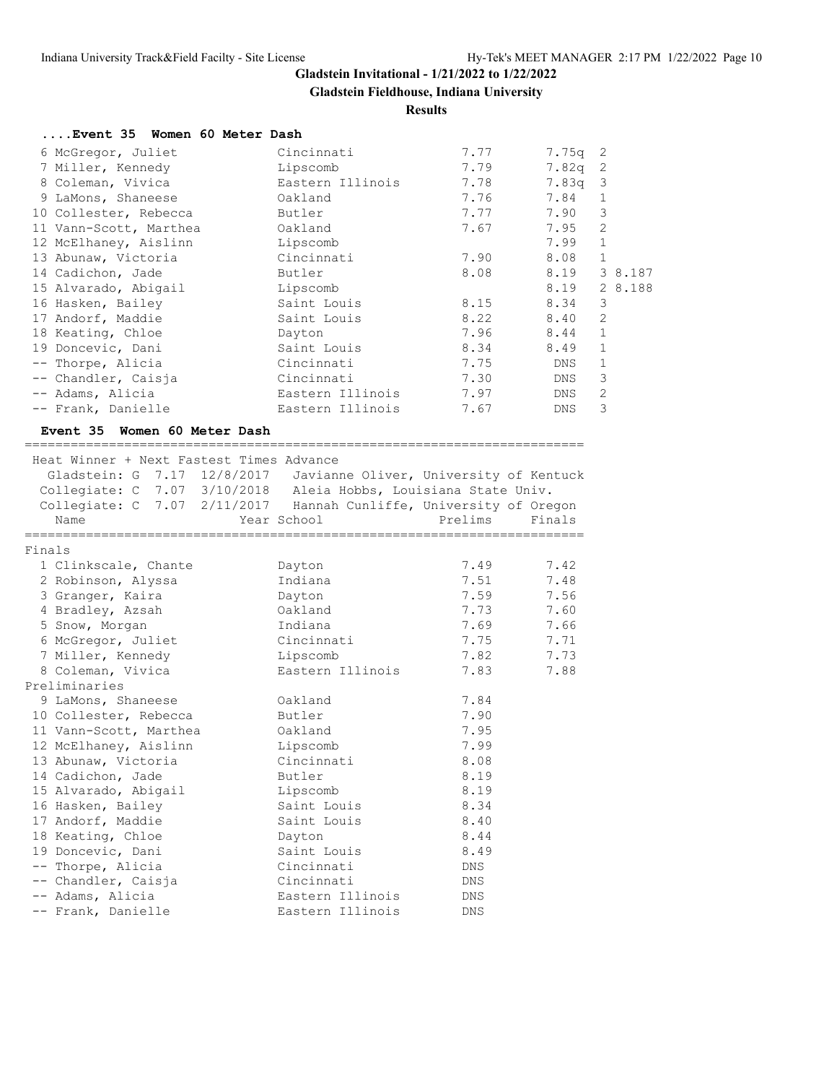**Gladstein Fieldhouse, Indiana University**

## **Results**

| Event 35 Women 60 Meter Dash |                  |      |           |                |
|------------------------------|------------------|------|-----------|----------------|
| 6 McGregor, Juliet           | Cincinnati       | 7.77 | $7.75q$ 2 |                |
| 7 Miller, Kennedy            | Lipscomb         | 7.79 | $7.82q$ 2 |                |
| 8 Coleman, Vivica            | Eastern Illinois | 7.78 | $7.83q$ 3 |                |
| 9 LaMons, Shaneese           | Oakland          | 7.76 | 7.84      | $\mathbf{1}$   |
| 10 Collester, Rebecca        | Butler           | 7.77 | 7.90      | 3              |
| 11 Vann-Scott, Marthea       | Oakland          | 7.67 | 7.95      | 2              |
| 12 McElhaney, Aislinn        | Lipscomb         |      | 7.99      | $\mathbf{1}$   |
| 13 Abunaw, Victoria          | Cincinnati       | 7.90 | 8.08      | $\mathbf 1$    |
| 14 Cadichon, Jade            | Butler           | 8.08 | 8.19      | 3 8.187        |
| 15 Alvarado, Abigail         | Lipscomb         |      | 8.19      | 2 8.188        |
| 16 Hasken, Bailey            | Saint Louis      | 8.15 | 8.34      | 3              |
| 17 Andorf, Maddie            | Saint Louis      | 8.22 | 8.40      | 2              |
| 18 Keating, Chloe            | Dayton           | 7.96 | 8.44      | $\mathbf{1}$   |
| 19 Doncevic, Dani            | Saint Louis      | 8.34 | 8.49      |                |
| -- Thorpe, Alicia            | Cincinnati       | 7.75 | DNS       | $\mathbf{1}$   |
| -- Chandler, Caisja          | Cincinnati       | 7.30 | DNS       | 3              |
| -- Adams, Alicia             | Eastern Illinois | 7.97 | DNS       | $\overline{2}$ |
| -- Frank, Danielle           | Eastern Illinois | 7.67 | DNS.      | 3              |

### **Event 35 Women 60 Meter Dash**

|        | Heat Winner + Next Fastest Times Advance                           |                  |            |        |
|--------|--------------------------------------------------------------------|------------------|------------|--------|
|        | Gladstein: G 7.17 12/8/2017 Javianne Oliver, University of Kentuck |                  |            |        |
|        | Collegiate: C 7.07 3/10/2018 Aleia Hobbs, Louisiana State Univ.    |                  |            |        |
|        | Collegiate: C 7.07 2/11/2017 Hannah Cunliffe, University of Oregon |                  |            |        |
|        | Name                                                               | Year School      | Prelims    | Finals |
| Finals |                                                                    |                  |            |        |
|        | 1 Clinkscale, Chante                                               | Dayton           | 7.49 7.42  |        |
|        | 2 Robinson, Alyssa                                                 | Indiana          | 7.51       | 7.48   |
|        | 3 Granger, Kaira                                                   | Dayton           | 7.59       | 7.56   |
|        | 4 Bradley, Azsah                                                   | Oakland          | 7.73       | 7.60   |
|        | 5 Snow, Morgan                                                     | Indiana          | 7.69       | 7.66   |
|        | 6 McGregor, Juliet                                                 | Cincinnati       | 7.75 7.71  |        |
|        | 7 Miller, Kennedy                                                  | Lipscomb         | 7.82       | 7.73   |
|        | 8 Coleman, Vivica                                                  | Eastern Illinois | 7.83       | 7.88   |
|        | Preliminaries                                                      |                  |            |        |
|        | 9 LaMons, Shaneese                                                 | Oakland          | 7.84       |        |
|        | 10 Collester, Rebecca                                              | Butler           | 7.90       |        |
|        | 11 Vann-Scott, Marthea                                             | Oakland          | 7.95       |        |
|        | 12 McElhaney, Aislinn                                              | Lipscomb         | 7.99       |        |
|        | 13 Abunaw, Victoria                                                | Cincinnati       | 8.08       |        |
|        | 14 Cadichon, Jade                                                  | Butler           | 8.19       |        |
|        | 15 Alvarado, Abigail                                               | Lipscomb         | 8.19       |        |
|        | 16 Hasken, Bailey                                                  | Saint Louis      | 8.34       |        |
|        | 17 Andorf, Maddie                                                  | Saint Louis      | 8.40       |        |
|        | 18 Keating, Chloe                                                  | Dayton           | 8.44       |        |
|        | 19 Doncevic, Dani                                                  | Saint Louis      | 8.49       |        |
|        | -- Thorpe, Alicia                                                  | Cincinnati       | DNS        |        |
|        | -- Chandler, Caisja                                                | Cincinnati       | DNS        |        |
|        | -- Adams, Alicia                                                   | Eastern Illinois | DNS        |        |
|        | -- Frank, Danielle                                                 | Eastern Illinois | <b>DNS</b> |        |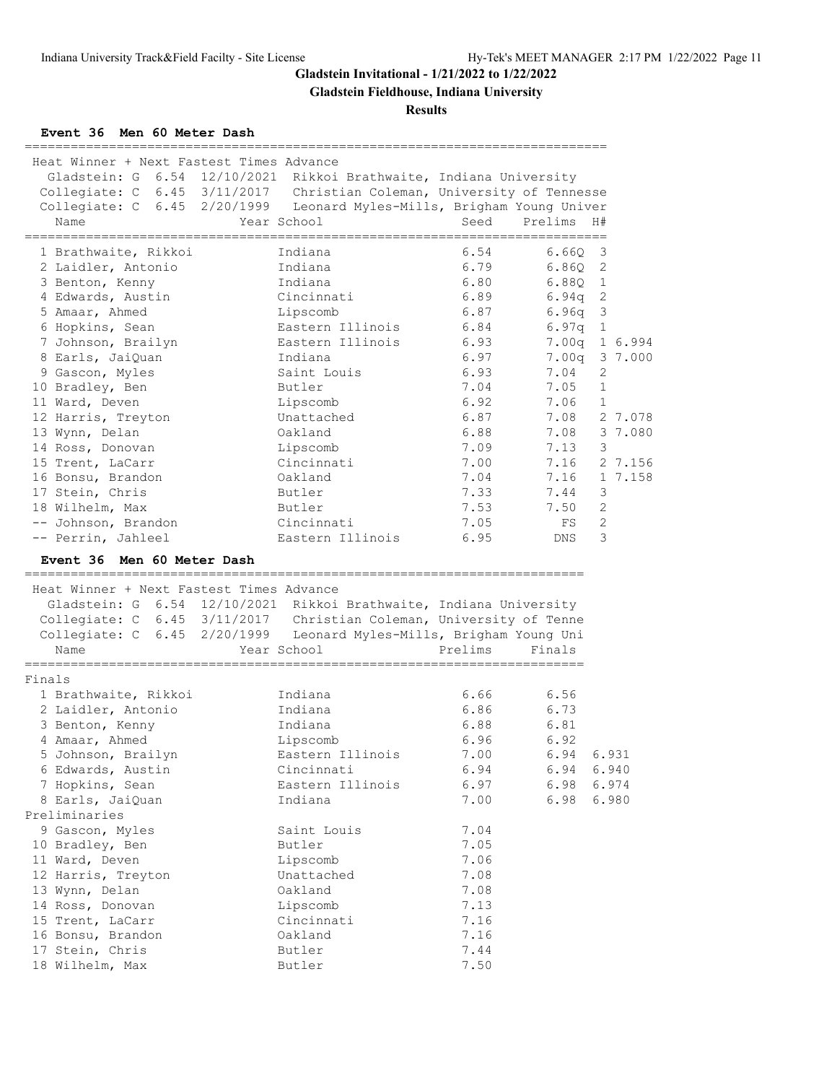**Gladstein Fieldhouse, Indiana University**

**Results**

**Event 36 Men 60 Meter Dash**

| Heat Winner + Next Fastest Times Advance<br>Collegiate: C 6.45 3/11/2017 Christian Coleman, University of Tennesse<br>Collegiate: C 6.45 2/20/1999 Leonard Myles-Mills, Brigham Young Univer<br>Name |              | Gladstein: G 6.54 12/10/2021 Rikkoi Brathwaite, Indiana University<br>Year School | Seed<br>_________________________________ | Prelims   | H#                      |
|------------------------------------------------------------------------------------------------------------------------------------------------------------------------------------------------------|--------------|-----------------------------------------------------------------------------------|-------------------------------------------|-----------|-------------------------|
| 1 Brathwaite, Rikkoi                                                                                                                                                                                 |              | Indiana                                                                           | 6.54                                      | 6.660     | $\overline{\mathbf{3}}$ |
| 2 Laidler, Antonio                                                                                                                                                                                   |              | Indiana                                                                           | 6.79                                      | $6.86Q$ 2 |                         |
| 3 Benton, Kenny                                                                                                                                                                                      |              | Indiana                                                                           | 6.80                                      | $6.88Q$ 1 |                         |
| 4 Edwards, Austin                                                                                                                                                                                    |              | Cincinnati                                                                        | 6.89                                      | $6.94q$ 2 |                         |
| 5 Amaar, Ahmed                                                                                                                                                                                       |              | Lipscomb                                                                          | 6.87                                      | $6.96q$ 3 |                         |
| 6 Hopkins, Sean                                                                                                                                                                                      |              | Eastern Illinois                                                                  | 6.84                                      | $6.97q$ 1 |                         |
| 7 Johnson, Brailyn                                                                                                                                                                                   |              | Eastern Illinois                                                                  | 6.93                                      |           | 7.00q 1 6.994           |
| 8 Earls, JaiQuan                                                                                                                                                                                     |              | Indiana                                                                           | 6.97                                      |           | 7.00q 3 7.000           |
| 9 Gascon, Myles                                                                                                                                                                                      |              | Saint Louis                                                                       | 6.93                                      | 7.04      | 2                       |
| 10 Bradley, Ben                                                                                                                                                                                      |              | Butler                                                                            | 7.04                                      | 7.05      | $\mathbf{1}$            |
| 11 Ward, Deven                                                                                                                                                                                       |              | Lipscomb                                                                          | 6.92                                      | 7.06      | $\mathbf{1}$            |
| 12 Harris, Treyton                                                                                                                                                                                   |              | Unattached                                                                        | 6.87                                      |           | 7.08 2 7.078            |
| 13 Wynn, Delan                                                                                                                                                                                       |              | Oakland                                                                           | 6.88                                      | 7.08      | 3 7.080                 |
| 14 Ross, Donovan                                                                                                                                                                                     |              | Lipscomb                                                                          | 7.09                                      | 7.13      | $\mathbf{3}$            |
| 15 Trent, LaCarr                                                                                                                                                                                     |              | Cincinnati                                                                        | 7.00                                      |           | 7.16 2 7.156            |
| 16 Bonsu, Brandon                                                                                                                                                                                    |              | Oakland                                                                           | 7.04                                      | 7.16      | 1 7.158                 |
| 17 Stein, Chris                                                                                                                                                                                      |              | Butler                                                                            | 7.33                                      | 7.44      | $\mathbf{3}$            |
| 18 Wilhelm, Max<br>-- Johnson, Brandon                                                                                                                                                               |              | Butler<br>Cincinnati                                                              | 7.53<br>7.05                              | 7.50      | 2<br>2                  |
| -- Perrin, Jahleel                                                                                                                                                                                   |              | Eastern Illinois                                                                  | 6.95                                      | FS<br>DNS | 3                       |
| Event 36 Men 60 Meter Dash                                                                                                                                                                           |              |                                                                                   |                                           |           |                         |
| Heat Winner + Next Fastest Times Advance                                                                                                                                                             |              |                                                                                   |                                           |           |                         |
|                                                                                                                                                                                                      |              | Gladstein: G 6.54 12/10/2021 Rikkoi Brathwaite, Indiana University                |                                           |           |                         |
| Collegiate: C 6.45 3/11/2017 Christian Coleman, University of Tenne                                                                                                                                  |              |                                                                                   |                                           |           |                         |
| Collegiate: C 6.45 2/20/1999 Leonard Myles-Mills, Brigham Young Uni<br>Name                                                                                                                          |              | Year School                                                                       | Prelims                                   | Finals    |                         |
| Finals                                                                                                                                                                                               | ============ |                                                                                   | =======================                   |           |                         |
| 1 Brathwaite, Rikkoi                                                                                                                                                                                 |              | Indiana                                                                           | 6.66                                      | 6.56      |                         |
| 2 Laidler, Antonio                                                                                                                                                                                   |              | Indiana                                                                           | 6.86                                      | 6.73      |                         |
| 3 Benton, Kenny                                                                                                                                                                                      |              | Indiana                                                                           | 6.88                                      | 6.81      |                         |
| 4 Amaar, Ahmed                                                                                                                                                                                       |              | Lipscomb                                                                          | 6.96                                      | 6.92      |                         |
| 5 Johnson, Brailyn                                                                                                                                                                                   |              | Eastern Illinois                                                                  | 7.00                                      | 6.94      | 6.931                   |
| 6 Edwards, Austin                                                                                                                                                                                    |              | Cincinnati                                                                        | 6.94                                      | 6.94      | 6.940                   |
| 7 Hopkins, Sean                                                                                                                                                                                      |              | Eastern Illinois                                                                  | 6.97                                      | 6.98      | 6.974                   |
| 8 Earls, JaiQuan                                                                                                                                                                                     |              | Indiana                                                                           | 7.00                                      | 6.98      | 6.980                   |
| Preliminaries                                                                                                                                                                                        |              |                                                                                   |                                           |           |                         |
| 9 Gascon, Myles                                                                                                                                                                                      |              | Saint Louis                                                                       | 7.04                                      |           |                         |
| 10 Bradley, Ben                                                                                                                                                                                      |              | Butler                                                                            | 7.05                                      |           |                         |
| 11 Ward, Deven                                                                                                                                                                                       |              | Lipscomb                                                                          | 7.06                                      |           |                         |
| 12 Harris, Treyton                                                                                                                                                                                   |              | Unattached                                                                        | 7.08                                      |           |                         |
| 13 Wynn, Delan                                                                                                                                                                                       |              | Oakland                                                                           | 7.08                                      |           |                         |
| 14 Ross, Donovan                                                                                                                                                                                     |              | Lipscomb                                                                          | 7.13                                      |           |                         |
| 15 Trent, LaCarr                                                                                                                                                                                     |              | Cincinnati                                                                        | 7.16                                      |           |                         |
| 16 Bonsu, Brandon                                                                                                                                                                                    |              | Oakland                                                                           | 7.16                                      |           |                         |
| 17 Stein, Chris                                                                                                                                                                                      |              | Butler                                                                            | 7.44                                      |           |                         |
| 18 Wilhelm, Max                                                                                                                                                                                      |              | Butler                                                                            | 7.50                                      |           |                         |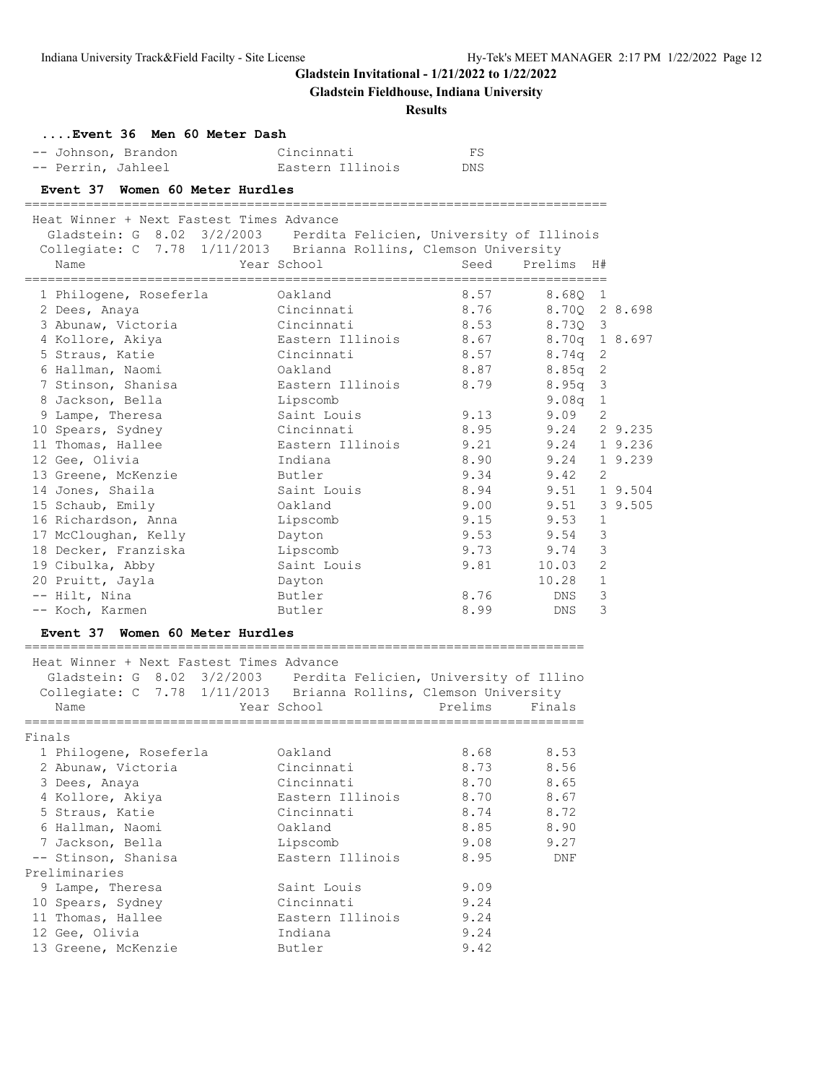**Gladstein Fieldhouse, Indiana University**

| Event 36 Men 60 Meter Dash                                                                                                              |                              |         |                         |               |
|-----------------------------------------------------------------------------------------------------------------------------------------|------------------------------|---------|-------------------------|---------------|
| -- Johnson, Brandon                                                                                                                     | Cincinnati                   | FS      |                         |               |
| -- Perrin, Jahleel                                                                                                                      | Eastern Illinois             | DNS     |                         |               |
| Event 37 Women 60 Meter Hurdles                                                                                                         |                              |         |                         |               |
|                                                                                                                                         |                              |         |                         |               |
| Heat Winner + Next Fastest Times Advance                                                                                                |                              |         |                         |               |
| Gladstein: G 8.02 3/2/2003 Perdita Felicien, University of Illinois<br>Collegiate: C 7.78 1/11/2013 Brianna Rollins, Clemson University |                              |         |                         |               |
| Name                                                                                                                                    | Year School                  | Seed    | Prelims<br>H#           |               |
|                                                                                                                                         |                              |         |                         |               |
| 1 Philogene, Roseferla                                                                                                                  | Oakland                      | 8.57    | 8.680<br>$\overline{1}$ |               |
| 2 Dees, Anaya                                                                                                                           | Cincinnati                   | 8.76    | 8.70Q 2 8.698           |               |
| 3 Abunaw, Victoria                                                                                                                      | Cincinnati                   | 8.53    | 8.730 3                 |               |
| 4 Kollore, Akiya                                                                                                                        | Eastern Illinois             | 8.67    | 8.70q 1 8.697           |               |
| 5 Straus, Katie                                                                                                                         | Cincinnati                   | 8.57    | $8.74q$ 2               |               |
| 6 Hallman, Naomi                                                                                                                        | Oakland                      | 8.87    | $8.85q$ 2               |               |
| 7 Stinson, Shanisa                                                                                                                      | Eastern Illinois             | 8.79    | $8.95q$ 3               |               |
| 8 Jackson, Bella                                                                                                                        | Lipscomb                     |         | $9.08q$ 1               |               |
| 9 Lampe, Theresa                                                                                                                        | Saint Louis                  | 9.13    | 9.09 2                  |               |
| 10 Spears, Sydney                                                                                                                       | Cincinnati                   | 8.95    | 9.24 2 9.235            |               |
| 11 Thomas, Hallee                                                                                                                       | Eastern Illinois             | 9.21    | 9.24 1 9.236            |               |
| 12 Gee, Olivia                                                                                                                          | Indiana                      | 8.90    | 9.24 1 9.239            |               |
| 13 Greene, McKenzie                                                                                                                     | Butler                       | 9.34    | $9.42 \quad 2$          |               |
| 14 Jones, Shaila                                                                                                                        | Saint Louis                  | 8.94    | 9.51 1 9.504            |               |
| 15 Schaub, Emily                                                                                                                        | Oakland                      | 9.00    | 9.51 3 9.505            |               |
| 16 Richardson, Anna                                                                                                                     | Lipscomb                     | 9.15    | 9.53                    | 1             |
| 17 McCloughan, Kelly                                                                                                                    | Dayton                       | 9.53    | 9.54                    | 3             |
| 18 Decker, Franziska                                                                                                                    | Lipscomb                     | 9.73    | 9.74                    | $\mathcal{S}$ |
| 19 Cibulka, Abby                                                                                                                        | Saint Louis                  | 9.81    | 10.03 2                 |               |
| 20 Pruitt, Jayla                                                                                                                        | Dayton                       |         | $10.28$ 1               |               |
| -- Hilt, Nina                                                                                                                           | Butler                       | 8.76    | DNS                     | 3             |
| -- Koch, Karmen                                                                                                                         | Butler                       | 8.99    | DNS                     | 3             |
|                                                                                                                                         |                              |         |                         |               |
| Event 37 Women 60 Meter Hurdles                                                                                                         |                              |         |                         |               |
| Heat Winner + Next Fastest Times Advance                                                                                                |                              |         |                         |               |
| Gladstein: G 8.02 3/2/2003 Perdita Felicien, University of Illino                                                                       |                              |         |                         |               |
| Collegiate: C 7.78 1/11/2013 Brianna Rollins, Clemson University                                                                        |                              |         |                         |               |
| Name                                                                                                                                    | Year School                  | Prelims | Finals                  |               |
| Finals                                                                                                                                  |                              |         |                         |               |
| 1 Philogene, Roseferla                                                                                                                  | Oakland                      | 8.68    | 8.53                    |               |
| 2 Abunaw, Victoria                                                                                                                      | Cincinnati                   | 8.73    | 8.56                    |               |
| 3 Dees, Anaya                                                                                                                           | Cincinnati                   | 8.70    | 8.65                    |               |
| 4 Kollore, Akiya                                                                                                                        | Eastern Illinois             | 8.70    | 8.67                    |               |
| 5 Straus, Katie                                                                                                                         | Cincinnati                   | 8.74    | 8.72                    |               |
| 6 Hallman, Naomi                                                                                                                        | Oakland                      | 8.85    | 8.90                    |               |
| 7 Jackson, Bella                                                                                                                        |                              | 9.08    | 9.27                    |               |
| -- Stinson, Shanisa                                                                                                                     | Lipscomb<br>Eastern Illinois | 8.95    |                         |               |
| Preliminaries                                                                                                                           |                              |         | DNF                     |               |
|                                                                                                                                         |                              |         |                         |               |
| 9 Lampe, Theresa                                                                                                                        | Saint Louis                  | 9.09    |                         |               |
| 10 Spears, Sydney                                                                                                                       | Cincinnati                   | 9.24    |                         |               |
| 11 Thomas, Hallee                                                                                                                       | Eastern Illinois             | 9.24    |                         |               |
| 12 Gee, Olivia                                                                                                                          | Indiana                      | 9.24    |                         |               |
| 13 Greene, McKenzie                                                                                                                     | Butler                       | 9.42    |                         |               |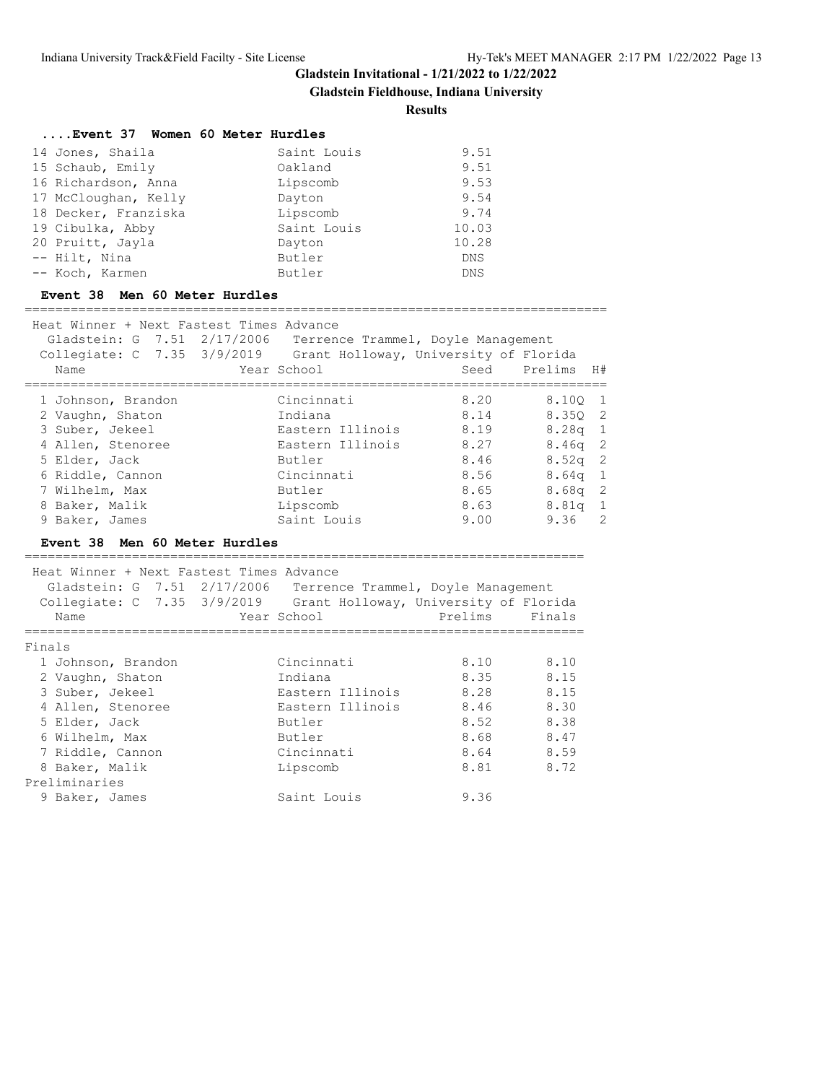**Gladstein Fieldhouse, Indiana University**

#### **Results**

| Event 37 Women 60 Meter Hurdles |             |            |
|---------------------------------|-------------|------------|
| 14 Jones, Shaila                | Saint Louis | 9.51       |
| 15 Schaub, Emily                | Oakland     | 9.51       |
| 16 Richardson, Anna             | Lipscomb    | 9.53       |
| 17 McCloughan, Kelly            | Dayton      | 9.54       |
| 18 Decker, Franziska            | Lipscomb    | 9.74       |
| 19 Cibulka, Abby                | Saint Louis | 10.03      |
| 20 Pruitt, Jayla                | Dayton      | 10.28      |
| -- Hilt, Nina                   | Butler      | <b>DNS</b> |
| -- Koch, Karmen                 | Butler      | <b>DNS</b> |

#### **Event 38 Men 60 Meter Hurdles**

============================================================================ Heat Winner + Next Fastest Times Advance Gladstein: G 7.51 2/17/2006 Terrence Trammel, Doyle Management Collegiate: C 7.35 3/9/2019 Grant Holloway, University of Florida Name The Sear School Seed Prelims H# ============================================================================ 1 Johnson, Brandon Cincinnati 8.20 8.10Q 1 2 Vaughn, Shaton Indiana 8.14 8.35Q 2 3 Suber, Jekeel Eastern Illinois 8.19 8.28q 1 4 Allen, Stenoree Eastern Illinois 8.27 8.46q 2 5 Elder, Jack Butler 8.46 8.52q 2 6 Riddle, Cannon Cincinnati 8.56 8.64q 1 7 Wilhelm, Max Butler 8.65 8.68q 2 8 Baker, Malik Lipscomb 8.63 8.81q 1 9 Baker, James Saint Louis 9.00 9.36 2

### **Event 38 Men 60 Meter Hurdles**

========================================================================= Heat Winner + Next Fastest Times Advance Gladstein: G 7.51 2/17/2006 Terrence Trammel, Doyle Management Collegiate: C 7.35 3/9/2019 Grant Holloway, University of Florida Name The Year School Prelims Finals ========================================================================= Finals 1 Johnson, Brandon Cincinnati 8.10 8.10 2 Vaughn, Shaton Indiana 8.35 8.15 3 Suber, Jekeel Eastern Illinois 8.28 8.15 4 Allen, Stenoree Eastern Illinois 8.46 8.30 5 Elder, Jack Butler 8.52 8.38 6 Wilhelm, Max Butler 8.68 8.47 7 Riddle, Cannon Cincinnati 8.64 8.59 8 Baker, Malik Lipscomb 8.81 8.72 7 Riddle, Cannon<br>8 Baker, Malik<br>Preliminaries 9 Baker, James Saint Louis 9.36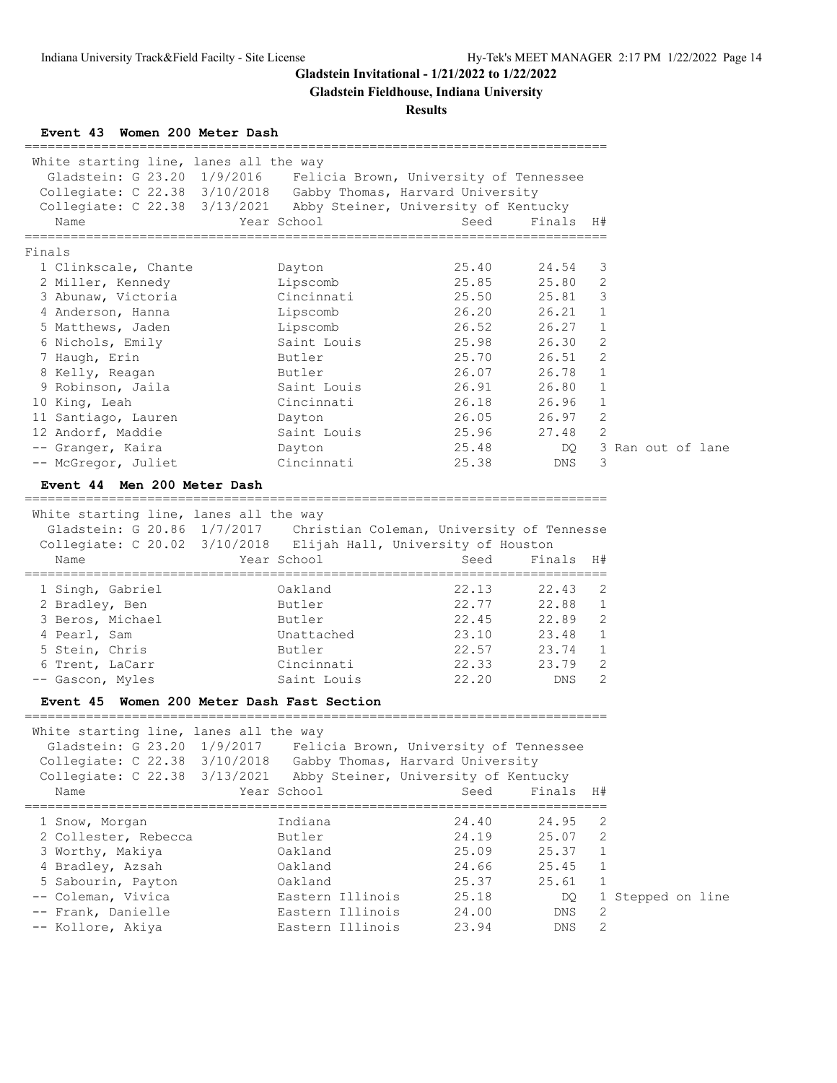**Gladstein Fieldhouse, Indiana University**

## **Results**

**Event 43 Women 200 Meter Dash**

| White starting line, lanes all the way                              |                  |                                           |           |              |                   |
|---------------------------------------------------------------------|------------------|-------------------------------------------|-----------|--------------|-------------------|
| Gladstein: G 23.20 1/9/2016  Felicia Brown, University of Tennessee |                  |                                           |           |              |                   |
| Collegiate: C 22.38 3/10/2018 Gabby Thomas, Harvard University      |                  |                                           |           |              |                   |
| Collegiate: C 22.38 3/13/2021 Abby Steiner, University of Kentucky  |                  |                                           |           |              |                   |
| Name                                                                | Year School      | Seed                                      | Finals H# |              |                   |
| ------------------<br>Finals                                        |                  |                                           |           |              |                   |
| 1 Clinkscale, Chante                                                | Dayton           | 25.40                                     | 24.54     | 3            |                   |
| 2 Miller, Kennedy                                                   | Lipscomb         | 25.85                                     | 25.80     | 2            |                   |
| 3 Abunaw, Victoria                                                  | Cincinnati       | 25.50                                     | 25.81     | 3            |                   |
| 4 Anderson, Hanna                                                   | Lipscomb         | 26.20                                     | 26.21     | $\mathbf{1}$ |                   |
| 5 Matthews, Jaden                                                   | Lipscomb         | 26.52                                     | 26.27     | $\mathbf{1}$ |                   |
| 6 Nichols, Emily                                                    | Saint Louis      | 25.98                                     | 26.30     | 2            |                   |
| 7 Haugh, Erin                                                       | Butler           | 25.70                                     | 26.51     | 2            |                   |
| 8 Kelly, Reagan                                                     | Butler           | 26.07                                     | 26.78     | $\mathbf{1}$ |                   |
| 9 Robinson, Jaila                                                   | Saint Louis      | 26.91                                     | 26.80     | $\mathbf{1}$ |                   |
| 10 King, Leah                                                       | Cincinnati       | 26.18                                     | 26.96     | $\mathbf{1}$ |                   |
| 11 Santiago, Lauren                                                 | Dayton           | 26.05                                     | 26.97     | 2            |                   |
| 12 Andorf, Maddie                                                   | Saint Louis      | 25.96                                     | 27.48     | 2            |                   |
| -- Granger, Kaira                                                   | Dayton           | 25.48                                     | DQ.       |              | 3 Ran out of lane |
| -- McGregor, Juliet                                                 | Cincinnati       | 25.38                                     | DNS       | 3            |                   |
| Event 44 Men 200 Meter Dash                                         |                  |                                           |           |              |                   |
|                                                                     |                  |                                           |           |              |                   |
| White starting line, lanes all the way                              |                  |                                           |           |              |                   |
| Gladstein: G 20.86 1/7/2017                                         |                  | Christian Coleman, University of Tennesse |           |              |                   |
| Collegiate: C 20.02 3/10/2018                                       |                  | Elijah Hall, University of Houston        |           |              |                   |
| Name                                                                | Year School      | Seed                                      | Finals    | H#           |                   |
| 1 Singh, Gabriel                                                    | Oakland          | 22.13                                     | 22.43     | 2            |                   |
| 2 Bradley, Ben                                                      | Butler           | 22.77                                     | 22.88     | 1            |                   |
| 3 Beros, Michael                                                    | Butler           | 22.45                                     | 22.89     | 2            |                   |
| 4 Pearl, Sam                                                        | Unattached       | 23.10                                     | 23.48     | 1            |                   |
| 5 Stein, Chris                                                      | Butler           | 22.57                                     | 23.74     | 1            |                   |
| 6 Trent, LaCarr                                                     | Cincinnati       | 22.33                                     | 23.79     | 2            |                   |
| -- Gascon, Myles                                                    | Saint Louis      | 22.20                                     | DNS       | 2            |                   |
| Event 45 Women 200 Meter Dash Fast Section                          |                  |                                           |           |              |                   |
| =====================================                               |                  |                                           |           |              |                   |
| White starting line, lanes all the way                              |                  |                                           |           |              |                   |
| Gladstein: G 23.20 1/9/2017                                         |                  | Felicia Brown, University of Tennessee    |           |              |                   |
| Collegiate: C 22.38 3/10/2018                                       |                  | Gabby Thomas, Harvard University          |           |              |                   |
| Collegiate: C 22.38 3/13/2021                                       |                  | Abby Steiner, University of Kentucky      |           |              |                   |
| Name                                                                | Year School      | Seed                                      | Finals    | H#           |                   |
| 1 Snow, Morgan                                                      | Indiana          | 24.40                                     | 24.95     | 2            |                   |
| 2 Collester, Rebecca                                                | Butler           | 24.19                                     | 25.07     | 2            |                   |
| 3 Worthy, Makiya                                                    | Oakland          | 25.09                                     | 25.37     | 1            |                   |
| 4 Bradley, Azsah                                                    | Oakland          | 24.66                                     | 25.45     | $\mathbf 1$  |                   |
| 5 Sabourin, Payton                                                  | Oakland          | 25.37                                     | 25.61     | $\mathbf{1}$ |                   |
| -- Coleman, Vivica                                                  | Eastern Illinois | 25.18                                     | DQ        | $\mathbf{1}$ | Stepped on line   |
| Frank, Danielle                                                     | Eastern Illinois | 24.00                                     | DNS       | 2            |                   |
| -- Kollore, Akiya                                                   | Eastern Illinois | 23.94                                     | DNS       | 2            |                   |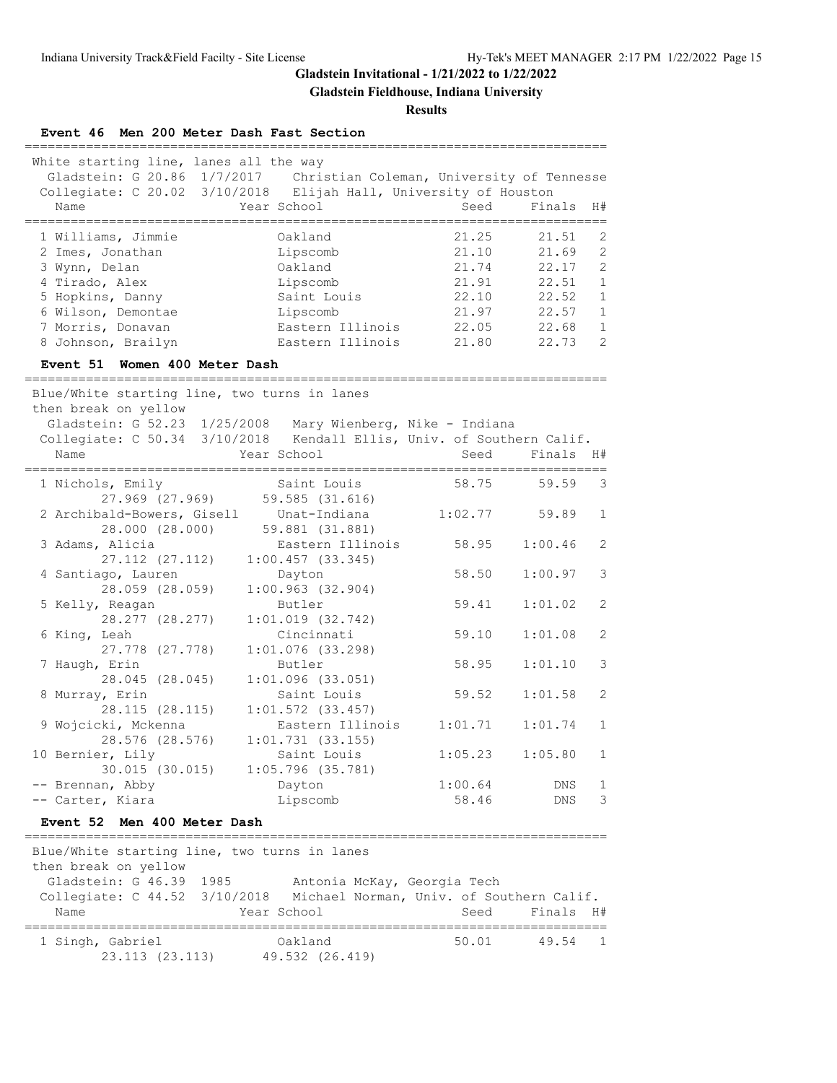**Gladstein Fieldhouse, Indiana University**

#### **Results**

#### **Event 46 Men 200 Meter Dash Fast Section**

| White starting line, lanes all the way<br>Collegiate: C 20.02 3/10/2018 | Gladstein: G 20.86 1/7/2017 Christian Coleman, University of Tennesse<br>Elijah Hall, University of Houston |       |           |               |
|-------------------------------------------------------------------------|-------------------------------------------------------------------------------------------------------------|-------|-----------|---------------|
| Name                                                                    | Year School                                                                                                 | Seed  | Finals H# |               |
|                                                                         |                                                                                                             |       |           |               |
| 1 Williams, Jimmie                                                      | Oakland                                                                                                     | 21.25 | 21.51     | -2            |
| 2 Imes, Jonathan                                                        | Lipscomb                                                                                                    | 21.10 | 21.69     | 2             |
| 3 Wynn, Delan                                                           | Oakland                                                                                                     | 21.74 | 22.17     | 2             |
| 4 Tirado, Alex                                                          | Lipscomb                                                                                                    | 21.91 | 22.51     | 1             |
| 5 Hopkins, Danny                                                        | Saint Louis                                                                                                 | 22.10 | 22.52     | $\mathbf{1}$  |
| 6 Wilson, Demontae                                                      | Lipscomb                                                                                                    | 21.97 | 22.57     | $\mathbf{1}$  |
| 7 Morris, Donavan                                                       | Eastern Illinois                                                                                            | 22.05 | 22.68     | $\mathbf{1}$  |
| 8 Johnson, Brailyn                                                      | Eastern Illinois                                                                                            | 21.80 | 22.73     | $\mathcal{P}$ |
|                                                                         |                                                                                                             |       |           |               |

#### **Event 51 Women 400 Meter Dash**

============================================================================ Blue/White starting line, two turns in lanes then break on yellow Gladstein: G 52.23 1/25/2008 Mary Wienberg, Nike - Indiana Collegiate: C 50.34 3/10/2018 Kendall Ellis, Univ. of Southern Calif. Name The Year School Seed Finals H# ============================================================================ 1 Nichols, Emily Saint Louis 58.75 59.59 3 27.969 (27.969) 59.585 (31.616) 2 Archibald-Bowers, Gisell Unat-Indiana 1:02.77 59.89 1 28.000 (28.000) 59.881 (31.881) 3 Adams, Alicia Eastern Illinois 58.95 1:00.46 2 27.112 (27.112) 1:00.457 (33.345) 4 Santiago, Lauren Dayton 58.50 1:00.97 3 28.059 (28.059) 1:00.963 (32.904) 5 Kelly, Reagan Butler 59.41 1:01.02 2 28.277 (28.277) 1:01.019 (32.742) 6 King, Leah Cincinnati 59.10 1:01.08 2 27.778 (27.778) 1:01.076 (33.298) 7 Haugh, Erin Butler 58.95 1:01.10 3 28.045 (28.045) 1:01.096 (33.051) 8 Murray, Erin Saint Louis 59.52 1:01.58 2 28.115 (28.115) 1:01.572 (33.457) 9 Wojcicki, Mckenna Eastern Illinois 1:01.71 1:01.74 1 28.576 (28.576) 1:01.731 (33.155) 10 Bernier, Lily **Saint Louis** 1:05.23 1:05.80 1 30.015 (30.015) 1:05.796 (35.781) -- Brennan, Abby Dayton 1:00.64 DNS 1 -- Carter, Kiara Lipscomb 58.46 DNS 3

#### **Event 52 Men 400 Meter Dash**

| Blue/White starting line, two turns in lanes<br>then break on yellow |                                            |                                                            |  |  |  |
|----------------------------------------------------------------------|--------------------------------------------|------------------------------------------------------------|--|--|--|
| Gladstein: G 46.39 1985<br>Collegiate: C 44.52 3/10/2018<br>Name     | Antonia McKay, Georgia Tech<br>Year School | Michael Norman, Univ. of Southern Calif.<br>Seed Finals H# |  |  |  |
| 1 Singh, Gabriel<br>23.113 (23.113)                                  | Oakland<br>49.532 (26.419)                 | 50.01<br>49.54 1                                           |  |  |  |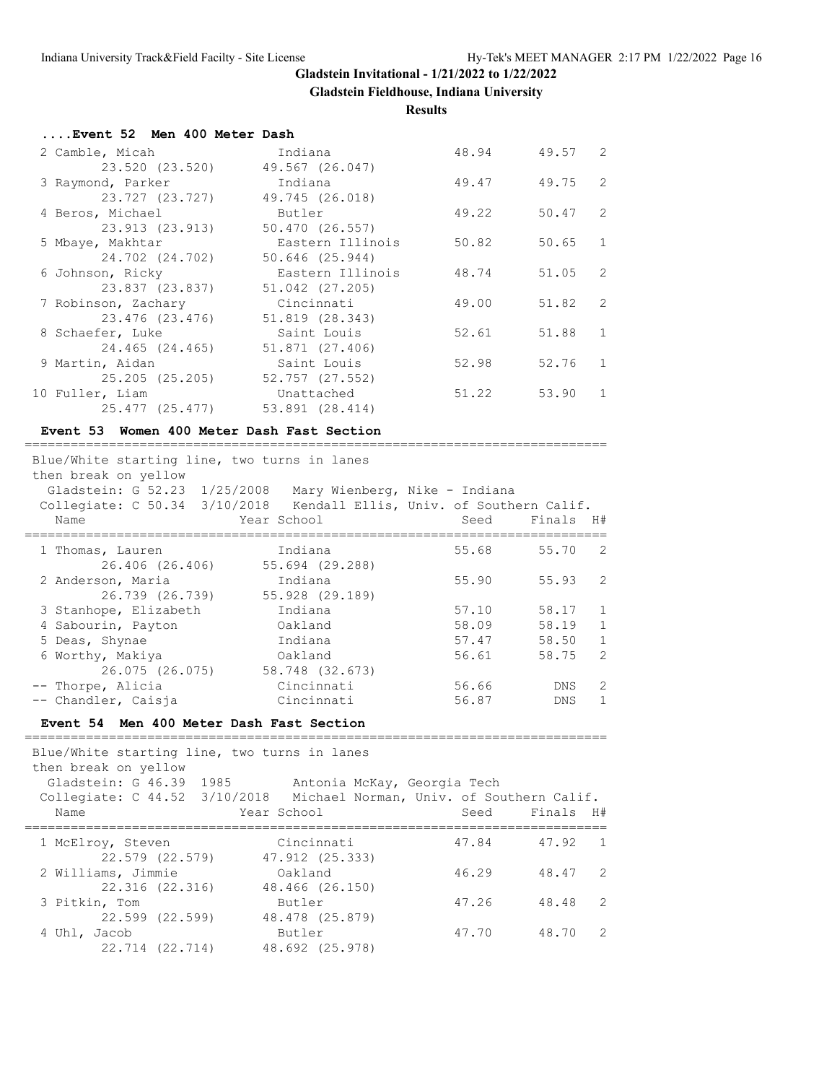**Gladstein Fieldhouse, Indiana University**

**Results**

| Event 52 Men 400 Meter Dash |                  |       |         |                |
|-----------------------------|------------------|-------|---------|----------------|
| 2 Camble, Micah             | Indiana          | 48.94 | 49.57 2 |                |
| 23.520 (23.520)             | 49.567 (26.047)  |       |         |                |
| 3 Raymond, Parker           | Indiana          | 49.47 | 49.75   | 2              |
| 23.727 (23.727)             | 49.745 (26.018)  |       |         |                |
| 4 Beros, Michael            | Butler           | 49.22 | 50.47   | 2              |
| 23.913 (23.913)             | 50.470 (26.557)  |       |         |                |
| 5 Mbaye, Makhtar            | Eastern Illinois | 50.82 | 50.65   | 1              |
| 24.702 (24.702)             | 50.646 (25.944)  |       |         |                |
| 6 Johnson, Ricky            | Eastern Illinois | 48.74 | 51.05   | -2             |
| 23.837 (23.837)             | 51.042 (27.205)  |       |         |                |
| 7 Robinson, Zachary         | Cincinnati       | 49.00 | 51.82   | $\overline{2}$ |
| 23.476 (23.476)             | 51.819 (28.343)  |       |         |                |
| 8 Schaefer, Luke            | Saint Louis      | 52.61 | 51.88   | 1              |
| 24.465 (24.465)             | 51.871 (27.406)  |       |         |                |
| 9 Martin, Aidan             | Saint Louis      | 52.98 | 52.76   | $\overline{1}$ |
| 25.205 (25.205)             | 52.757 (27.552)  |       |         |                |
| 10 Fuller, Liam             | Unattached       | 51.22 | 53.90   | 1              |
| 25.477 (25.477)             | 53.891 (28.414)  |       |         |                |

#### **Event 53 Women 400 Meter Dash Fast Section**

============================================================================  $\mathcal{B}$  starting line, two turns in lanes in lanes in lanes in lanes in lanes in lanes in lanes in lanes in lanes in lanes in lanes in lanes in lanes in lanes in lanes in lanes in lanes in lanes in lanes in lanes in lane

| Blue/white starting line, two turns in lanes<br>then break on yellow |                 |                                         |            |                |  |
|----------------------------------------------------------------------|-----------------|-----------------------------------------|------------|----------------|--|
| Gladstein: G 52.23 1/25/2008                                         |                 | Mary Wienberg, Nike - Indiana           |            |                |  |
| Collegiate: C 50.34 3/10/2018                                        |                 | Kendall Ellis, Univ. of Southern Calif. |            |                |  |
| Name                                                                 | Year School     | Seed                                    | Finals     | H#             |  |
| 1 Thomas, Lauren                                                     | Indiana         | 55.68                                   | 55.70      | $\overline{2}$ |  |
| 26.406 (26.406)                                                      | 55.694 (29.288) |                                         |            |                |  |
| 2 Anderson, Maria                                                    | Indiana         | 55.90                                   | 55.93      | 2              |  |
| 26.739 (26.739)                                                      | 55.928 (29.189) |                                         |            |                |  |
| 3 Stanhope, Elizabeth                                                | Indiana         | 57.10                                   | 58.17      | $\overline{1}$ |  |
| 4 Sabourin, Payton                                                   | Oakland         | 58.09                                   | 58.19      | $\mathbf{1}$   |  |
| 5 Deas, Shynae                                                       | Indiana         | 57.47                                   | 58.50      | $\mathbf{1}$   |  |
| 6 Worthy, Makiya                                                     | Oakland         | 56.61                                   | 58.75      | 2              |  |
| 26.075 (26.075)                                                      | 58.748 (32.673) |                                         |            |                |  |
| -- Thorpe, Alicia                                                    | Cincinnati      | 56.66                                   | <b>DNS</b> | 2              |  |
| -- Chandler, Caisja                                                  | Cincinnati      | 56.87                                   | <b>DNS</b> | 1.             |  |

## **Event 54 Men 400 Meter Dash Fast Section**

============================================================================ Blue/White starting line, two turns in lanes then break on yellow Gladstein: G 46.39 1985 Antonia McKay, Georgia Tech Collegiate: C 44.52 3/10/2018 Michael Norman, Univ. of Southern Calif. Name Year School Seed Finals H# ============================================================================ 1 McElroy, Steven Cincinnati 47.84 47.92 1 22.579 (22.579) 47.912 (25.333) 2 Williams, Jimmie Oakland 46.29 48.47 2 22.316 (22.316) 48.466 (26.150) 3 Pitkin, Tom Butler 47.26 48.48 2 22.599 (22.599) 48.478 (25.879) 4 Uhl, Jacob Butler 47.70 48.70 2 22.714 (22.714) 48.692 (25.978)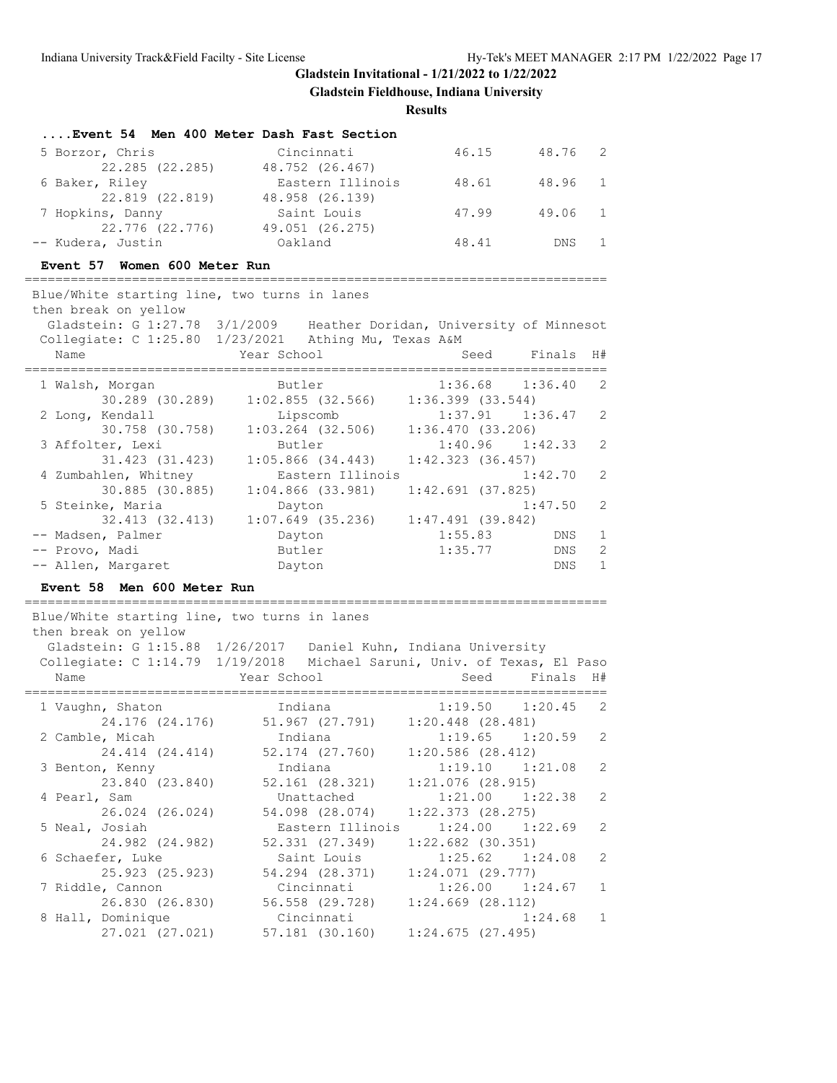**Gladstein Fieldhouse, Indiana University**

## **Results**

| Event 54 Men 400 Meter Dash Fast Section |                  |       |         |  |
|------------------------------------------|------------------|-------|---------|--|
| 5 Borzor, Chris                          | Cincinnati       | 46.15 | 48.76 2 |  |
| 22.285 (22.285)                          | 48.752 (26.467)  |       |         |  |
| 6 Baker, Riley                           | Eastern Illinois | 48.61 | 48.96 1 |  |
| 22.819 (22.819)                          | 48.958 (26.139)  |       |         |  |
| 7 Hopkins, Danny                         | Saint Louis      | 47.99 | 49.06 1 |  |
| 22.776 (22.776)                          | 49.051 (26.275)  |       |         |  |
| -- Kudera, Justin                        | Oakland          | 48.41 | DNS 1   |  |
|                                          |                  |       |         |  |

#### **Event 57 Women 600 Meter Run**

============================================================================

| Blue/White starting line, two turns in lanes                          |             |                  |                                         |      |                       |              |
|-----------------------------------------------------------------------|-------------|------------------|-----------------------------------------|------|-----------------------|--------------|
| then break on yellow                                                  |             |                  |                                         |      |                       |              |
| Gladstein: G 1:27.78 3/1/2009 Heather Doridan, University of Minnesot |             |                  |                                         |      |                       |              |
| Collegiate: $C$ 1:25.80 1/23/2021 Athing Mu, Texas A&M                |             |                  |                                         |      |                       |              |
| Name                                                                  | Year School |                  |                                         | Seed | Finals H#             |              |
|                                                                       |             |                  |                                         |      |                       |              |
| 1 Walsh, Morgan                                                       | Butler      |                  |                                         |      | $1:36.68$ $1:36.40$ 2 |              |
| $30.289$ (30.289) 1:02.855 (32.566) 1:36.399 (33.544)                 |             |                  |                                         |      |                       |              |
| 2 Long, Kendall                                                       |             |                  | Lipscomb 1:37.91 1:36.47 2              |      |                       |              |
| 30.758 (30.758)                                                       |             |                  | $1:03.264$ (32.506) $1:36.470$ (33.206) |      |                       |              |
| 3 Affolter, Lexi                                                      |             | Butler           |                                         |      | $1:40.96$ $1:42.33$ 2 |              |
| 31.423 (31.423)                                                       |             |                  | $1:05.866$ (34.443) $1:42.323$ (36.457) |      |                       |              |
| 4 Zumbahlen, Whitney                                                  |             | Eastern Illinois |                                         |      | $1:42.70$ 2           |              |
| 30.885 (30.885)                                                       |             |                  | $1:04.866$ (33.981) $1:42.691$ (37.825) |      |                       |              |
| 5 Steinke, Maria                                                      | Dayton      |                  |                                         |      | $1:47.50$ 2           |              |
| 32.413 (32.413)                                                       |             |                  | $1:07.649$ (35.236) $1:47.491$ (39.842) |      |                       |              |
| -- Madsen, Palmer                                                     | Dayton      |                  |                                         |      | $1:55.83$ DNS         | $\mathbf{1}$ |
| -- Provo, Madi                                                        | Butler      |                  |                                         |      | $1:35.77$ DNS         | 2            |
| -- Allen, Margaret                                                    | Dayton      |                  |                                         |      | DNS                   | $\mathbf{1}$ |
| Event 58 Men 600 Meter Run                                            |             |                  |                                         |      |                       |              |
| Blue/White starting line, two turns in lanes<br>then break on yellow  |             |                  |                                         |      |                       |              |

| Gladstein: G 1:15.88            | 1/26/2017                             | Daniel Kuhn, Indiana University                   |
|---------------------------------|---------------------------------------|---------------------------------------------------|
| Collegiate: C 1:14.79 1/19/2018 |                                       | Michael Saruni, Univ. of Texas, El Paso           |
| Name                            | Example of the Year School            | Seed Finals H#                                    |
| 1 Vaughn, Shaton                | Indiana                               | $1:19.50$ $1:20.45$<br>$\overline{\phantom{0}}$ 2 |
| 24.176 (24.176)                 | $51.967$ (27.791) 1:20.448 (28.481)   |                                                   |
| 2 Camble, Micah                 | Indiana                               | 2<br>$1:19.65$ $1:20.59$                          |
| 24.414 (24.414)                 | 52.174 (27.760) 1:20.586 (28.412)     |                                                   |
| 3 Benton, Kenny                 | Indiana                               | $\overline{\phantom{0}}^2$<br>$1:19.10$ $1:21.08$ |
| 23.840 (23.840)                 | 52.161 (28.321)                       | $1:21.076$ (28.915)                               |
| 4 Pearl, Sam                    | Unattached                            | 2<br>$1:21.00$ $1:22.38$                          |
| 26.024 (26.024)                 | 54.098 (28.074)                       | $1:22.373$ $(28.275)$                             |
| 5 Neal, Josiah                  | Eastern Illinois                      | 2<br>$1:24.00$ $1:22.69$                          |
| 24.982 (24.982)                 | 52.331 (27.349)                       | $1:22.682$ (30.351)                               |
| 6 Schaefer, Luke                | Saint Louis                           | 2<br>$1:25.62$ $1:24.08$                          |
| 25.923 (25.923)                 | 54.294 (28.371) 1:24.071 (29.777)     |                                                   |
| 7 Riddle, Cannon                | Cincinnati                            | $1:26.00$ $1:24.67$ 1                             |
| 26.830 (26.830)                 | $56.558$ (29.728) $1:24.669$ (28.112) |                                                   |
| 8 Hall, Dominique               | Cincinnati                            | $\overline{1}$<br>1:24.68                         |
| 27.021 (27.021)                 | 57.181 (30.160) 1:24.675 (27.495)     |                                                   |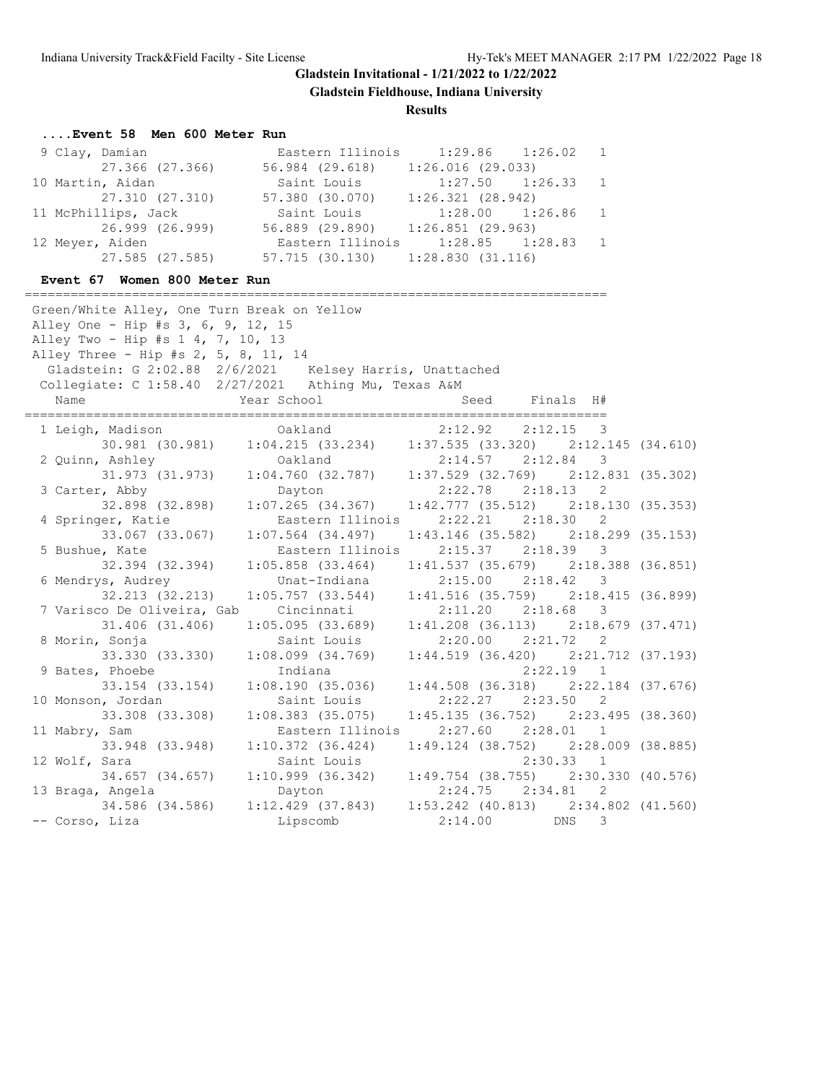**Gladstein Fieldhouse, Indiana University**

**Results**

## **....Event 58 Men 600 Meter Run**

| 9 Clay, Damian      |                                   | Eastern Illinois 1:29.86 1:26.02 1 |  |
|---------------------|-----------------------------------|------------------------------------|--|
| 27.366 (27.366)     | 56.984 (29.618)                   | $1:26.016$ (29.033)                |  |
| 10 Martin, Aidan    | Saint Louis                       | $1:27.50$ $1:26.33$ 1              |  |
| 27.310 (27.310)     | 57.380 (30.070)                   | 1:26.321(28.942)                   |  |
| 11 McPhillips, Jack | Saint Louis                       | $1:28.00$ $1:26.86$ 1              |  |
| 26.999 (26.999)     | 56.889 (29.890) 1:26.851 (29.963) |                                    |  |
| 12 Meyer, Aiden     |                                   | Eastern Illinois 1:28.85 1:28.83 1 |  |
| 27.585 (27.585)     | 57.715 (30.130) 1:28.830 (31.116) |                                    |  |

## **Event 67 Women 800 Meter Run**

| Green/White Alley, One Turn Break on Yellow             |                       |                                                                                                           |  |
|---------------------------------------------------------|-----------------------|-----------------------------------------------------------------------------------------------------------|--|
| Alley One - Hip #s 3, 6, 9, 12, 15                      |                       |                                                                                                           |  |
| Alley Two - Hip #s 1 4, 7, 10, 13                       |                       |                                                                                                           |  |
| Alley Three - Hip #s 2, 5, 8, 11, 14                    |                       |                                                                                                           |  |
| Gladstein: G 2:02.88 2/6/2021 Kelsey Harris, Unattached |                       |                                                                                                           |  |
| Collegiate: C 1:58.40 2/27/2021 Athing Mu, Texas A&M    |                       |                                                                                                           |  |
| Name                                                    | Year School           | Seed Finals H#                                                                                            |  |
| 1 Leigh, Madison                                        | Oakland               | 2:12.92<br>2:12.15<br>$\overline{\phantom{a}}$                                                            |  |
|                                                         |                       | 30.981 (30.981) 1:04.215 (33.234) 1:37.535 (33.320) 2:12.145 (34.610)                                     |  |
| 2 Quinn, Ashley                                         |                       |                                                                                                           |  |
|                                                         |                       | Ashley 0akland 2:14.57 2:12.84 3<br>31.973 (31.973) 1:04.760 (32.787) 1:37.529 (32.769) 2:12.831 (35.302) |  |
| 3 Carter, Abby                                          | Dayton                | $2:22.78$ $2:18.13$ 2                                                                                     |  |
| $32.898$ (32.898)                                       | $1:07.265$ (34.367)   | $1:42.777$ (35.512) $2:18.130$ (35.353)                                                                   |  |
| 4 Springer, Katie                                       | Eastern Illinois      | $2:22.21$ $2:18.30$ 2                                                                                     |  |
| 33.067 (33.067)                                         | $1:07.564$ (34.497)   | $1:43.146$ (35.582) $2:18.299$ (35.153)                                                                   |  |
| 5 Bushue, Kate                                          | Eastern Illinois      | $2:15.37$ $2:18.39$<br>$\mathbf{3}$                                                                       |  |
| 32.394 (32.394)                                         | $1:05.858$ $(33.464)$ | $1:41.537$ (35.679) $2:18.388$ (36.851)                                                                   |  |
| 6 Mendrys, Audrey                                       | Unat-Indiana          | $2:15.00$ $2:18.42$<br>$\mathbf{3}$                                                                       |  |
| 32.213 (32.213)                                         | $1:05.757$ (33.544)   | $1:41.516$ (35.759) $2:18.415$ (36.899)                                                                   |  |
| 7 Varisco De Oliveira, Gab                              | Cincinnati            | $2:11.20$ $2:18.68$ 3                                                                                     |  |
| 31.406 (31.406)                                         | 1:05.095(33.689)      | $1:41.208$ (36.113) $2:18.679$ (37.471)                                                                   |  |
| 8 Morin, Sonja                                          | Saint Louis           | $2:20.00$ $2:21.72$ 2                                                                                     |  |
| 33.330 (33.330)                                         | $1:08.099$ $(34.769)$ | $1:44.519$ (36.420) $2:21.712$ (37.193)                                                                   |  |
| 9 Bates, Phoebe                                         | Indiana               | $2:22.19$ 1                                                                                               |  |
| 33.154 (33.154)                                         | 1:08.190(35.036)      | $1:44.508$ (36.318) $2:22.184$ (37.676)                                                                   |  |
| 10 Monson, Jordan                                       | Saint Louis           | $2:22.27$ $2:23.50$ 2                                                                                     |  |
| 33.308 (33.308)                                         | $1:08.383$ (35.075)   | $1:45.135$ (36.752) $2:23.495$ (38.360)                                                                   |  |
| 11 Mabry, Sam                                           | Eastern Illinois      | $2:27.60$ $2:28.01$ 1                                                                                     |  |
| 33.948 (33.948)                                         | 1:10.372(36.424)      | $1:49.124$ (38.752) $2:28.009$ (38.885)                                                                   |  |
| 12 Wolf, Sara                                           | Saint Louis           | 2:30.33 1                                                                                                 |  |
| 34.657 (34.657)                                         | $1:10.999$ $(36.342)$ | $1:49.754$ (38.755) $2:30.330$ (40.576)                                                                   |  |
| 13 Braga, Angela                                        | Dayton                | $2:24.75$ $2:34.81$ 2                                                                                     |  |
| 34.586 (34.586)                                         |                       | $1:12.429$ (37.843) $1:53.242$ (40.813) $2:34.802$ (41.560)                                               |  |
| -- Corso, Liza                                          | Lipscomb              | 2:14.00<br>3<br><b>DNS</b>                                                                                |  |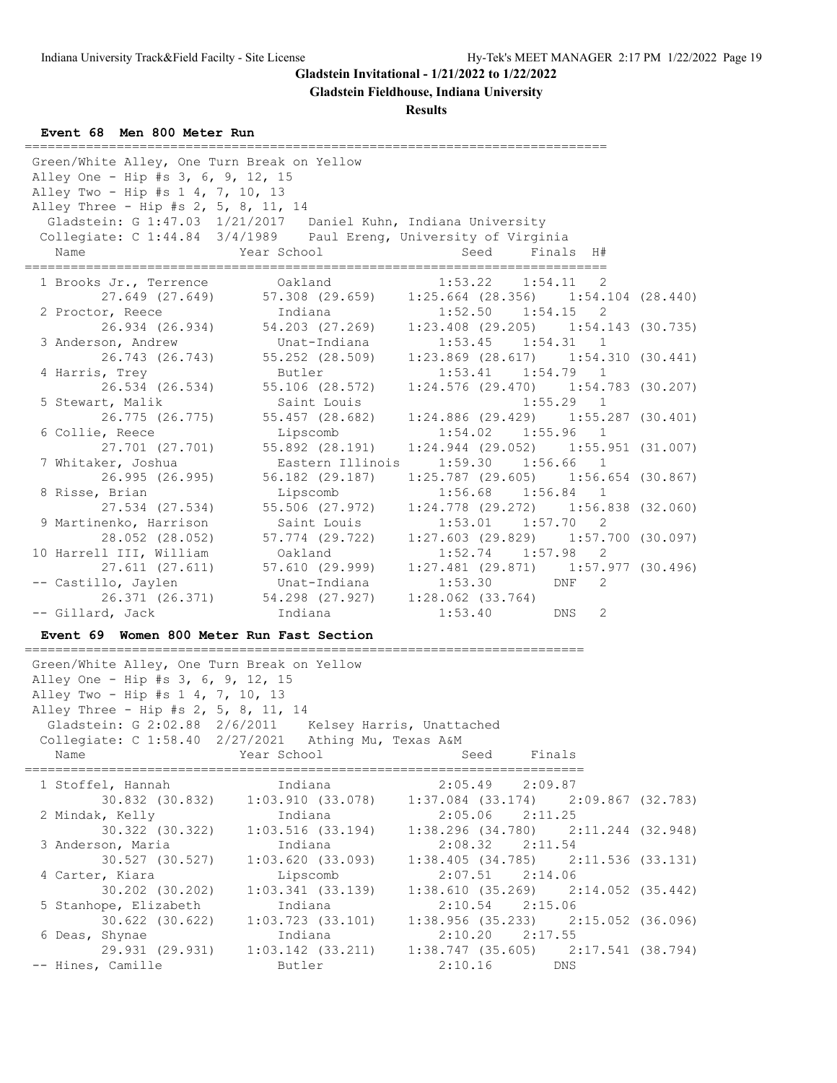**Gladstein Fieldhouse, Indiana University**

**Results**

**Event 68 Men 800 Meter Run**

| Green/White Alley, One Turn Break on Yellow<br>Alley One - Hip #s 3, 6, 9, 12, 15<br>Alley Two - Hip #s 1 4, 7, 10, 13<br>Alley Three - Hip #s 2, 5, 8, 11, 14<br>Gladstein: G 1:47.03 1/21/2017 Daniel Kuhn, Indiana University<br>Collegiate: C 1:44.84 3/4/1989 Paul Ereng, University of Virginia<br>Name | Year School                                     | Seed    | Finals H#                                                           |  |
|---------------------------------------------------------------------------------------------------------------------------------------------------------------------------------------------------------------------------------------------------------------------------------------------------------------|-------------------------------------------------|---------|---------------------------------------------------------------------|--|
| 1 Brooks Jr., Terrence                                                                                                                                                                                                                                                                                        | Oakland                                         |         | =================<br>$1:53.22$ $1:54.11$<br>-2                      |  |
| 27.649 (27.649)<br>2 Proctor, Reece                                                                                                                                                                                                                                                                           | 57.308 (29.659)<br>Indiana                      |         | $1:25.664$ (28.356) $1:54.104$ (28.440)<br>$1:52.50$ $1:54.15$<br>2 |  |
| 3 Anderson, Andrew                                                                                                                                                                                                                                                                                            | 26.934 (26.934) 54.203 (27.269)<br>Unat-Indiana |         | $1:23.408$ (29.205) $1:54.143$ (30.735)<br>$1:53.45$ $1:54.31$<br>1 |  |
| 26.743 (26.743)<br>4 Harris, Trey                                                                                                                                                                                                                                                                             | 55.252 (28.509)<br>Butler                       |         | $1:23.869$ (28.617) $1:54.310$ (30.441)<br>$1:53.41$ $1:54.79$<br>1 |  |
| 26.534 (26.534)                                                                                                                                                                                                                                                                                               | 55.106 (28.572)                                 |         | $1:24.576$ (29.470) $1:54.783$ (30.207)                             |  |
| 5 Stewart, Malik<br>26.775 (26.775)                                                                                                                                                                                                                                                                           | Saint Louis<br>55.457 (28.682)                  |         | $1:55.29$ 1<br>$1:24.886$ (29.429) $1:55.287$ (30.401)              |  |
| 6 Collie, Reece<br>27.701 (27.701)                                                                                                                                                                                                                                                                            | Lipscomb<br>55.892 (28.191)                     |         | $1:54.02$ $1:55.96$<br>1<br>$1:24.944$ (29.052) $1:55.951$ (31.007) |  |
| 7 Whitaker, Joshua                                                                                                                                                                                                                                                                                            | Eastern Illinois                                | 1:59.30 | $1:56.66$ 1                                                         |  |
| 26.995 (26.995)<br>8 Risse, Brian                                                                                                                                                                                                                                                                             | 56.182 (29.187)                                 |         | $1:25.787$ (29.605) $1:56.654$ (30.867)<br>$1:56.68$ $1:56.84$ 1    |  |
| 27.534 (27.534)                                                                                                                                                                                                                                                                                               | Lipscomb<br>55.506 (27.972)                     |         | $1:24.778$ (29.272) $1:56.838$ (32.060)                             |  |
| 9 Martinenko, Harrison                                                                                                                                                                                                                                                                                        | Saint Louis                                     | 1:53.01 | 1:57.70<br>2                                                        |  |
| 28.052 (28.052)                                                                                                                                                                                                                                                                                               | 57.774 (29.722)                                 |         | $1:27.603$ (29.829) $1:57.700$ (30.097)<br>2                        |  |
| 10 Harrell III, William<br>27.611(27.611)                                                                                                                                                                                                                                                                     | Oakland<br>57.610 (29.999)                      |         | $1:52.74$ $1:57.98$<br>$1:27.481$ (29.871) $1:57.977$ (30.496)      |  |
| -- Castillo, Jaylen                                                                                                                                                                                                                                                                                           | Unat-Indiana                                    | 1:53.30 | 2<br>DNF                                                            |  |
| 26.371 (26.371)                                                                                                                                                                                                                                                                                               | 54.298 (27.927) 1:28.062 (33.764)               |         |                                                                     |  |
| -- Gillard, Jack                                                                                                                                                                                                                                                                                              | Indiana                                         | 1:53.40 | 2<br>DNS                                                            |  |
| Event 69 Women 800 Meter Run Fast Section                                                                                                                                                                                                                                                                     |                                                 |         |                                                                     |  |
| Green/White Alley, One Turn Break on Yellow<br>Alley One - Hip #s 3, 6, 9, 12, 15<br>Alley Two - Hip #s 1 4, 7, 10, 13<br>Alley Three - Hip #s 2, 5, 8, 11, 14<br>Gladstein: G 2:02.88 2/6/2011 Kelsey Harris, Unattached<br>Collegiate: C 1:58.40 2/27/2021 Athing Mu, Texas A&M                             |                                                 |         | Finals                                                              |  |
| 1 Stoffel, Hannah                                                                                                                                                                                                                                                                                             | Indiana                                         |         | $2:05.49$ $2:09.87$                                                 |  |
| 30.832 (30.832)                                                                                                                                                                                                                                                                                               | 1:03.910(33.078)                                |         | $1:37.084$ (33.174) $2:09.867$ (32.783)                             |  |
| 2 Mindak, Kelly<br>30.322 (30.322)                                                                                                                                                                                                                                                                            | Indiana<br>$1:03.516$ (33.194)                  |         | $2:05.06$ $2:11.25$<br>$1:38.296$ (34.780) $2:11.244$ (32.948)      |  |
| 3 Anderson, Maria                                                                                                                                                                                                                                                                                             | Indiana                                         |         | $2:08.32$ $2:11.54$                                                 |  |
| 30.527 (30.527)<br>4 Carter, Kiara                                                                                                                                                                                                                                                                            | $1:03.620$ (33.093)<br>Lipscomb                 | 2:07.51 | $1:38.405$ (34.785) $2:11.536$ (33.131)<br>2:14.06                  |  |
| 30.202 (30.202)                                                                                                                                                                                                                                                                                               | $1:03.341$ (33.139)                             |         | $1:38.610$ (35.269) $2:14.052$ (35.442)                             |  |
| 5 Stanhope, Elizabeth                                                                                                                                                                                                                                                                                         | Indiana                                         |         | $2:10.54$ $2:15.06$                                                 |  |
| $30.622$ $(30.622)$                                                                                                                                                                                                                                                                                           | $1:03.723$ (33.101)                             |         | 1:38.956 (35.233) 2:15.052 (36.096)                                 |  |
| 6 Deas, Shynae<br>29.931 (29.931)                                                                                                                                                                                                                                                                             | Indiana<br>$1:03.142$ (33.211)                  |         | $2:10.20$ $2:17.55$<br>$1:38.747$ (35.605) $2:17.541$ (38.794)      |  |
| -- Hines, Camille                                                                                                                                                                                                                                                                                             | Butler                                          | 2:10.16 | DNS                                                                 |  |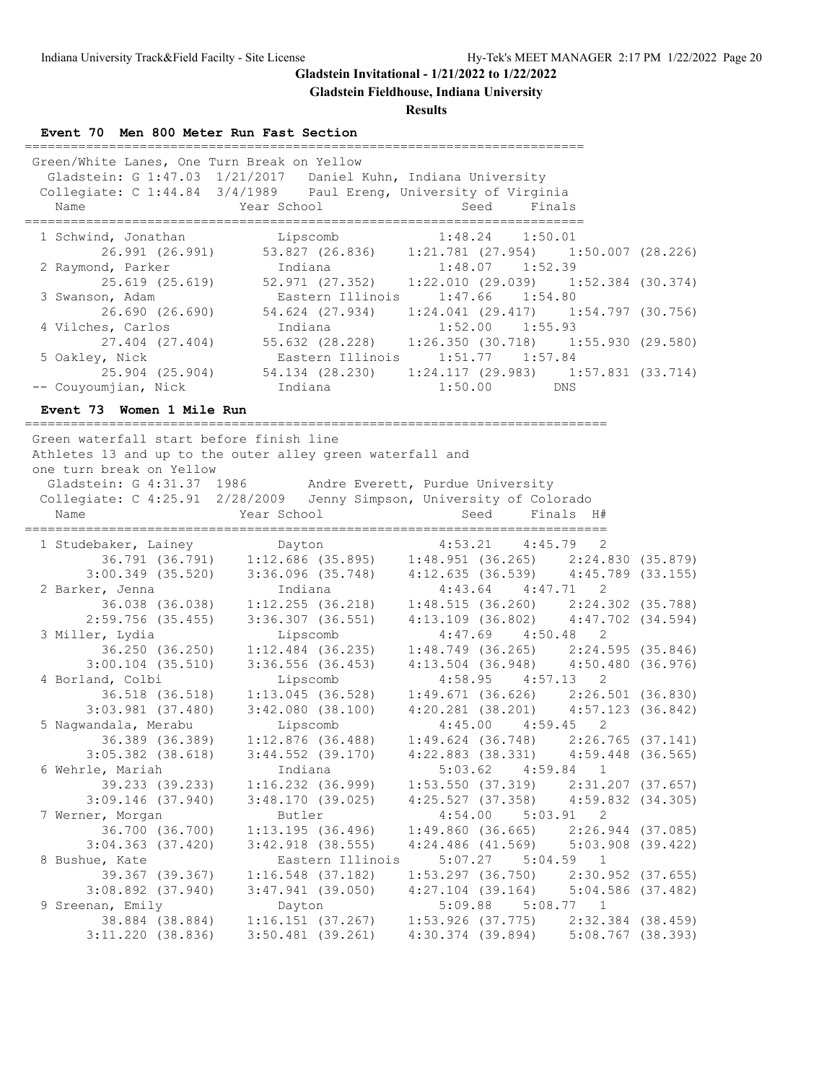**Gladstein Fieldhouse, Indiana University**

## **Results**

**Event 70 Men 800 Meter Run Fast Section**

| Green/White Lanes, One Turn Break on Yellow<br>Gladstein: G 1:47.03 1/21/2017 Daniel Kuhn, Indiana University<br>Collegiate: C 1:44.84 3/4/1989 Paul Ereng, University of Virginia<br>Name | <b>Example 2</b> Year School                                            | Seed                | Finals    |  |  |  |
|--------------------------------------------------------------------------------------------------------------------------------------------------------------------------------------------|-------------------------------------------------------------------------|---------------------|-----------|--|--|--|
| 1 Schwind, Jonathan Lipscomb 1:48.24 1:50.01                                                                                                                                               | 26.991 (26.991) 53.827 (26.836) 1:21.781 (27.954) 1:50.007 (28.226)     |                     |           |  |  |  |
| 2 Raymond, Parker 1:48.07 1:52.39                                                                                                                                                          |                                                                         |                     |           |  |  |  |
|                                                                                                                                                                                            | 25.619 (25.619) 52.971 (27.352) 1:22.010 (29.039) 1:52.384 (30.374)     |                     |           |  |  |  |
| 3 Swanson, Adam                                                                                                                                                                            | Eastern Illinois                                                        | $1:47.66$ $1:54.80$ |           |  |  |  |
|                                                                                                                                                                                            | 26.690 (26.690) 54.624 (27.934) 1:24.041 (29.417) 1:54.797 (30.756)     |                     |           |  |  |  |
| 4 Vilches, Carlos                                                                                                                                                                          | Indiana                                                                 | $1:52.00$ $1:55.93$ |           |  |  |  |
|                                                                                                                                                                                            | 27.404 (27.404) 55.632 (28.228) 1:26.350 (30.718) 1:55.930 (29.580)     |                     |           |  |  |  |
| 5 Oakley, Nick                                                                                                                                                                             | Eastern Illinois                                                        | $1:51.77$ $1:57.84$ |           |  |  |  |
|                                                                                                                                                                                            | 25.904 (25.904) 54.134 (28.230) 1:24.117 (29.983) 1:57.831 (33.714)     |                     |           |  |  |  |
| -- Couyoumjian, Nick andiana 1:50.00 DNS                                                                                                                                                   |                                                                         |                     |           |  |  |  |
| Event 73 Women 1 Mile Run                                                                                                                                                                  |                                                                         |                     |           |  |  |  |
| Green waterfall start before finish line<br>Athletes 13 and up to the outer alley green waterfall and<br>one turn break on Yellow                                                          |                                                                         |                     |           |  |  |  |
| Gladstein: G 4:31.37 1986 Andre Everett, Purdue University                                                                                                                                 |                                                                         |                     |           |  |  |  |
| Collegiate: C 4:25.91 2/28/2009 Jenny Simpson, University of Colorado                                                                                                                      |                                                                         |                     |           |  |  |  |
| Name                                                                                                                                                                                       | Year School                                                             | Seed                | Finals H# |  |  |  |
| 1 Studebaker, Lainey Dayton 1:53.21 4:45.79 2<br>36.791 (36.791) 1:12.686 (35.895) 1:48.951 (36.265) 2:24.830 (35.879)                                                                     |                                                                         |                     |           |  |  |  |
|                                                                                                                                                                                            |                                                                         |                     |           |  |  |  |
|                                                                                                                                                                                            | 3:00.349 (35.520) 3:36.096 (35.748) 4:12.635 (36.539) 4:45.789 (33.155) |                     |           |  |  |  |

| $3:00.349$ (35.520)   |                       | 3:36.096 (35.748)                                           | $4:12.635$ (36.539) $4:45.789$ (33.155) |  |
|-----------------------|-----------------------|-------------------------------------------------------------|-----------------------------------------|--|
| 2 Barker, Jenna       | Indiana               |                                                             | $4:43.64$ $4:47.71$ 2                   |  |
| 36.038 (36.038)       |                       | 1:12.255 (36.218)                                           | $1:48.515$ (36.260) $2:24.302$ (35.788) |  |
| 2:59.756 (35.455)     | $3:36.307$ $(36.551)$ |                                                             | 4:13.109 (36.802) 4:47.702 (34.594)     |  |
| 3 Miller, Lydia       | Lipscomb              |                                                             | $4:47.69$ $4:50.48$ 2                   |  |
| 36.250 (36.250)       |                       | $1:12.484$ (36.235)                                         | $1:48.749$ (36.265) $2:24.595$ (35.846) |  |
| $3:00.104$ $(35.510)$ |                       | 3:36.556 (36.453)                                           | 4:13.504 (36.948) 4:50.480 (36.976)     |  |
| 4 Borland, Colbi      | Lipscomb              |                                                             | $4:58.95$ $4:57.13$ 2                   |  |
| 36.518 (36.518)       |                       | $1:13.045$ (36.528)                                         | $1:49.671$ (36.626) $2:26.501$ (36.830) |  |
| $3:03.981$ $(37.480)$ | $3:42.080$ $(38.100)$ |                                                             | $4:20.281$ (38.201) $4:57.123$ (36.842) |  |
| 5 Nagwandala, Merabu  | Lipscomb              |                                                             | $4:45.00$ $4:59.45$ 2                   |  |
| 36.389 (36.389)       |                       | $1:12.876$ (36.488)                                         | $1:49.624$ (36.748) 2:26.765 (37.141)   |  |
| $3:05.382$ $(38.618)$ |                       | 3:44.552 (39.170)                                           | 4:22.883 (38.331) 4:59.448 (36.565)     |  |
| 6 Wehrle, Mariah      | Indiana               |                                                             | $5:03.62$ $4:59.84$ 1                   |  |
| 39.233 (39.233)       |                       | $1:16.232$ (36.999)                                         | $1:53.550$ (37.319) $2:31.207$ (37.657) |  |
| $3:09.146$ (37.940)   |                       | 3:48.170 (39.025)                                           | 4:25.527 (37.358) 4:59.832 (34.305)     |  |
| 7 Werner, Morgan      | Butler                |                                                             | $4:54.00$ $5:03.91$ 2                   |  |
| 36.700 (36.700)       |                       | 1:13.195(36.496)                                            | $1:49.860$ (36.665) $2:26.944$ (37.085) |  |
| $3:04.363$ (37.420)   |                       | $3:42.918$ (38.555)                                         | 4:24.486 (41.569) 5:03.908 (39.422)     |  |
| 8 Bushue, Kate        |                       | Eastern Illinois 5:07.27 5:04.59 1                          |                                         |  |
| 39.367 (39.367)       |                       | $1:16.548$ (37.182) $1:53.297$ (36.750) $2:30.952$ (37.655) |                                         |  |
| $3:08.892$ $(37.940)$ |                       | 3:47.941 (39.050) 4:27.104 (39.164) 5:04.586 (37.482)       |                                         |  |
| 9 Sreenan, Emily      | Dayton                |                                                             | $5:09.88$ $5:08.77$ 1                   |  |
| 38.884 (38.884)       |                       | $1:16.151$ (37.267) $1:53.926$ (37.775) $2:32.384$ (38.459) |                                         |  |
| 3:11.220 (38.836)     |                       | 3:50.481 (39.261)                                           | 4:30.374 (39.894) 5:08.767 (38.393)     |  |
|                       |                       |                                                             |                                         |  |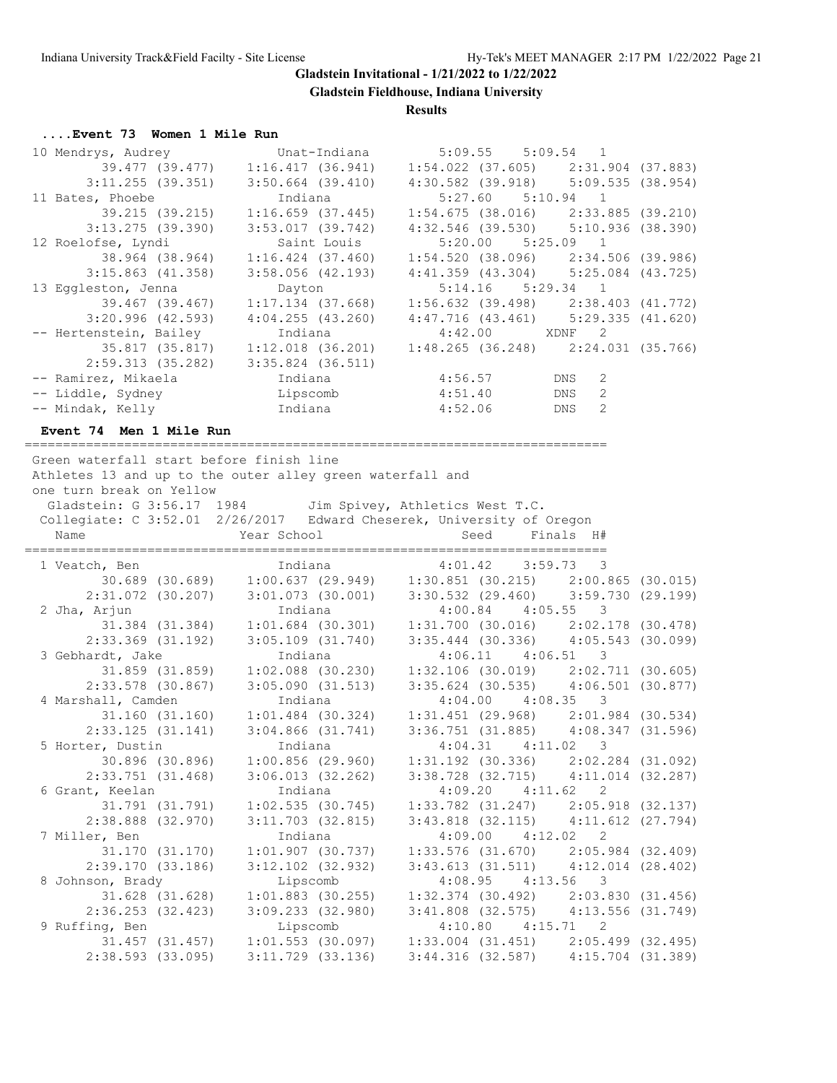**Gladstein Fieldhouse, Indiana University**

#### **Results**

#### **....Event 73 Women 1 Mile Run**

| 10 Mendrys, Audrey             | Unat-Indiana                      | $5:09.55$ $5:09.54$ 1                                                 |   |
|--------------------------------|-----------------------------------|-----------------------------------------------------------------------|---|
| 39.477 (39.477)                | 1:16.417(36.941)                  | $1:54.022$ (37.605) 2:31.904 (37.883)                                 |   |
| $3:11.255$ (39.351)            | $3:50.664$ (39.410)               | 4:30.582 (39.918) 5:09.535 (38.954)                                   |   |
| 11 Bates, Phoebe               | Indiana                           | $5:27.60$ $5:10.94$ 1                                                 |   |
| 39.215 (39.215)                | $1:16.659$ (37.445)               | $1:54.675$ (38.016) $2:33.885$ (39.210)                               |   |
| $3:13.275$ (39.390)            | $3:53.017$ (39.742)               | $4:32.546$ (39.530) $5:10.936$ (38.390)                               |   |
| 12 Roelofse, Lyndi             | Saint Louis                       | $5:20.00$ $5:25.09$ 1                                                 |   |
| 38.964 (38.964)                | $1:16.424$ (37.460)               | $1:54.520$ (38.096) $2:34.506$ (39.986)                               |   |
| $3:15.863$ (41.358)            | $3:58.056$ (42.193)               | $4:41.359$ (43.304) $5:25.084$ (43.725)                               |   |
|                                |                                   |                                                                       |   |
| 13 Eggleston, Jenna            | Dayton                            | $5:14.16$ $5:29.34$ 1                                                 |   |
|                                | 39.467 (39.467) 1:17.134 (37.668) | $1:56.632$ (39.498) $2:38.403$ (41.772)                               |   |
| 3:20.996(42.593)               | 4:04.255(43.260)                  | $4:47.716$ (43.461) $5:29.335$ (41.620)                               |   |
| -- Hertenstein, Bailey         | Indiana                           | 4:42.00 XDNF 2                                                        |   |
|                                |                                   | 35.817 (35.817) 1:12.018 (36.201) 1:48.265 (36.248) 2:24.031 (35.766) |   |
| 2:59.313 (35.282)              | $3:35.824$ $(36.511)$             |                                                                       |   |
| -- Ramirez, Mikaela            | Indiana                           | $4:56.57$ DNS                                                         | 2 |
|                                |                                   | DNS                                                                   | 2 |
| -- Mindak, Kelly Manus andiana |                                   | 4:52.06<br>DNS                                                        | 2 |

### **Event 74 Men 1 Mile Run**

============================================================================ Green waterfall start before finish line

 Athletes 13 and up to the outer alley green waterfall and one turn break on Yellow Gladstein: G 3:56.17 1984 Jim Spivey, Athletics West T.C. Collegiate: C 3:52.01 2/26/2017 Edward Cheserek, University of Oregon Name  $Year School$  School Seed Finals H# ============================================================================ 1 Veatch, Ben Indiana 4:01.42 3:59.73 3 30.689 (30.689) 1:00.637 (29.949) 1:30.851 (30.215) 2:00.865 (30.015) 2:31.072 (30.207) 3:01.073 (30.001) 3:30.532 (29.460) 3:59.730 (29.199) 2 Jha, Arjun Indiana 4:00.84 4:05.55 3 31.384 (31.384) 1:01.684 (30.301) 1:31.700 (30.016) 2:02.178 (30.478) 2:33.369 (31.192) 3:05.109 (31.740) 3:35.444 (30.336) 4:05.543 (30.099) 3 Gebhardt, Jake Indiana 4:06.11 4:06.51 3 31.859 (31.859) 1:02.088 (30.230) 1:32.106 (30.019) 2:02.711 (30.605) 2:33.578 (30.867) 3:05.090 (31.513) 3:35.624 (30.535) 4:06.501 (30.877) 4 Marshall, Camden Indiana 4:04.00 4:08.35 3 31.160 (31.160) 1:01.484 (30.324) 1:31.451 (29.968) 2:01.984 (30.534) 2:33.125 (31.141) 3:04.866 (31.741) 3:36.751 (31.885) 4:08.347 (31.596) 5 Horter, Dustin Indiana 4:04.31 4:11.02 3 30.896 (30.896) 1:00.856 (29.960) 1:31.192 (30.336) 2:02.284 (31.092) 2:33.751 (31.468) 3:06.013 (32.262) 3:38.728 (32.715) 4:11.014 (32.287) 6 Grant, Keelan Indiana 4:09.20 4:11.62 2 31.791 (31.791) 1:02.535 (30.745) 1:33.782 (31.247) 2:05.918 (32.137) 2:38.888 (32.970) 3:11.703 (32.815) 3:43.818 (32.115) 4:11.612 (27.794) 7 Miller, Ben Indiana 4:09.00 4:12.02 2

|                     | 31.170 (31.170) | $1:01.907$ (30.737)   |  | $1:33.576$ (31.670)                     | 2:05.984 (32.409)     |  |
|---------------------|-----------------|-----------------------|--|-----------------------------------------|-----------------------|--|
| 2:39.170(33.186)    |                 | $3:12.102$ $(32.932)$ |  | 3:43.613 (31.511)                       | $4:12.014$ $(28.402)$ |  |
| 8 Johnson, Brady    |                 | Lipscomb              |  | $4:08.95$ $4:13.56$ 3                   |                       |  |
|                     | 31.628 (31.628) | $1:01.883$ (30.255)   |  | $1:32.374$ (30.492) $2:03.830$ (31.456) |                       |  |
| $2:36.253$ (32.423) |                 | $3:09.233$ $(32.980)$ |  | $3:41.808$ (32.575) $4:13.556$ (31.749) |                       |  |
| 9 Ruffing, Ben      |                 | Lipscomb              |  | $4:10.80$ $4:15.71$ 2                   |                       |  |
|                     | 31.457 (31.457) | $1:01.553$ (30.097)   |  | $1:33.004$ (31.451) $2:05.499$ (32.495) |                       |  |
| 2:38.593(33.095)    |                 | $3:11.729$ $(33.136)$ |  | $3:44.316$ (32.587) $4:15.704$ (31.389) |                       |  |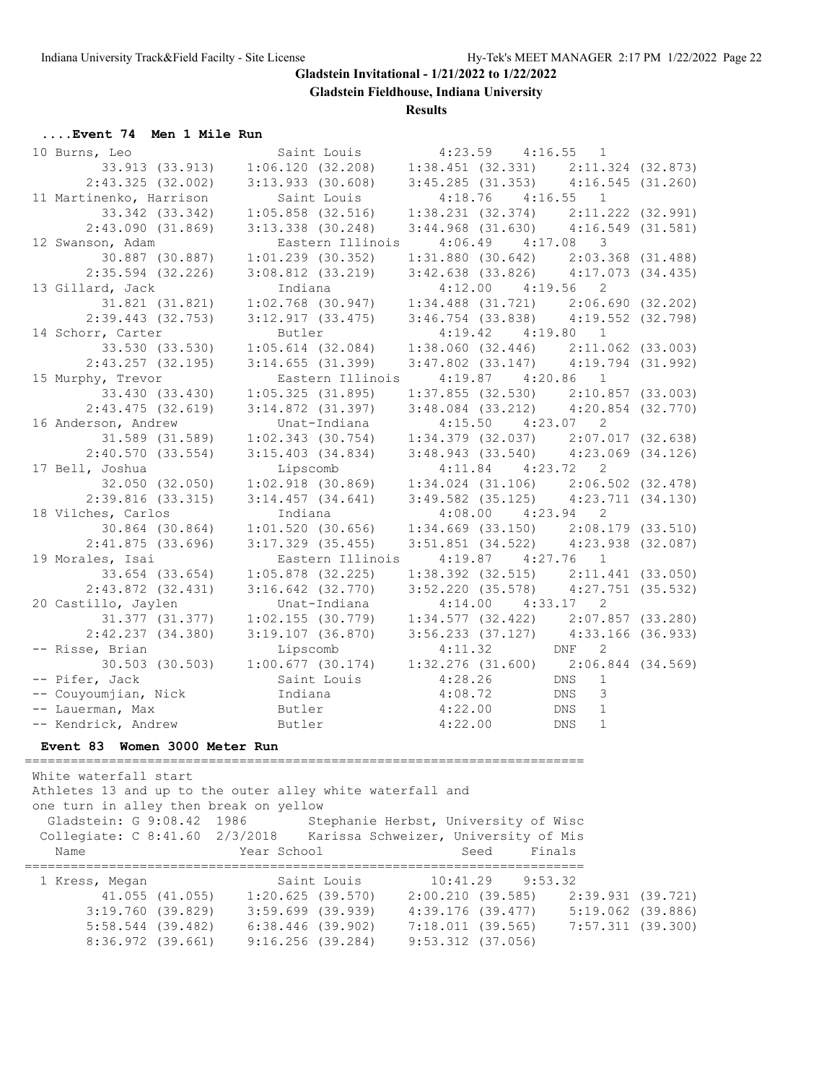**Gladstein Fieldhouse, Indiana University**

**Results**

#### **....Event 74 Men 1 Mile Run**

| 10 Burns, Leo           | Saint Louis                                                                                                                                                          | $4:23.59$ $4:16.55$ 1                   |               |  |
|-------------------------|----------------------------------------------------------------------------------------------------------------------------------------------------------------------|-----------------------------------------|---------------|--|
| 33.913 (33.913)         | $1:06.120$ (32.208) $1:38.451$ (32.331) $2:11.324$ (32.873)                                                                                                          |                                         |               |  |
| $2:43.325$ (32.002)     | $3:13.933$ (30.608) $3:45.285$ (31.353) $4:16.545$ (31.260)                                                                                                          |                                         |               |  |
| 11 Martinenko, Harrison | Saint Louis                                                                                                                                                          | $4:18.76$ $4:16.55$ 1                   |               |  |
| 33.342 (33.342)         | $1:05.858$ (32.516) $1:38.231$ (32.374) $2:11.222$ (32.991)                                                                                                          |                                         |               |  |
| 2:43.090(31.869)        | $3:13.338$ (30.248) $3:44.968$ (31.630) $4:16.549$ (31.581)                                                                                                          |                                         |               |  |
| 12 Swanson, Adam        |                                                                                                                                                                      | Eastern Illinois  4:06.49  4:17.08  3   |               |  |
|                         | 30.887 (30.887) 1:01.239 (30.352)                                                                                                                                    | $1:31.880$ (30.642) $2:03.368$ (31.488) |               |  |
| 2:35.594 (32.226)       | $3:08.812$ (33.219) $3:42.638$ (33.826) $4:17.073$ (34.435)                                                                                                          |                                         |               |  |
| 13 Gillard, Jack        | Indiana                                                                                                                                                              | $4:12.00$ $4:19.56$ 2                   |               |  |
| 31.821 (31.821)         | $1:02.768$ (30.947) $1:34.488$ (31.721) $2:06.690$ (32.202)                                                                                                          |                                         |               |  |
| $2:39.443$ (32.753)     | $3:12.917$ (33.475) $3:46.754$ (33.838) $4:19.552$ (32.798)                                                                                                          |                                         |               |  |
| 14 Schorr, Carter       | Butler                                                                                                                                                               | $4:19.42$ $4:19.80$ 1                   |               |  |
|                         | 33.530 (33.530) 1:05.614 (32.084) 1:38.060 (32.446) 2:11.062 (33.003)                                                                                                |                                         |               |  |
| $2:43.257$ (32.195)     | 3:14.655(31.399)                                                                                                                                                     | $3:47.802$ (33.147) $4:19.794$ (31.992) |               |  |
| 15 Murphy, Trevor       | Eastern Illinois                                                                                                                                                     | $4:19.87$ $4:20.86$ 1                   |               |  |
|                         | 33.430 (33.430) 1:05.325 (31.895)                                                                                                                                    | $1:37.855$ (32.530) $2:10.857$ (33.003) |               |  |
| 2:43.475(32.619)        | $3:14.872$ (31.397) $3:48.084$ (33.212) $4:20.854$ (32.770)                                                                                                          |                                         |               |  |
| 16 Anderson, Andrew     | Unat-Indiana                                                                                                                                                         | $4:15.50$ $4:23.07$ 2                   |               |  |
|                         | $31.589$ (31.589) $1:02.343$ (30.754) $1:34.379$ (32.037) $2:07.017$ (32.638)                                                                                        |                                         |               |  |
|                         | 2:40.570 (33.554) 3:15.403 (34.834) 3:48.943 (33.540) 4:23.069 (34.126)                                                                                              |                                         |               |  |
| 17 Bell, Joshua         | Lipscomb                                                                                                                                                             | $4:11.84$ $4:23.72$ 2                   |               |  |
| 32.050 (32.050)         | $\begin{array}{cccc} 1:02.918 & (30.869) & 1:34.024 & (31.106) & 2:06.502 & (32.478) \\ 3:14.457 & (34.641) & 3:49.582 & (35.125) & 4:23.711 & (34.130) \end{array}$ |                                         |               |  |
| $2:39.816$ (33.315)     |                                                                                                                                                                      |                                         |               |  |
| 18 Vilches, Carlos      | Indiana                                                                                                                                                              | $4:08.00$ $4:23.94$ 2                   |               |  |
| 30.864 (30.864)         | $1:01.520$ (30.656)                                                                                                                                                  | $1:34.669$ (33.150) $2:08.179$ (33.510) |               |  |
| 2:41.875(33.696)        | $3:17.329$ (35.455)                                                                                                                                                  | 3:51.851 (34.522) 4:23.938 (32.087)     |               |  |
| 19 Morales, Isai        | Eastern Illinois                                                                                                                                                     | $4:19.87$ $4:27.76$ 1                   |               |  |
| 33.654 (33.654)         | $1:05.878$ (32.225)                                                                                                                                                  | $1:38.392$ (32.515) $2:11.441$ (33.050) |               |  |
| $2:43.872$ $(32.431)$   | $3:16.642$ (32.770)                                                                                                                                                  | 3:52.220 (35.578) 4:27.751 (35.532)     |               |  |
| 20 Castillo, Jaylen     | Unat-Indiana                                                                                                                                                         | $4:14.00$ $4:33.17$ 2                   |               |  |
|                         | 31.377 (31.377)  1:02.155 (30.779)  1:34.577 (32.422)  2:07.857 (33.280)                                                                                             |                                         |               |  |
|                         | 2:42.237 (34.380) 3:19.107 (36.870) 3:56.233 (37.127) 4:33.166 (36.933)                                                                                              |                                         |               |  |
| -- Risse, Brian         | Lipscomb 4:11.32 DNF 2<br>1:00.677 (30.174) 1:32.276 (31.600) 2:06.844 (34.569)                                                                                      |                                         |               |  |
| 30.503 (30.503)         |                                                                                                                                                                      |                                         |               |  |
| -- Pifer, Jack          | Saint Louis<br>Saint Louis<br>Indiana $4:28.26$ DNS<br>Butler $4:22.00$ DNS<br>Butler $4:22.00$ DNS<br>Butler $4:22.00$ DNS                                          |                                         | $\mathbf{1}$  |  |
| -- Couyoumjian, Nick    |                                                                                                                                                                      |                                         | $\mathcal{E}$ |  |
| -- Lauerman, Max        |                                                                                                                                                                      |                                         | $\mathbf{1}$  |  |
| -- Kendrick, Andrew     | Butler                                                                                                                                                               |                                         | $\mathbf{1}$  |  |

#### **Event 83 Women 3000 Meter Run**

 White waterfall start Athletes 13 and up to the outer alley white waterfall and one turn in alley then break on yellow Gladstein: G 9:08.42 1986 Stephanie Herbst, University of Wisc Collegiate: C 8:41.60 2/3/2018 Karissa Schweizer, University of Mis Name Year School Seed Finals ========================================================================= 1 Kress, Megan Saint Louis 10:41.29 9:53.32 41.055 (41.055) 1:20.625 (39.570) 2:00.210 (39.585) 2:39.931 (39.721) 3:19.760 (39.829) 3:59.699 (39.939) 4:39.176 (39.477) 5:19.062 (39.886) 5:58.544 (39.482) 6:38.446 (39.902) 7:18.011 (39.565) 7:57.311 (39.300) 8:36.972 (39.661) 9:16.256 (39.284) 9:53.312 (37.056)

=========================================================================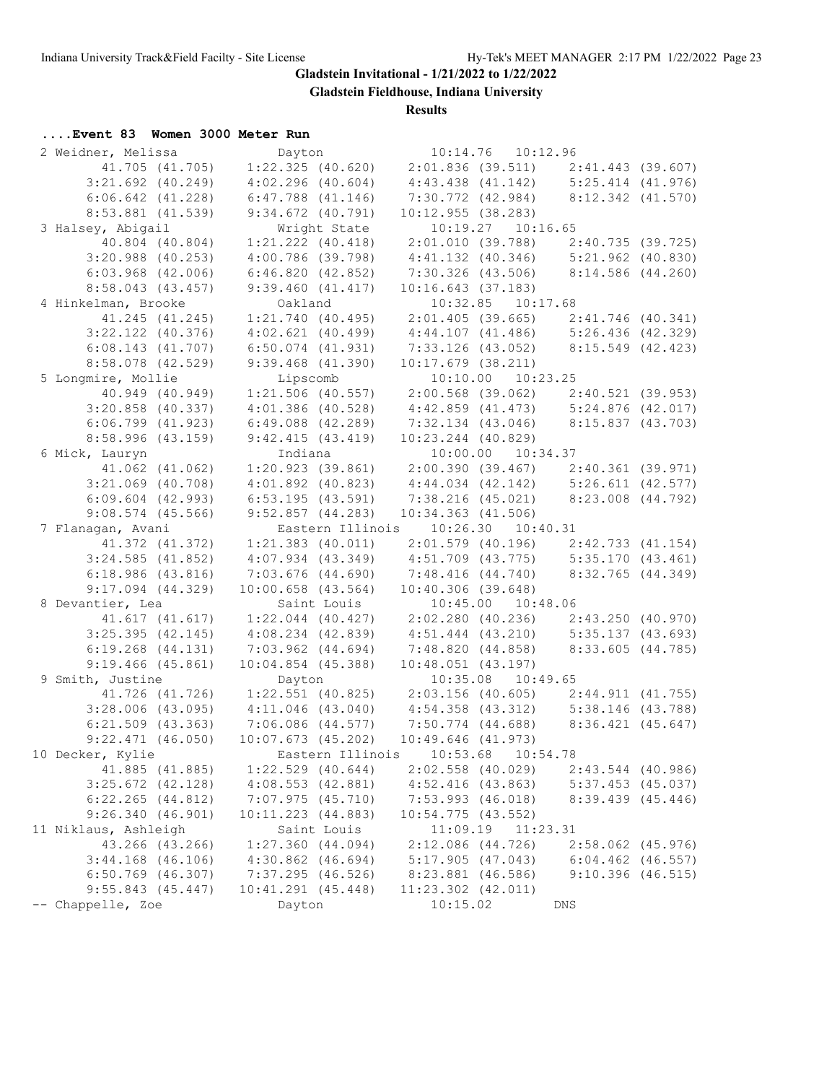**Gladstein Fieldhouse, Indiana University**

## **Results**

# **....Event 83 Women 3000 Meter Run**

| 2 Weidner, Melissa                | Dayton                 | 10:14.76  10:12.96                                                                                                |                       |
|-----------------------------------|------------------------|-------------------------------------------------------------------------------------------------------------------|-----------------------|
| 41.705 (41.705)                   | $1:22.325$ (40.620)    | 2:01.836 (39.511) 2:41.443 (39.607)                                                                               |                       |
| $3:21.692$ (40.249)               | $4:02.296$ $(40.604)$  | 4:43.438 (41.142) 5:25.414 (41.976)                                                                               |                       |
| $6:06.642$ $(41.228)$             | $6:47.788$ $(41.146)$  | 7:30.772 (42.984) 8:12.342 (41.570)                                                                               |                       |
| 8:53.881 (41.539)                 | $9:34.672$ (40.791)    | 10:12.955(38.283)                                                                                                 |                       |
| 3 Halsey, Abigail                 | Wright State           | 10:19.27  10:16.65                                                                                                |                       |
| 40.804 (40.804)                   | $1:21.222$ $(40.418)$  | $2:01.010$ (39.788) $2:40.735$ (39.725)                                                                           |                       |
| $3:20.988$ (40.253)               | $4:00.786$ (39.798)    | $4:41.132$ (40.346) $5:21.962$ (40.830)                                                                           |                       |
| $6:03.968$ $(42.006)$             | 6:46.820(42.852)       | 7:30.326 (43.506) 8:14.586 (44.260)                                                                               |                       |
| 8:58.043(43.457)                  | 9:39.460(41.417)       | 10:16.643(37.183)                                                                                                 |                       |
| 4 Hinkelman, Brooke               | Oakland                | 10:32.85  10:17.68                                                                                                |                       |
| 41.245 (41.245)                   |                        | $1:21.740$ (40.495) $2:01.405$ (39.665) $2:41.746$ (40.341)                                                       |                       |
| $3:22.122$ (40.376)               | $4:02.621$ $(40.499)$  | $4:44.107$ (41.486) $5:26.436$ (42.329)                                                                           |                       |
| $6:08.143$ $(41.707)$             | $6:50.074$ $(41.931)$  | 7:33.126 (43.052) 8:15.549 (42.423)                                                                               |                       |
| 8:58.078 (42.529)                 | $9:39.468$ $(41.390)$  | $10:17.679$ (38.211)                                                                                              |                       |
| 5 Longmire, Mollie                | Lipscomb               | 10:10.00 10:23.25                                                                                                 |                       |
| 40.949 (40.949)                   | $1:21.506$ (40.557)    | $2:00.568$ (39.062) $2:40.521$ (39.953)                                                                           |                       |
| $3:20.858$ (40.337)               | $4:01.386$ (40.528)    | $4:42.859$ (41.473) $5:24.876$ (42.017)                                                                           |                       |
| $6:06.799$ $(41.923)$             | $6:49.088$ $(42.289)$  | $7:32.134$ (43.046) 8:15.837 (43.703)                                                                             |                       |
| $8:58.996$ (43.159)               | 9:42.415(43.419)       | $10:23.244$ (40.829)                                                                                              |                       |
|                                   | Indiana                | 10:00.00 10:34.37                                                                                                 |                       |
| 6 Mick, Lauryn<br>41.062 (41.062) | $1:20.923$ (39.861)    |                                                                                                                   |                       |
| $3:21.069$ (40.708)               |                        | 2:00.390 (39.467) 2:40.361 (39.971)<br>4:44.034 (42.142) 5:26.611 (42.577)<br>7:38.216 (45.021) 8:23.008 (44.792) |                       |
|                                   | $4:01.892$ (40.823)    |                                                                                                                   |                       |
| $6:09.604$ $(42.993)$             | 6:53.195(43.591)       |                                                                                                                   |                       |
| $9:08.574$ (45.566)               | $9:52.857$ $(44.283)$  | $10:34.363$ $(41.506)$                                                                                            |                       |
| 7 Flanagan, Avani                 | Eastern Illinois       | 10:26.30  10:40.31                                                                                                |                       |
| 41.372 (41.372)                   | $1:21.383$ $(40.011)$  | $2:01.579$ (40.196) $2:42.733$ (41.154)                                                                           |                       |
| $3:24.585$ (41.852)               | 4:07.934 (43.349)      | 4:51.709 (43.775) 5:35.170 (43.461)                                                                               |                       |
| 6:18.986(43.816)                  |                        | $7:03.676$ (44.690) $7:48.416$ (44.740) $8:32.765$ (44.349)                                                       |                       |
| $9:17.094$ $(44.329)$             | $10:00.658$ (43.564)   | $10:40.306$ (39.648)                                                                                              |                       |
| 8 Devantier, Lea                  | Saint Louis            | 10:45.00 10:48.06                                                                                                 |                       |
| 41.617 (41.617)                   |                        | $1:22.044$ (40.427) $2:02.280$ (40.236) $2:43.250$ (40.970)                                                       |                       |
| $3:25.395$ (42.145)               | $4:08.234$ $(42.839)$  | 4:51.444 (43.210) 5:35.137 (43.693)                                                                               |                       |
| $6:19.268$ $(44.131)$             | 7:03.962 (44.694)      | 7:48.820 (44.858) 8:33.605 (44.785)                                                                               |                       |
| $9:19.466$ (45.861)               | $10:04.854$ (45.388)   | $10:48.051$ (43.197)                                                                                              |                       |
| 9 Smith, Justine                  | Dayton                 | 10:35.08 10:49.65                                                                                                 |                       |
|                                   |                        | 41.726 (41.726) 1:22.551 (40.825) 2:03.156 (40.605) 2:44.911 (41.755)                                             |                       |
|                                   |                        | 3:28.006 (43.095) 4:11.046 (43.040) 4:54.358 (43.312) 5:38.146 (43.788)                                           |                       |
|                                   |                        | 6:21.509 (43.363) 7:06.086 (44.577) 7:50.774 (44.688) 8:36.421 (45.647)                                           |                       |
| $9:22.471$ $(46.050)$             |                        | $10:07.673$ (45.202) $10:49.646$ (41.973)                                                                         |                       |
| 10 Decker, Kylie                  |                        | Eastern Illinois 10:53.68 10:54.78                                                                                |                       |
| 41.885 (41.885)                   | $1:22.529$ $(40.644)$  | $2:02.558$ (40.029)                                                                                               | $2:43.544$ (40.986)   |
| $3:25.672$ $(42.128)$             | 4:08.553(42.881)       | $4:52.416$ $(43.863)$                                                                                             | $5:37.453$ (45.037)   |
| $6:22.265$ $(44.812)$             | $7:07.975$ $(45.710)$  | 7:53.993(46.018)                                                                                                  | 8:39.439(45.446)      |
| 9:26.340(46.901)                  | 10:11.223 (44.883)     | 10:54.775(43.552)                                                                                                 |                       |
| 11 Niklaus, Ashleigh              | Saint Louis            | 11:09.19<br>11:23.31                                                                                              |                       |
| 43.266 (43.266)                   | $1:27.360$ $(44.094)$  | $2:12.086$ (44.726)                                                                                               | $2:58.062$ (45.976)   |
| $3:44.168$ $(46.106)$             | $4:30.862$ $(46.694)$  | 5:17.905(47.043)                                                                                                  | $6:04.462$ $(46.557)$ |
| $6:50.769$ (46.307)               | $7:37.295$ (46.526)    | 8:23.881 (46.586)                                                                                                 | $9:10.396$ (46.515)   |
| $9:55.843$ (45.447)               | $10:41.291$ $(45.448)$ | $11:23.302$ $(42.011)$                                                                                            |                       |
| -- Chappelle, Zoe                 | Dayton                 | 10:15.02                                                                                                          | DNS                   |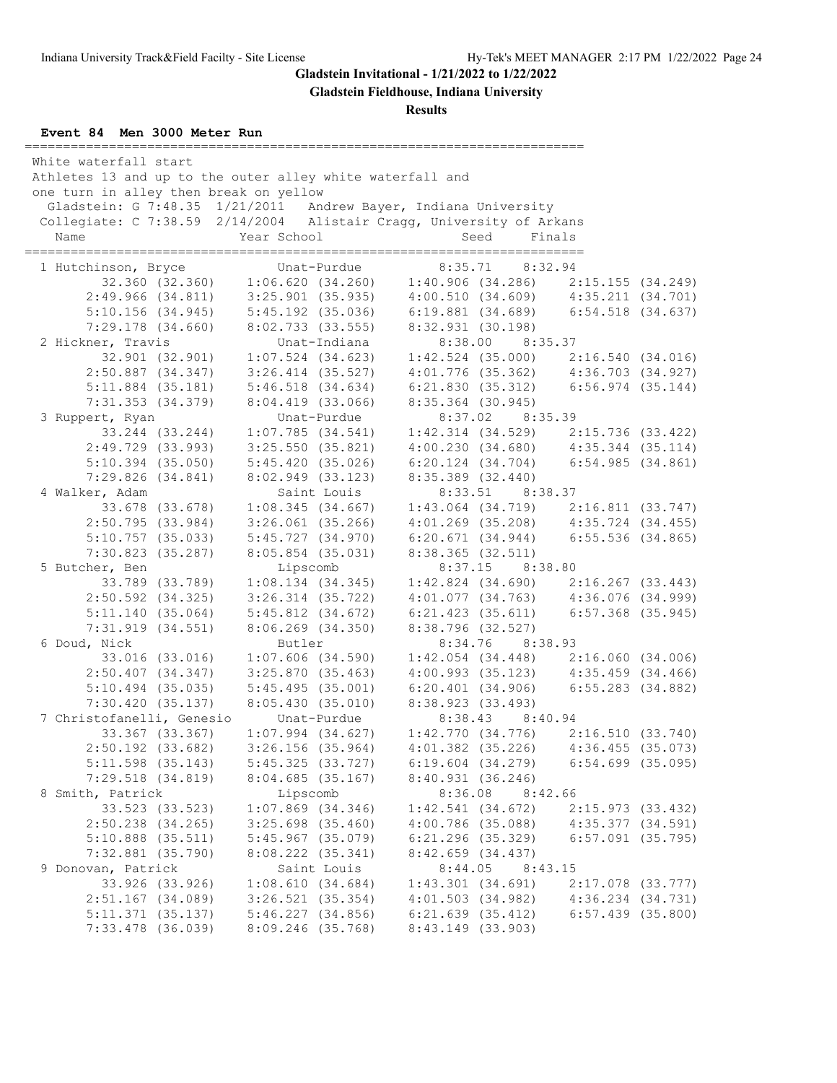**Gladstein Fieldhouse, Indiana University**

## **Results**

### **Event 84 Men 3000 Meter Run**

| White waterfall start<br>Name |                                         | Athletes 13 and up to the outer alley white waterfall and<br>one turn in alley then break on yellow<br>Gladstein: G 7:48.35 1/21/2011 Andrew Bayer, Indiana University<br>Collegiate: C 7:38.59 2/14/2004 Alistair Cragg, University of Arkans<br>Year School |              |                                                                              | Seed    | Finals          |                                         |
|-------------------------------|-----------------------------------------|---------------------------------------------------------------------------------------------------------------------------------------------------------------------------------------------------------------------------------------------------------------|--------------|------------------------------------------------------------------------------|---------|-----------------|-----------------------------------------|
|                               |                                         |                                                                                                                                                                                                                                                               |              |                                                                              |         |                 |                                         |
| 1 Hutchinson, Bryce           |                                         |                                                                                                                                                                                                                                                               | Unat-Purdue  |                                                                              |         | 8:35.71 8:32.94 |                                         |
|                               |                                         | 32.360 (32.360) 1:06.620 (34.260) 1:40.906 (34.286) 2:15.155 (34.249)                                                                                                                                                                                         |              |                                                                              |         |                 |                                         |
|                               | 2:49.966(34.811)                        | $3:25.901$ (35.935)                                                                                                                                                                                                                                           |              | 4:00.510 (34.609)  4:35.211 (34.701)<br>6:19.881 (34.689)  6:54.518 (34.637) |         |                 |                                         |
|                               | $5:10.156$ (34.945)                     | $5:45.192$ (35.036)                                                                                                                                                                                                                                           |              |                                                                              |         |                 |                                         |
|                               | $7:29.178$ $(34.660)$                   | 8:02.733(33.555)                                                                                                                                                                                                                                              | Unat-Indiana | 8:32.931(30.198)                                                             |         | 8:38.00 8:35.37 |                                         |
| 2 Hickner, Travis             | 32.901 (32.901)                         | $1:07.524$ (34.623)                                                                                                                                                                                                                                           |              |                                                                              |         |                 |                                         |
|                               | $2:50.887$ $(34.347)$                   | $3:26.414$ $(35.527)$                                                                                                                                                                                                                                         |              |                                                                              |         |                 | $1:42.524$ (35.000) $2:16.540$ (34.016) |
|                               | $5:11.884$ (35.181)                     | $5:46.518$ $(34.634)$                                                                                                                                                                                                                                         |              | $4:01.776$ (35.362) $4:36.703$ (34.927)                                      |         |                 | $6:21.830$ (35.312) $6:56.974$ (35.144) |
|                               | 7:31.353 (34.379)                       | $8:04.419$ (33.066)                                                                                                                                                                                                                                           |              | 8:35.364 (30.945)                                                            |         |                 |                                         |
| 3 Ruppert, Ryan               |                                         |                                                                                                                                                                                                                                                               | Unat-Purdue  |                                                                              |         | 8:37.02 8:35.39 |                                         |
|                               | 33.244 (33.244)                         | 1:07.785(34.541)                                                                                                                                                                                                                                              |              |                                                                              |         |                 | $1:42.314$ (34.529) $2:15.736$ (33.422) |
|                               | 2:49.729 (33.993)                       | $3:25.550$ $(35.821)$                                                                                                                                                                                                                                         |              |                                                                              |         |                 | $4:00.230$ (34.680) $4:35.344$ (35.114) |
|                               | $5:10.394$ (35.050)                     | 5:45.420(35.026)                                                                                                                                                                                                                                              |              | $6:20.124$ $(34.704)$                                                        |         |                 | 6:54.985(34.861)                        |
|                               | 7:29.826(34.841)                        | 8:02.949(33.123)                                                                                                                                                                                                                                              |              | $8:35.389$ (32.440)                                                          |         |                 |                                         |
| 4 Walker, Adam                |                                         |                                                                                                                                                                                                                                                               | Saint Louis  |                                                                              |         | 8:33.51 8:38.37 |                                         |
|                               | 33.678 (33.678)                         | 1:08.345(34.667)                                                                                                                                                                                                                                              |              |                                                                              |         |                 | $1:43.064$ (34.719) $2:16.811$ (33.747) |
|                               | 2:50.795(33.984)                        | $3:26.061$ $(35.266)$                                                                                                                                                                                                                                         |              |                                                                              |         |                 | $4:01.269$ (35.208) $4:35.724$ (34.455) |
|                               | $5:10.757$ (35.033)                     | 5:45.727 (34.970)                                                                                                                                                                                                                                             |              | 6:20.671 (34.944) 6:55.536 (34.865)                                          |         |                 |                                         |
|                               | 7:30.823(35.287)                        | $8:05.854$ (35.031)                                                                                                                                                                                                                                           |              | 8:38.365(32.511)                                                             |         |                 |                                         |
| 5 Butcher, Ben                |                                         | Lipscomb                                                                                                                                                                                                                                                      |              |                                                                              |         | 8:37.15 8:38.80 |                                         |
|                               | 33.789 (33.789)                         | $1:08.134$ $(34.345)$                                                                                                                                                                                                                                         |              |                                                                              |         |                 | $1:42.824$ (34.690) $2:16.267$ (33.443) |
|                               | $2:50.592$ $(34.325)$                   | $3:26.314$ $(35.722)$                                                                                                                                                                                                                                         |              |                                                                              |         |                 | $4:01.077$ (34.763) $4:36.076$ (34.999) |
|                               | 5:11.140(35.064)                        | $5:45.812$ $(34.672)$                                                                                                                                                                                                                                         |              | $6:21.423$ $(35.611)$                                                        |         |                 | $6:57.368$ (35.945)                     |
|                               | 7:31.919(34.551)                        | 8:06.269 (34.350)                                                                                                                                                                                                                                             |              | 8:38.796 (32.527)                                                            |         |                 |                                         |
| 6 Doud, Nick                  |                                         | Butler                                                                                                                                                                                                                                                        |              |                                                                              |         | 8:34.76 8:38.93 |                                         |
|                               | 33.016 (33.016)                         | $1:07.606$ (34.590)                                                                                                                                                                                                                                           |              |                                                                              |         |                 | $1:42.054$ (34.448) $2:16.060$ (34.006) |
|                               | $2:50.407$ (34.347)                     | $3:25.870$ (35.463)                                                                                                                                                                                                                                           |              |                                                                              |         |                 | $4:00.993$ (35.123) $4:35.459$ (34.466) |
|                               | $5:10.494$ (35.035)                     | 5:45.495(35.001)                                                                                                                                                                                                                                              |              | $6:20.401$ $(34.906)$                                                        |         |                 | $6:55.283$ $(34.882)$                   |
|                               | 7:30.420(35.137)                        | 8:05.430(35.010)                                                                                                                                                                                                                                              |              | 8:38.923 (33.493)                                                            |         |                 |                                         |
|                               | 7 Christofanelli, Genesio               |                                                                                                                                                                                                                                                               | Unat-Purdue  |                                                                              |         | 8:38.43 8:40.94 |                                         |
|                               | 33.367 (33.367)                         |                                                                                                                                                                                                                                                               |              | $1:07.994$ (34.627) $1:42.770$ (34.776) $2:16.510$ (33.740)                  |         |                 |                                         |
|                               | $2:50.192$ (33.682)                     | $3:26.156$ (35.964)                                                                                                                                                                                                                                           |              | $4:01.382$ $(35.226)$                                                        |         |                 | 4:36.455(35.073)                        |
|                               | $5:11.598$ (35.143)                     | $5:45.325$ (33.727)                                                                                                                                                                                                                                           |              | $6:19.604$ $(34.279)$                                                        |         |                 | $6:54.699$ (35.095)                     |
|                               | $7:29.518$ $(34.819)$                   | 8:04.685(35.167)                                                                                                                                                                                                                                              |              | 8:40.931(36.246)                                                             |         |                 |                                         |
| 8 Smith, Patrick              |                                         | Lipscomb                                                                                                                                                                                                                                                      |              |                                                                              | 8:36.08 | 8:42.66         |                                         |
|                               | 33.523 (33.523)                         | $1:07.869$ $(34.346)$                                                                                                                                                                                                                                         |              | 1:42.541(34.672)                                                             |         |                 | 2:15.973(33.432)                        |
|                               | $2:50.238$ $(34.265)$                   | $3:25.698$ (35.460)                                                                                                                                                                                                                                           |              | $4:00.786$ (35.088)                                                          |         |                 | 4:35.377(34.591)                        |
|                               | $5:10.888$ (35.511)                     | $5:45.967$ (35.079)                                                                                                                                                                                                                                           |              | $6:21.296$ $(35.329)$                                                        |         |                 | $6:57.091$ (35.795)                     |
|                               | 7:32.881 (35.790)                       | 8:08.222 (35.341)                                                                                                                                                                                                                                             |              | 8:42.659(34.437)                                                             |         |                 |                                         |
| 9 Donovan, Patrick            |                                         |                                                                                                                                                                                                                                                               | Saint Louis  |                                                                              | 8:44.05 | 8:43.15         |                                         |
|                               | 33.926 (33.926)                         | 1:08.610(34.684)                                                                                                                                                                                                                                              |              | 1:43.301(34.691)                                                             |         |                 | 2:17.078 (33.777)                       |
|                               | $2:51.167$ (34.089)                     | $3:26.521$ $(35.354)$                                                                                                                                                                                                                                         |              | $4:01.503$ (34.982)                                                          |         |                 | $4:36.234$ $(34.731)$                   |
|                               | 5:11.371(35.137)<br>$7:33.478$ (36.039) | $5:46.227$ $(34.856)$<br>8:09.246 (35.768)                                                                                                                                                                                                                    |              | $6:21.639$ $(35.412)$<br>8:43.149 (33.903)                                   |         |                 | $6:57.439$ $(35.800)$                   |
|                               |                                         |                                                                                                                                                                                                                                                               |              |                                                                              |         |                 |                                         |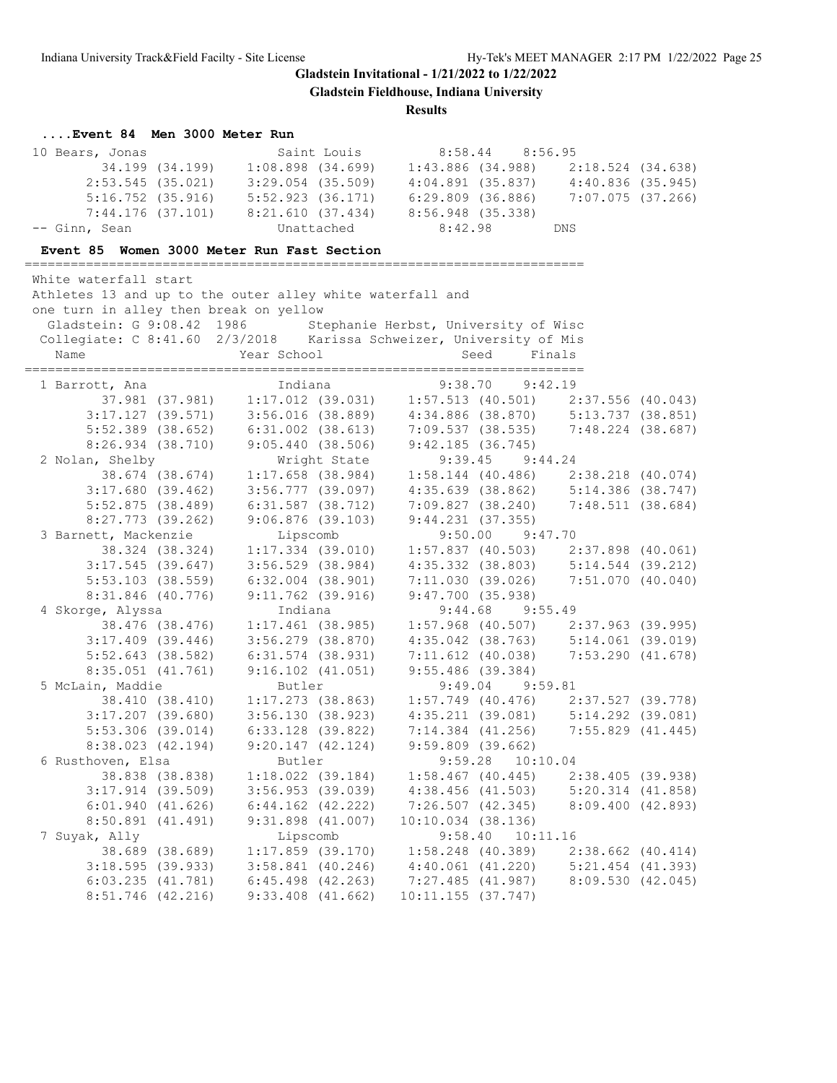**Gladstein Fieldhouse, Indiana University**

**Results**

# **....Event 84 Men 3000 Meter Run**

| 10 Bears, Jonas           |                                                                                                                                                                                       | Saint Louis                          |                       | 8:58.44 8:56.95     |                                                                                                                                                                       |  |
|---------------------------|---------------------------------------------------------------------------------------------------------------------------------------------------------------------------------------|--------------------------------------|-----------------------|---------------------|-----------------------------------------------------------------------------------------------------------------------------------------------------------------------|--|
|                           | 34.199 (34.199) 1:08.898 (34.699) 1:43.886 (34.988) 2:18.524 (34.638)                                                                                                                 |                                      |                       |                     |                                                                                                                                                                       |  |
|                           | $2:53.545$ (35.021) 3:29.054 (35.509)                                                                                                                                                 |                                      |                       |                     | $4:04.891$ (35.837) $4:40.836$ (35.945)                                                                                                                               |  |
|                           | $5:16.752$ (35.916) $5:52.923$ (36.171)                                                                                                                                               |                                      | 6:29.809 (36.886)     |                     | $7:07.075$ (37.266)                                                                                                                                                   |  |
|                           | $7:44.176$ (37.101) $8:21.610$ (37.434)                                                                                                                                               |                                      | 8:56.948 (35.338)     |                     |                                                                                                                                                                       |  |
| -- Ginn, Sean             |                                                                                                                                                                                       | Unattached                           | 8:42.98               |                     | DNS                                                                                                                                                                   |  |
|                           | Event 85 Women 3000 Meter Run Fast Section                                                                                                                                            |                                      |                       |                     |                                                                                                                                                                       |  |
| White waterfall start     |                                                                                                                                                                                       |                                      |                       |                     |                                                                                                                                                                       |  |
|                           | Athletes 13 and up to the outer alley white waterfall and                                                                                                                             |                                      |                       |                     |                                                                                                                                                                       |  |
| Gladstein: G 9:08.42 1986 | one turn in alley then break on yellow                                                                                                                                                |                                      |                       |                     |                                                                                                                                                                       |  |
|                           | Collegiate: C 8:41.60 2/3/2018 Karissa Schweizer, University of Mis                                                                                                                   | Stephanie Herbst, University of Wisc |                       |                     |                                                                                                                                                                       |  |
| Name                      | Year School                                                                                                                                                                           |                                      | Seed                  |                     | Finals                                                                                                                                                                |  |
|                           |                                                                                                                                                                                       |                                      |                       |                     |                                                                                                                                                                       |  |
| 1 Barrott, Ana            | Indiana                                                                                                                                                                               |                                      |                       | $9:38.70$ $9:42.19$ |                                                                                                                                                                       |  |
|                           | 0tt, Ana 1ndiana 19:38.70 9:42.19<br>37.981 (37.981) 1:17.012 (39.031) 1:57.513 (40.501) 2:37.556 (40.043)<br>3:17.127 (39.571) 3:56.016 (38.889) 4:34.886 (38.870) 5:13.737 (38.851) |                                      |                       |                     |                                                                                                                                                                       |  |
|                           |                                                                                                                                                                                       |                                      | 4:34.886(38.870)      |                     |                                                                                                                                                                       |  |
|                           | $5:52.389$ (38.652) 6:31.002 (38.613)                                                                                                                                                 |                                      | 7:09.537 (38.535)     |                     | 7:48.224 (38.687)                                                                                                                                                     |  |
| $8:26.934$ (38.710)       | 9:05.440(38.506)                                                                                                                                                                      |                                      | 9:42.185(36.745)      |                     |                                                                                                                                                                       |  |
| 2 Nolan, Shelby           | Wright State                                                                                                                                                                          |                                      |                       | $9:39.45$ $9:44.24$ |                                                                                                                                                                       |  |
| 38.674 (38.674)           | $1:17.658$ (38.984)                                                                                                                                                                   |                                      |                       |                     |                                                                                                                                                                       |  |
| 3:17.680(39.462)          | $3:56.777$ (39.097)                                                                                                                                                                   |                                      |                       |                     | $\begin{array}{cccc} 1:58.144 & (40.486) & 2:38.218 & (40.074) \\ 4:35.639 & (38.862) & 5:14.386 & (38.747) \\ 7:09.827 & (38.240) & 7:48.511 & (38.684) \end{array}$ |  |
| $5:52.875$ (38.489)       | $6:31.587$ $(38.712)$                                                                                                                                                                 |                                      |                       |                     |                                                                                                                                                                       |  |
| $8:27.773$ (39.262)       | $9:06.876$ (39.103)                                                                                                                                                                   |                                      | $9:44.231$ (37.355)   |                     |                                                                                                                                                                       |  |
| 3 Barnett, Mackenzie      | Lipscomb                                                                                                                                                                              |                                      |                       | $9:50.00$ $9:47.70$ |                                                                                                                                                                       |  |
| 38.324 (38.324)           | $1:17.334$ (39.010)                                                                                                                                                                   |                                      | 1:57.837(40.503)      |                     | 2:37.898 (40.061)                                                                                                                                                     |  |
| $3:17.545$ (39.647)       | $3:56.529$ $(38.984)$                                                                                                                                                                 |                                      | 4:35.332 (38.803)     |                     | $5:14.544$ (39.212)                                                                                                                                                   |  |
| $5:53.103$ (38.559)       | $6:32.004$ $(38.901)$                                                                                                                                                                 |                                      | 7:11.030(39.026)      |                     | 7:51.070(40.040)                                                                                                                                                      |  |
| 8:31.846 (40.776)         | $9:11.762$ (39.916)                                                                                                                                                                   |                                      | 9:47.700(35.938)      |                     |                                                                                                                                                                       |  |
| 4 Skorge, Alyssa          | Indiana                                                                                                                                                                               |                                      | 9:44.68               | 9:55.49             |                                                                                                                                                                       |  |
| 38.476 (38.476)           | $1:17.461$ (38.985)                                                                                                                                                                   |                                      |                       |                     | $1:57.968$ (40.507) $2:37.963$ (39.995)                                                                                                                               |  |
| $3:17.409$ (39.446)       | $3:56.279$ $(38.870)$                                                                                                                                                                 |                                      |                       |                     | $4:35.042$ (38.763) $5:14.061$ (39.019)                                                                                                                               |  |
| $5:52.643$ (38.582)       | $6:31.574$ $(38.931)$                                                                                                                                                                 |                                      | 7:11.612 (40.038)     |                     | 7:53.290(41.678)                                                                                                                                                      |  |
| $8:35.051$ (41.761)       | $9:16.102$ $(41.051)$                                                                                                                                                                 |                                      | $9:55.486$ (39.384)   |                     |                                                                                                                                                                       |  |
| 5 McLain, Maddie          | Butler                                                                                                                                                                                |                                      |                       | $9:49.04$ $9:59.81$ |                                                                                                                                                                       |  |
| 38.410 (38.410)           | $1:17.273$ (38.863)                                                                                                                                                                   |                                      |                       |                     | $1:57.749$ (40.476) $2:37.527$ (39.778)                                                                                                                               |  |
| $3:17.207$ (39.680)       | 3:56.130(38.923)                                                                                                                                                                      |                                      |                       |                     | $4:35.211$ (39.081) $5:14.292$ (39.081)                                                                                                                               |  |
| $5:53.306$ (39.014)       | 6:33.128 (39.822)                                                                                                                                                                     |                                      |                       |                     | $7:14.384$ (41.256) $7:55.829$ (41.445)                                                                                                                               |  |
| 8:38.023 (42.194)         | $9:20.147$ $(42.124)$                                                                                                                                                                 |                                      | 9:59.809(39.662)      |                     |                                                                                                                                                                       |  |
| 6 Rusthoven, Elsa         | Butler                                                                                                                                                                                |                                      | $9:59.28$ $10:10.04$  |                     |                                                                                                                                                                       |  |
| 38.838 (38.838)           | $1:18.022$ (39.184)                                                                                                                                                                   |                                      | $1:58.467$ (40.445)   |                     | 2:38.405 (39.938)                                                                                                                                                     |  |
| $3:17.914$ (39.509)       | $3:56.953$ (39.039)                                                                                                                                                                   |                                      | $4:38.456$ $(41.503)$ |                     | $5:20.314$ $(41.858)$                                                                                                                                                 |  |
| 6:01.940(41.626)          | $6:44.162$ $(42.222)$                                                                                                                                                                 |                                      | 7:26.507(42.345)      |                     | 8:09.400 (42.893)                                                                                                                                                     |  |
| 8:50.891(41.491)          | $9:31.898$ (41.007)                                                                                                                                                                   |                                      | $10:10.034$ (38.136)  |                     |                                                                                                                                                                       |  |
| 7 Suyak, Ally             | Lipscomb                                                                                                                                                                              |                                      | 9:58.40               | 10:11.16            |                                                                                                                                                                       |  |
| 38.689 (38.689)           | $1:17.859$ (39.170)                                                                                                                                                                   |                                      | $1:58.248$ (40.389)   |                     | $2:38.662$ (40.414)                                                                                                                                                   |  |
| $3:18.595$ (39.933)       | $3:58.841$ (40.246)                                                                                                                                                                   |                                      | $4:40.061$ $(41.220)$ |                     | $5:21.454$ $(41.393)$                                                                                                                                                 |  |
| 6:03.235(41.781)          | $6:45.498$ $(42.263)$                                                                                                                                                                 |                                      | 7:27.485(41.987)      |                     | 8:09.530(42.045)                                                                                                                                                      |  |
| $8:51.746$ (42.216)       | $9:33.408$ $(41.662)$                                                                                                                                                                 |                                      | 10:11.155(37.747)     |                     |                                                                                                                                                                       |  |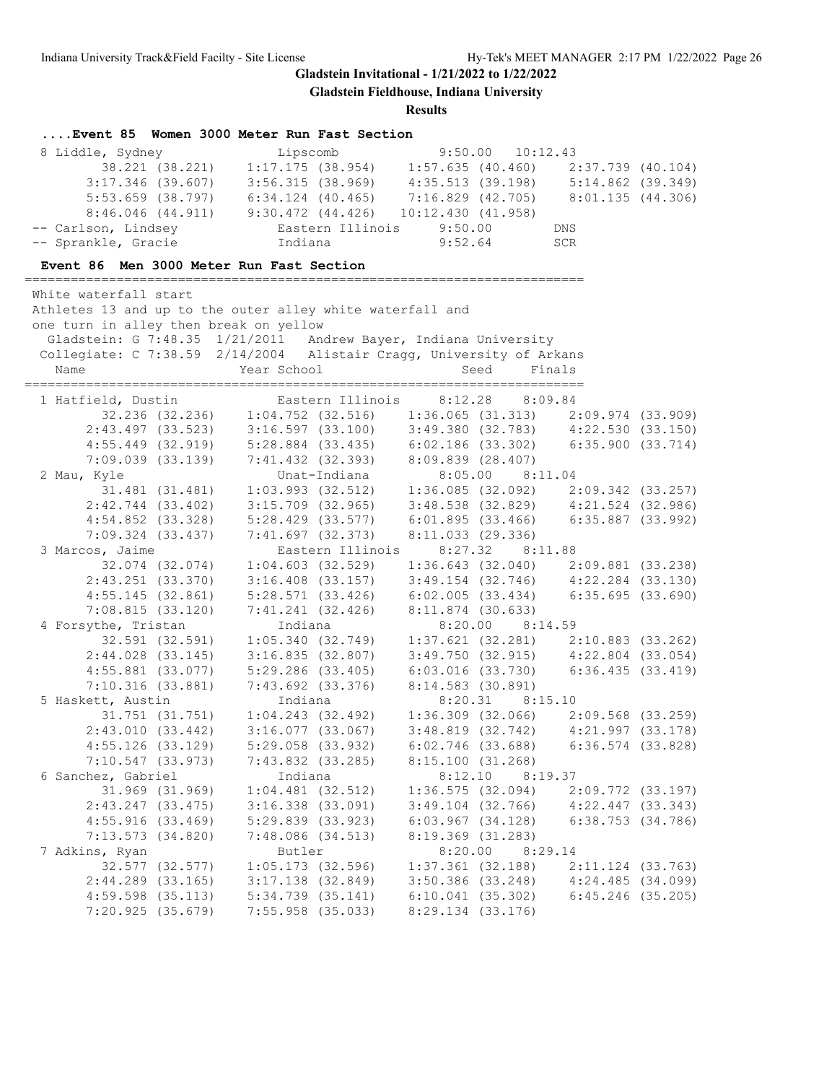**Gladstein Fieldhouse, Indiana University**

| Event 85 Women 3000 Meter Run Fast Section                           |                                                                                                                                                                                                                                      |                                                                                                                |                       |                     |                                         |  |
|----------------------------------------------------------------------|--------------------------------------------------------------------------------------------------------------------------------------------------------------------------------------------------------------------------------------|----------------------------------------------------------------------------------------------------------------|-----------------------|---------------------|-----------------------------------------|--|
| 8 Liddle, Sydney                                                     |                                                                                                                                                                                                                                      |                                                                                                                |                       |                     |                                         |  |
|                                                                      |                                                                                                                                                                                                                                      |                                                                                                                |                       |                     |                                         |  |
|                                                                      |                                                                                                                                                                                                                                      |                                                                                                                |                       |                     |                                         |  |
|                                                                      | %1e, Sydney<br>38.221 (38.221) 1:17.175 (38.954) 1:57.635 (40.460) 2:37.739 (40.104)<br>3:17.346 (39.607) 3:56.315 (38.969) 4:35.513 (39.198) 5:14.862 (39.349)<br>5:53.659 (38.797) 6:34.124 (40.465) 7:16.829 (42.705) 8:01.135 (4 |                                                                                                                |                       |                     |                                         |  |
|                                                                      | $8:46.046$ (44.911) 9:30.472 (44.426) 10:12.430 (41.958)                                                                                                                                                                             |                                                                                                                |                       |                     |                                         |  |
| -- Carlson, Lindsey                                                  |                                                                                                                                                                                                                                      | Eastern Illinois 9:50.00                                                                                       |                       |                     | DNS                                     |  |
| -- Sprankle, Gracie                                                  | Indiana                                                                                                                                                                                                                              |                                                                                                                |                       | $9:52.64$ SCR       |                                         |  |
| Event 86 Men 3000 Meter Run Fast Section                             |                                                                                                                                                                                                                                      |                                                                                                                |                       |                     |                                         |  |
|                                                                      |                                                                                                                                                                                                                                      |                                                                                                                |                       |                     |                                         |  |
| White waterfall start                                                |                                                                                                                                                                                                                                      |                                                                                                                |                       |                     |                                         |  |
| Athletes 13 and up to the outer alley white waterfall and            |                                                                                                                                                                                                                                      |                                                                                                                |                       |                     |                                         |  |
| one turn in alley then break on yellow                               |                                                                                                                                                                                                                                      |                                                                                                                |                       |                     |                                         |  |
|                                                                      | Gladstein: G 7:48.35 1/21/2011 Andrew Bayer, Indiana University                                                                                                                                                                      |                                                                                                                |                       |                     |                                         |  |
| Collegiate: C 7:38.59 2/14/2004 Alistair Cragg, University of Arkans |                                                                                                                                                                                                                                      |                                                                                                                |                       |                     |                                         |  |
| Name                                                                 | Year School                                                                                                                                                                                                                          |                                                                                                                | Seed                  |                     | Finals                                  |  |
|                                                                      |                                                                                                                                                                                                                                      |                                                                                                                |                       |                     |                                         |  |
|                                                                      |                                                                                                                                                                                                                                      |                                                                                                                |                       |                     |                                         |  |
|                                                                      |                                                                                                                                                                                                                                      |                                                                                                                |                       |                     |                                         |  |
|                                                                      |                                                                                                                                                                                                                                      |                                                                                                                |                       |                     |                                         |  |
|                                                                      |                                                                                                                                                                                                                                      |                                                                                                                |                       |                     |                                         |  |
|                                                                      | 7:09.039 (33.139) 7:41.432 (32.393) 8:09.839 (28.407)                                                                                                                                                                                |                                                                                                                |                       |                     |                                         |  |
| 2 Mau, Kyle                                                          |                                                                                                                                                                                                                                      |                                                                                                                |                       |                     |                                         |  |
|                                                                      | Exyle Unat-Indiana 8:05.00 8:11.04<br>31.481 (31.481) 1:03.993 (32.512) 1:36.085 (32.092) 2:09.342 (33.257)                                                                                                                          |                                                                                                                |                       |                     |                                         |  |
| $2:42.744$ (33.402)                                                  |                                                                                                                                                                                                                                      |                                                                                                                |                       |                     |                                         |  |
| $4:54.852$ $(33.328)$                                                |                                                                                                                                                                                                                                      | 3:15.709 (32.965) 3:48.538 (32.829) 4:21.524 (32.986)<br>5:28.429 (33.577) 6:01.895 (33.466) 6:35.887 (33.992) |                       |                     |                                         |  |
| 7:09.324 (33.437)                                                    | 7:41.697 (32.373)                                                                                                                                                                                                                    |                                                                                                                | 8:11.033 (29.336)     |                     |                                         |  |
| 3 Marcos, Jaime                                                      |                                                                                                                                                                                                                                      | Eastern Illinois                                                                                               |                       | $8:27.32$ $8:11.88$ |                                         |  |
| 32.074 (32.074)                                                      |                                                                                                                                                                                                                                      | $1:04.603$ (32.529)                                                                                            |                       |                     | $1:36.643$ (32.040) 2:09.881 (33.238)   |  |
| $2:43.251$ (33.370)                                                  | $3:16.408$ $(33.157)$                                                                                                                                                                                                                |                                                                                                                |                       |                     | $3:49.154$ (32.746) $4:22.284$ (33.130) |  |
| 4:55.145(32.861)                                                     | 5:28.571 (33.426)                                                                                                                                                                                                                    |                                                                                                                |                       |                     | $6:02.005$ (33.434) $6:35.695$ (33.690) |  |
| 7:08.815(33.120)                                                     | 7:41.241(32.426)                                                                                                                                                                                                                     |                                                                                                                | $8:11.874$ (30.633)   |                     |                                         |  |
| 4 Forsythe, Tristan                                                  | Indiana                                                                                                                                                                                                                              |                                                                                                                |                       | 8:20.00 8:14.59     |                                         |  |
|                                                                      | 32.591 (32.591) 1:05.340 (32.749) 1:37.621 (32.281) 2:10.883 (33.262)                                                                                                                                                                |                                                                                                                |                       |                     |                                         |  |
|                                                                      | $2:44.028$ (33.145) 3:16.835 (32.807)                                                                                                                                                                                                |                                                                                                                |                       |                     | $3:49.750$ (32.915) $4:22.804$ (33.054) |  |
| $4:55.881$ (33.077)                                                  | 5:29.286 (33.405)                                                                                                                                                                                                                    |                                                                                                                |                       |                     | $6:03.016$ (33.730) $6:36.435$ (33.419) |  |
| 7:10.316(33.881)                                                     |                                                                                                                                                                                                                                      | 7:43.692 (33.376) 8:14.583 (30.891)                                                                            |                       |                     |                                         |  |
| 5 Haskett, Austin                                                    | Indiana<br>t, Austin 1.04.243 (32.492) 1:36.309 (32.066) 2:09.568 (33.259)                                                                                                                                                           |                                                                                                                |                       | 8:20.31 8:15.10     |                                         |  |
|                                                                      |                                                                                                                                                                                                                                      |                                                                                                                |                       |                     |                                         |  |
| 2:43.010(33.442)                                                     |                                                                                                                                                                                                                                      | $3:16.077$ (33.067)                                                                                            |                       |                     | $3:48.819$ (32.742) $4:21.997$ (33.178) |  |
| $4:55.126$ (33.129)                                                  | 5:29.058 (33.932)                                                                                                                                                                                                                    |                                                                                                                | $6:02.746$ (33.688)   |                     | $6:36.574$ (33.828)                     |  |
| 7:10.547(33.973)                                                     | $7:43.832$ $(33.285)$                                                                                                                                                                                                                |                                                                                                                | 8:15.100 (31.268)     |                     |                                         |  |
| 6 Sanchez, Gabriel                                                   | Indiana                                                                                                                                                                                                                              |                                                                                                                | 8:12.10               | 8:19.37             |                                         |  |
| 31.969 (31.969)                                                      | $1:04.481$ (32.512)                                                                                                                                                                                                                  |                                                                                                                | 1:36.575(32.094)      |                     | $2:09.772$ (33.197)                     |  |
| $2:43.247$ (33.475)                                                  | 3:16.338 (33.091)                                                                                                                                                                                                                    |                                                                                                                | $3:49.104$ (32.766)   |                     | $4:22.447$ (33.343)                     |  |
| 4:55.916(33.469)                                                     | 5:29.839(33.923)                                                                                                                                                                                                                     |                                                                                                                | $6:03.967$ $(34.128)$ |                     | $6:38.753$ $(34.786)$                   |  |
| 7:13.573(34.820)                                                     | 7:48.086(34.513)                                                                                                                                                                                                                     |                                                                                                                | 8:19.369(31.283)      |                     |                                         |  |
| 7 Adkins, Ryan                                                       | Butler                                                                                                                                                                                                                               |                                                                                                                |                       | $8:20.00$ $8:29.14$ |                                         |  |
| 32.577 (32.577)                                                      | $1:05.173$ (32.596)                                                                                                                                                                                                                  |                                                                                                                | $1:37.361$ (32.188)   |                     | $2:11.124$ (33.763)                     |  |
| $2:44.289$ (33.165)                                                  | $3:17.138$ $(32.849)$                                                                                                                                                                                                                |                                                                                                                | $3:50.386$ $(33.248)$ |                     | 4:24.485(34.099)                        |  |
| $4:59.598$ (35.113)                                                  | $5:34.739$ $(35.141)$                                                                                                                                                                                                                |                                                                                                                | $6:10.041$ (35.302)   |                     | $6:45.246$ (35.205)                     |  |
| 7:20.925(35.679)                                                     | 7:55.958 (35.033)                                                                                                                                                                                                                    |                                                                                                                | 8:29.134 (33.176)     |                     |                                         |  |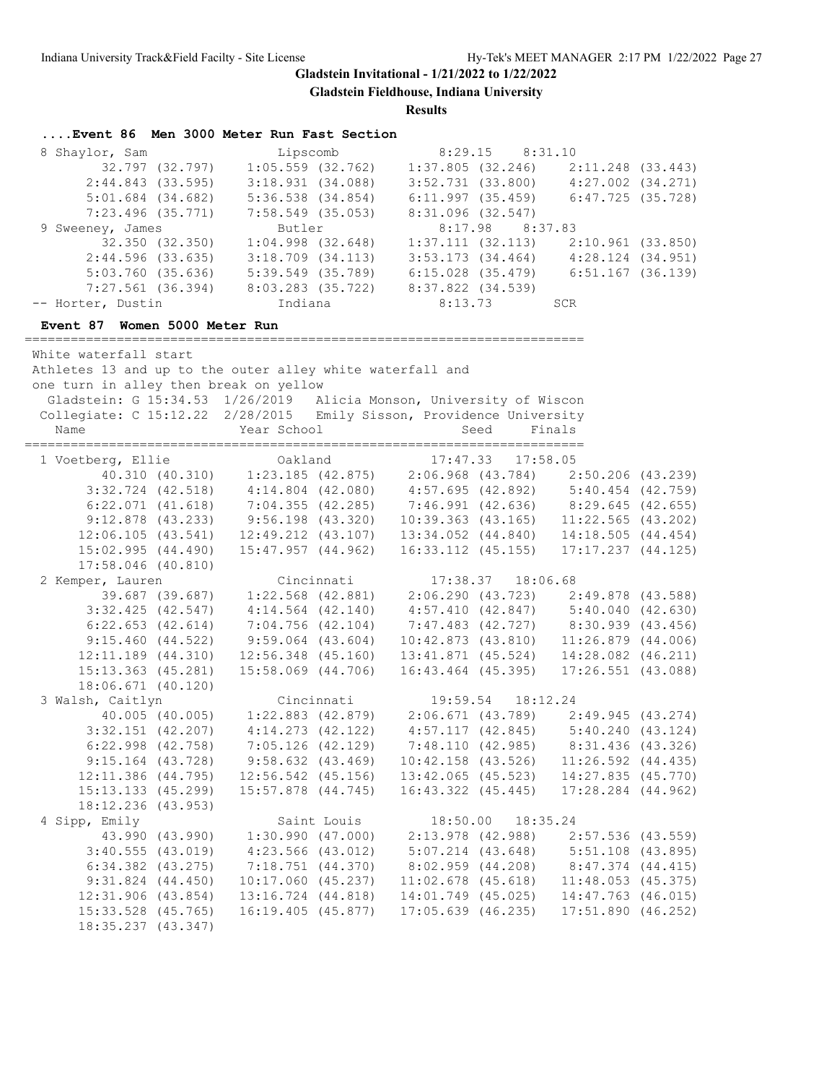**Gladstein Fieldhouse, Indiana University**

| Event 86 Men 3000 Meter Run Fast Section                                                                               |                  |                                                                                                                                                                                                                                                                                          |                     |                        |                     |                                                                                  |  |
|------------------------------------------------------------------------------------------------------------------------|------------------|------------------------------------------------------------------------------------------------------------------------------------------------------------------------------------------------------------------------------------------------------------------------------------------|---------------------|------------------------|---------------------|----------------------------------------------------------------------------------|--|
| 8 Shaylor, Sam                                                                                                         |                  | Lipscomb                                                                                                                                                                                                                                                                                 |                     |                        | $8:29.15$ $8:31.10$ |                                                                                  |  |
|                                                                                                                        | 32.797 (32.797)  |                                                                                                                                                                                                                                                                                          | $1:05.559$ (32.762) |                        |                     |                                                                                  |  |
|                                                                                                                        | 2:44.843(33.595) | 3:18.931(34.088)                                                                                                                                                                                                                                                                         |                     |                        |                     | $1:37.805$ (32.246) $2:11.248$ (33.443)<br>3:52.731 (33.800) $4:27.002$ (34.271) |  |
|                                                                                                                        |                  | $5:01.684$ (34.682) $5:36.538$ (34.854)                                                                                                                                                                                                                                                  |                     |                        |                     | $6:11.997$ (35.459) $6:47.725$ (35.728)                                          |  |
| $7:23.496$ (35.771)                                                                                                    |                  | $7:58.549$ (35.053)                                                                                                                                                                                                                                                                      |                     | 8:31.096(32.547)       |                     |                                                                                  |  |
| 9 Sweeney, James                                                                                                       |                  | Butler                                                                                                                                                                                                                                                                                   |                     |                        | 8:17.98 8:37.83     |                                                                                  |  |
|                                                                                                                        | 32.350 (32.350)  | $1:04.998$ $(32.648)$                                                                                                                                                                                                                                                                    |                     |                        |                     | $1:37.111$ $(32.113)$ $2:10.961$ $(33.850)$                                      |  |
|                                                                                                                        |                  |                                                                                                                                                                                                                                                                                          |                     |                        |                     |                                                                                  |  |
|                                                                                                                        |                  | 2:44.596 (33.635) 3:18.709 (34.113) 3:53.173 (34.464) 4:28.124 (34.951)<br>5:03.760 (35.636) 5:39.549 (35.789) 6:15.028 (35.479) 6:51.167 (36.139)                                                                                                                                       |                     |                        |                     |                                                                                  |  |
|                                                                                                                        |                  | 7:27.561 (36.394) 8:03.283 (35.722) 8:37.822 (34.539)                                                                                                                                                                                                                                    |                     |                        |                     |                                                                                  |  |
| -- Horter, Dustin                                                                                                      |                  | Indiana                                                                                                                                                                                                                                                                                  |                     | 8:13.73                | <b>SCR</b>          |                                                                                  |  |
|                                                                                                                        |                  |                                                                                                                                                                                                                                                                                          |                     |                        |                     |                                                                                  |  |
| Event 87 Women 5000 Meter Run                                                                                          |                  |                                                                                                                                                                                                                                                                                          |                     |                        |                     |                                                                                  |  |
| White waterfall start                                                                                                  |                  |                                                                                                                                                                                                                                                                                          |                     |                        |                     |                                                                                  |  |
| Athletes 13 and up to the outer alley white waterfall and                                                              |                  |                                                                                                                                                                                                                                                                                          |                     |                        |                     |                                                                                  |  |
| one turn in alley then break on yellow                                                                                 |                  |                                                                                                                                                                                                                                                                                          |                     |                        |                     |                                                                                  |  |
| Gladstein: G 15:34.53 1/26/2019 Alicia Monson, University of Wiscon                                                    |                  |                                                                                                                                                                                                                                                                                          |                     |                        |                     |                                                                                  |  |
| Collegiate: C 15:12.22 2/28/2015 Emily Sisson, Providence University                                                   |                  |                                                                                                                                                                                                                                                                                          |                     |                        |                     |                                                                                  |  |
| Name                                                                                                                   |                  | Year School                                                                                                                                                                                                                                                                              |                     |                        | Seed                | Finals                                                                           |  |
|                                                                                                                        |                  |                                                                                                                                                                                                                                                                                          |                     |                        |                     |                                                                                  |  |
| 1 Voetberg, Ellie and Oakland                                                                                          |                  |                                                                                                                                                                                                                                                                                          |                     | 17:47.33 17:58.05      |                     |                                                                                  |  |
|                                                                                                                        |                  | 40.310 (40.310) 1:23.185 (42.875) 2:06.968 (43.784) 2:50.206 (43.239)                                                                                                                                                                                                                    |                     |                        |                     |                                                                                  |  |
|                                                                                                                        |                  | 3:32.724 (42.518) $4:14.804$ (42.080) $4:57.695$ (42.892) $5:40.454$ (42.759)                                                                                                                                                                                                            |                     |                        |                     |                                                                                  |  |
|                                                                                                                        |                  |                                                                                                                                                                                                                                                                                          |                     |                        |                     |                                                                                  |  |
|                                                                                                                        |                  | $\begin{array}{cccccc} 6:22.071 & (41.618) & 7:04.355 & (42.285) & 7:46.991 & (42.636) & 8:29.645 & (42.655) \\ 9:12.878 & (43.233) & 9:56.198 & (43.320) & 10:39.363 & (43.165) & 11:22.565 & (43.202) \\ 12:06.105 & (43.541) & 12:49.212 & (43.107) & 13:34.052 & (44.840$            |                     |                        |                     |                                                                                  |  |
|                                                                                                                        |                  |                                                                                                                                                                                                                                                                                          |                     |                        |                     |                                                                                  |  |
| 15:02.995(44.490)                                                                                                      |                  |                                                                                                                                                                                                                                                                                          |                     |                        |                     | 15:47.957 (44.962) 16:33.112 (45.155) 17:17.237 (44.125)                         |  |
| $17:58.046$ (40.810)                                                                                                   |                  |                                                                                                                                                                                                                                                                                          |                     |                        |                     |                                                                                  |  |
| 2 Kemper, Lauren                                                                                                       |                  |                                                                                                                                                                                                                                                                                          | Cincinnati          |                        | 17:38.37  18:06.68  |                                                                                  |  |
|                                                                                                                        |                  |                                                                                                                                                                                                                                                                                          |                     |                        |                     |                                                                                  |  |
| $3:32.425$ (42.547)                                                                                                    |                  | $\begin{array}{cccccc} 39.687 & (39.687) & 1:22.568 & (42.881) & 2:06.290 & (43.723) & 2:49.878 & (43.588) \\ \textbf{32.425} & (42.547) & 4:14.564 & (42.140) & 4:57.410 & (42.847) & 5:40.040 & (42.630) \\ \textbf{32.653} & (42.614) & 7:04.756 & (42.104) & 7:47.483 & (42.727) & $ |                     |                        |                     |                                                                                  |  |
| $6:22.653$ $(42.614)$                                                                                                  |                  |                                                                                                                                                                                                                                                                                          |                     |                        |                     |                                                                                  |  |
| $9:15.460$ (44.522)                                                                                                    |                  | $9:59.064$ $(43.604)$                                                                                                                                                                                                                                                                    |                     |                        |                     | 10:42.873 (43.810) 11:26.879 (44.006)                                            |  |
|                                                                                                                        |                  |                                                                                                                                                                                                                                                                                          |                     |                        |                     | 13:41.871 (45.524) 14:28.082 (46.211)                                            |  |
| $12:11.189$ $(44.310)$<br>15:13.363 (45.281)                                                                           |                  | $12:56.348$ $(45.160)$                                                                                                                                                                                                                                                                   |                     |                        |                     |                                                                                  |  |
|                                                                                                                        |                  | 15:58.069 (44.706)                                                                                                                                                                                                                                                                       |                     |                        |                     | 16:43.464 (45.395) 17:26.551 (43.088)                                            |  |
| 18:06.671 (40.120)                                                                                                     |                  |                                                                                                                                                                                                                                                                                          |                     |                        |                     |                                                                                  |  |
| 3 Walsh, Caitlyn Cincinnati 19:59.54 18:12.24<br>40.005 (40.005) 1:22.883 (42.879) 2:06.671 (43.789) 2:49.945 (43.274) |                  |                                                                                                                                                                                                                                                                                          |                     |                        |                     |                                                                                  |  |
|                                                                                                                        |                  | $4:14.273$ $(42.122)$                                                                                                                                                                                                                                                                    |                     |                        |                     |                                                                                  |  |
| $3:32.151$ $(42.207)$                                                                                                  |                  |                                                                                                                                                                                                                                                                                          |                     |                        |                     | $4:57.117$ (42.845) $5:40.240$ (43.124)                                          |  |
| $6:22.998$ $(42.758)$                                                                                                  |                  | $7:05.126$ (42.129)                                                                                                                                                                                                                                                                      |                     | 7:48.110(42.985)       |                     | 8:31.436 (43.326)                                                                |  |
| $9:15.164$ (43.728)                                                                                                    |                  | $9:58.632$ $(43.469)$                                                                                                                                                                                                                                                                    |                     | $10:42.158$ $(43.526)$ |                     | $11:26.592$ $(44.435)$                                                           |  |
| $12:11.386$ (44.795)                                                                                                   |                  | $12:56.542$ (45.156)                                                                                                                                                                                                                                                                     |                     | $13:42.065$ (45.523)   |                     | 14:27.835 (45.770)                                                               |  |
| 15:13.133 (45.299)                                                                                                     |                  | $15:57.878$ $(44.745)$                                                                                                                                                                                                                                                                   |                     | $16:43.322$ $(45.445)$ |                     | 17:28.284 (44.962)                                                               |  |
| 18:12.236 (43.953)                                                                                                     |                  |                                                                                                                                                                                                                                                                                          |                     |                        |                     |                                                                                  |  |
| 4 Sipp, Emily                                                                                                          |                  |                                                                                                                                                                                                                                                                                          | Saint Louis         | 18:50.00               |                     | 18:35.24                                                                         |  |
|                                                                                                                        | 43.990 (43.990)  | 1:30.990(47.000)                                                                                                                                                                                                                                                                         |                     | $2:13.978$ (42.988)    |                     | $2:57.536$ (43.559)                                                              |  |
| 3:40.555(43.019)                                                                                                       |                  | $4:23.566$ $(43.012)$                                                                                                                                                                                                                                                                    |                     | $5:07.214$ $(43.648)$  |                     | 5:51.108 (43.895)                                                                |  |
| $6:34.382$ $(43.275)$                                                                                                  |                  | 7:18.751 (44.370)                                                                                                                                                                                                                                                                        |                     | 8:02.959(44.208)       |                     | 8:47.374 (44.415)                                                                |  |
| $9:31.824$ $(44.450)$                                                                                                  |                  | $10:17.060$ (45.237)                                                                                                                                                                                                                                                                     |                     | $11:02.678$ (45.618)   |                     | 11:48.053(45.375)                                                                |  |
| 12:31.906 (43.854)                                                                                                     |                  | 13:16.724 (44.818)                                                                                                                                                                                                                                                                       |                     | 14:01.749 (45.025)     |                     | 14:47.763 (46.015)                                                               |  |
| 15:33.528 (45.765)                                                                                                     |                  | $16:19.405$ (45.877)                                                                                                                                                                                                                                                                     |                     | $17:05.639$ $(46.235)$ |                     | 17:51.890(46.252)                                                                |  |
| 18:35.237 (43.347)                                                                                                     |                  |                                                                                                                                                                                                                                                                                          |                     |                        |                     |                                                                                  |  |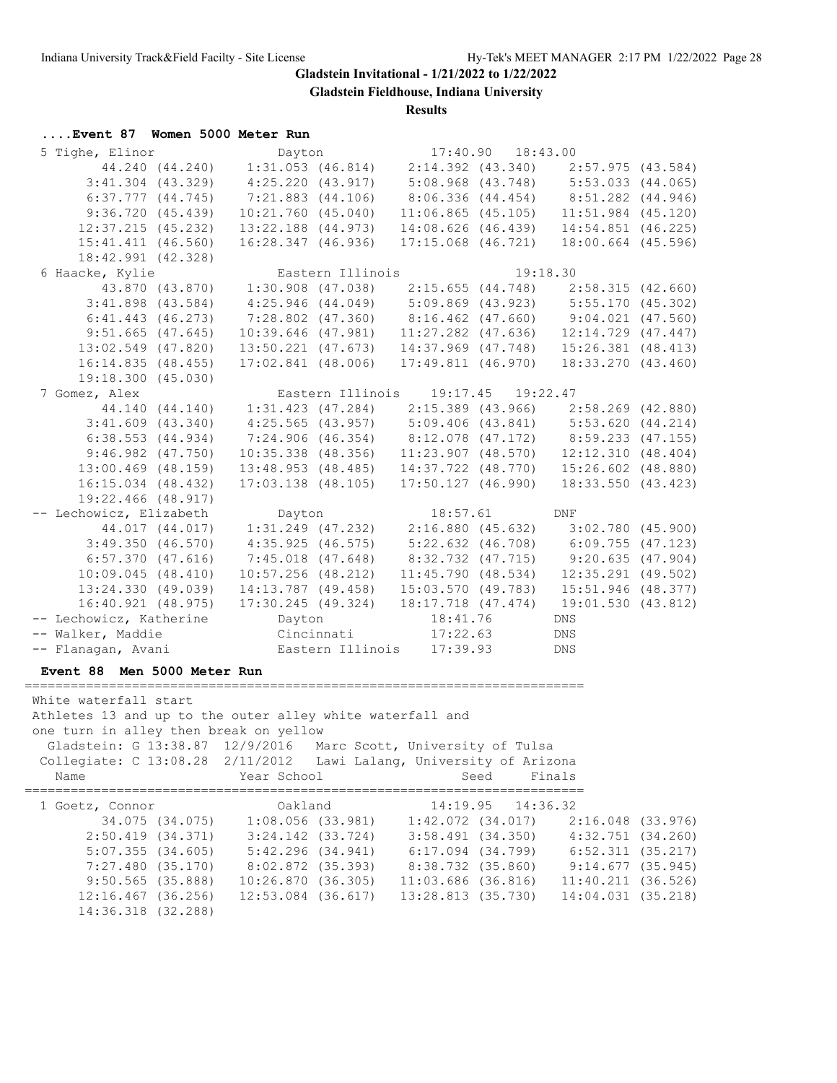**Gladstein Fieldhouse, Indiana University**

**Results**

## **....Event 87 Women 5000 Meter Run**

14:36.318 (32.288)

| 5 Tighe, Elinor                                                     | Dayton                                                                                                                                                                                                                                                                         | 17:40.90  18:43.00                                                             |                       |  |
|---------------------------------------------------------------------|--------------------------------------------------------------------------------------------------------------------------------------------------------------------------------------------------------------------------------------------------------------------------------|--------------------------------------------------------------------------------|-----------------------|--|
|                                                                     | 44.240 (44.240) 1:31.053 (46.814) 2:14.392 (43.340) 2:57.975 (43.584)                                                                                                                                                                                                          |                                                                                |                       |  |
|                                                                     | 3:41.304 (43.329) 4:25.220 (43.917) 5:08.968 (43.748) 5:53.033 (44.065)                                                                                                                                                                                                        |                                                                                |                       |  |
| $6:37.777$ $(44.745)$                                               | $7:21.883$ $(44.106)$                                                                                                                                                                                                                                                          | 8:06.336 (44.454) 8:51.282 (44.946)                                            |                       |  |
| 9:36.720(45.439)                                                    | $10:21.760$ $(45.040)$                                                                                                                                                                                                                                                         | $11:06.865$ (45.105) $11:51.984$ (45.120)                                      |                       |  |
| $12:37.215$ (45.232)                                                | 13:22.188 (44.973)                                                                                                                                                                                                                                                             |                                                                                |                       |  |
| 15:41.411 (46.560)                                                  | 16:28.347 (46.936)                                                                                                                                                                                                                                                             | 14:08.626 (46.439) 14:54.851 (46.225)<br>17:15.068 (46.721) 18:00.664 (45.596) |                       |  |
| 18:42.991 (42.328)                                                  |                                                                                                                                                                                                                                                                                |                                                                                |                       |  |
| 6 Haacke, Kylie                                                     | Eastern Illinois                                                                                                                                                                                                                                                               |                                                                                | 19:18.30              |  |
|                                                                     | 43.870 (43.870) 1:30.908 (47.038) 2:15.655 (44.748) 2:58.315 (42.660)                                                                                                                                                                                                          |                                                                                |                       |  |
|                                                                     |                                                                                                                                                                                                                                                                                |                                                                                |                       |  |
|                                                                     | $\begin{array}{cccccc} 3:41.898 & (43.584) & 4:25.946 & (44.049) & 5:09.869 & (43.923) & 5:55.170 & (45.302) \\ 6:41.443 & (46.273) & 7:28.802 & (47.360) & 8:16.462 & (47.660) & 9:04.021 & (47.560) \\ 9:51.665 & (47.645) & 10:39.646 & (47.981) & 11:27.282 & (47.636) & $ |                                                                                |                       |  |
| $9:51.665$ (47.645)                                                 |                                                                                                                                                                                                                                                                                |                                                                                |                       |  |
| 13:02.549 (47.820)                                                  |                                                                                                                                                                                                                                                                                | 13:50.221 (47.673) 14:37.969 (47.748) 15:26.381 (48.413)                       |                       |  |
| 16:14.835(48.455)                                                   | $17:02.841$ (48.006)                                                                                                                                                                                                                                                           | 17:49.811 (46.970) 18:33.270 (43.460)                                          |                       |  |
| 19:18.300 (45.030)                                                  |                                                                                                                                                                                                                                                                                |                                                                                |                       |  |
| 7 Gomez, Alex                                                       | z, Alex<br>44.140 (44.140) 1:31.423 (47.284) 2:15.389 (43.966) 2:58.269 (42.880)<br>3:41.609 (43.340) 4:25.565 (43.957) 5:09.406 (43.841) 5:53.620 (44.214)<br>6:38.553 (44.934) 7:24.906 (46.354) 8:12.078 (47.172) 8:59.233 (47.15                                           |                                                                                |                       |  |
|                                                                     |                                                                                                                                                                                                                                                                                |                                                                                |                       |  |
| $3:41.609$ $(43.340)$                                               |                                                                                                                                                                                                                                                                                |                                                                                |                       |  |
| 6:38.553(44.934)                                                    |                                                                                                                                                                                                                                                                                |                                                                                |                       |  |
| $9:46.982$ $(47.750)$                                               |                                                                                                                                                                                                                                                                                | 10:35.338 (48.356) 11:23.907 (48.570) 12:12.310 (48.404)                       |                       |  |
| $13:00.469$ (48.159)                                                |                                                                                                                                                                                                                                                                                | 13:48.953 (48.485) 14:37.722 (48.770) 15:26.602 (48.880)                       |                       |  |
| 16:15.034 (48.432)                                                  |                                                                                                                                                                                                                                                                                | 17:03.138 (48.105) 17:50.127 (46.990) 18:33.550 (43.423)                       |                       |  |
| 19:22.466 (48.917)                                                  |                                                                                                                                                                                                                                                                                |                                                                                |                       |  |
| -- Lechowicz, Elizabeth                                             | Dayton                                                                                                                                                                                                                                                                         | 18:57.61 DNF                                                                   |                       |  |
|                                                                     | 44.017 (44.017) 1:31.249 (47.232) 2:16.880 (45.632) 3:02.780 (45.900)                                                                                                                                                                                                          |                                                                                |                       |  |
|                                                                     | 3:49.350 (46.570) 4:35.925 (46.575) 5:22.632 (46.708) 6:09.755 (47.123)                                                                                                                                                                                                        |                                                                                |                       |  |
|                                                                     | $6:57.370$ (47.616) 7:45.018 (47.648) 8:32.732 (47.715) 9:20.635 (47.904)                                                                                                                                                                                                      |                                                                                |                       |  |
| 10:09.045(48.410)                                                   |                                                                                                                                                                                                                                                                                | $10:57.256$ (48.212) $11:45.790$ (48.534) $12:35.291$ (49.502)                 |                       |  |
|                                                                     |                                                                                                                                                                                                                                                                                |                                                                                |                       |  |
|                                                                     | $\begin{array}{cccccc} 13:24.330 & (49.039) & 14:13.787 & (49.458) & 15:03.570 & (49.783) & 15:51.946 & (48.377) \\ 16:40.921 & (48.975) & 17:30.245 & (49.324) & 18:17.718 & (47.474) & 19:01.530 & (43.812) \end{array}$                                                     |                                                                                |                       |  |
| -- Lechowicz, Katherine Dayton                                      |                                                                                                                                                                                                                                                                                | 18:41.76                                                                       | DNS                   |  |
| -- Walker, Maddie Cincinnati 17:22.63                               |                                                                                                                                                                                                                                                                                |                                                                                | DNS                   |  |
| -- Flanagan, Avani           Eastern Illinois   17:39.93            |                                                                                                                                                                                                                                                                                |                                                                                | <b>DNS</b>            |  |
| Event 88 Men 5000 Meter Run                                         |                                                                                                                                                                                                                                                                                |                                                                                |                       |  |
|                                                                     |                                                                                                                                                                                                                                                                                |                                                                                |                       |  |
| White waterfall start                                               |                                                                                                                                                                                                                                                                                |                                                                                |                       |  |
| Athletes 13 and up to the outer alley white waterfall and           |                                                                                                                                                                                                                                                                                |                                                                                |                       |  |
| one turn in alley then break on yellow                              |                                                                                                                                                                                                                                                                                |                                                                                |                       |  |
| Gladstein: G 13:38.87 12/9/2016 Marc Scott, University of Tulsa     |                                                                                                                                                                                                                                                                                |                                                                                |                       |  |
| Collegiate: C 13:08.28 2/11/2012 Lawi Lalang, University of Arizona |                                                                                                                                                                                                                                                                                |                                                                                |                       |  |
| Name                                                                | Year School                                                                                                                                                                                                                                                                    | Seed                                                                           | Finals                |  |
| 1 Goetz, Connor                                                     | Oakland                                                                                                                                                                                                                                                                        | 14:19.95                                                                       | 14:36.32              |  |
| 34.075 (34.075)                                                     | $1:08.056$ (33.981)                                                                                                                                                                                                                                                            | $1:42.072$ $(34.017)$                                                          | $2:16.048$ (33.976)   |  |
| 2:50.419 (34.371)                                                   | $3:24.142$ $(33.724)$                                                                                                                                                                                                                                                          | 3:58.491(34.350)                                                               | $4:32.751$ $(34.260)$ |  |
| 5:07.355(34.605)                                                    | 5:42.296(34.941)                                                                                                                                                                                                                                                               | $6:17.094$ $(34.799)$                                                          | $6:52.311$ $(35.217)$ |  |
| 7:27.480(35.170)                                                    | 8:02.872 (35.393)                                                                                                                                                                                                                                                              | 8:38.732 (35.860)                                                              | 9:14.677(35.945)      |  |
| 9:50.565 (35.888)                                                   | 10:26.870 (36.305)                                                                                                                                                                                                                                                             | 11:03.686 (36.816)                                                             | $11:40.211$ (36.526)  |  |
|                                                                     |                                                                                                                                                                                                                                                                                |                                                                                |                       |  |

12:16.467 (36.256) 12:53.084 (36.617) 13:28.813 (35.730) 14:04.031 (35.218)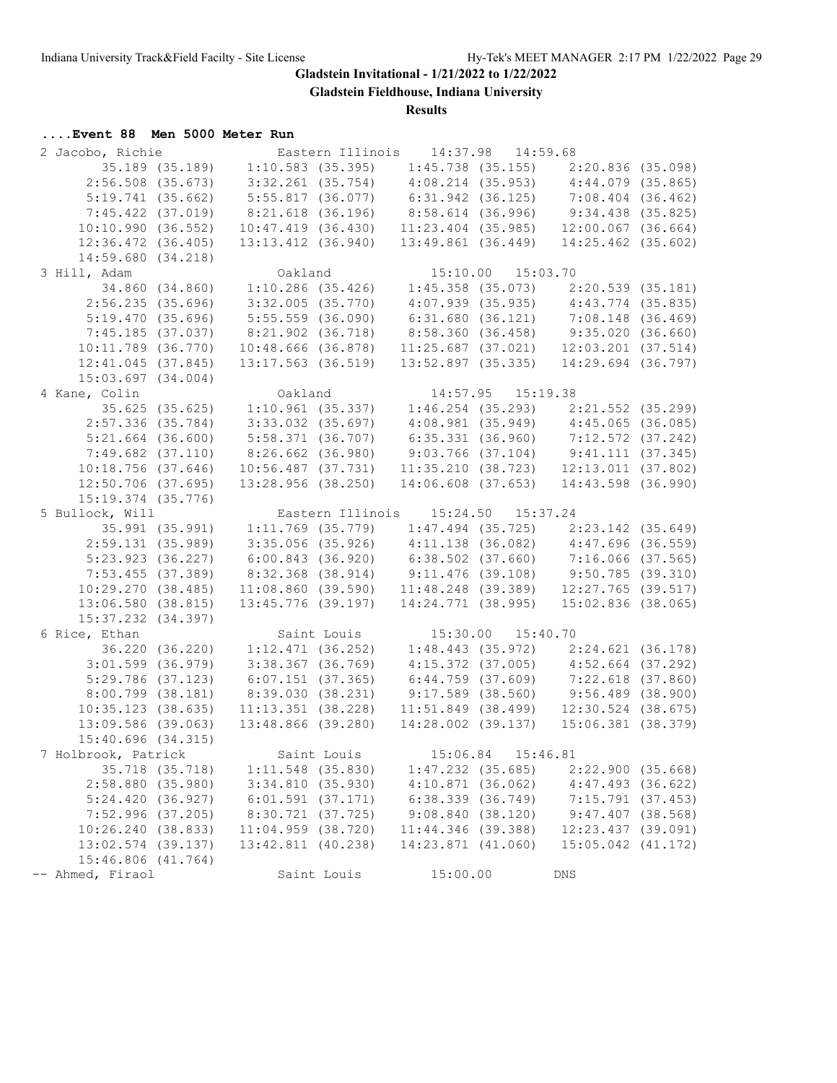**Gladstein Fieldhouse, Indiana University**

**Results**

# **....Event 88 Men 5000 Meter Run**

| 2 Jacobo, Richie <b>Eastern Illinois</b> 14:37.98 14:59.68            |                                                                                                                                                                                                                           |                                                          |                        |  |
|-----------------------------------------------------------------------|---------------------------------------------------------------------------------------------------------------------------------------------------------------------------------------------------------------------------|----------------------------------------------------------|------------------------|--|
|                                                                       | 35.189 (35.189) 1:10.583 (35.395) 1:45.738 (35.155) 2:20.836 (35.098)                                                                                                                                                     |                                                          |                        |  |
| $2:56.508$ (35.673)                                                   | $3:32.261$ (35.754) $4:08.214$ (35.953) $4:44.079$ (35.865)                                                                                                                                                               |                                                          |                        |  |
| 5:19.741(35.662)                                                      | 5:55.817 (36.077) 6:31.942 (36.125) 7:08.404 (36.462)<br>8:21.618 (36.196) 8:58.614 (36.996) 9:34.438 (35.825)<br>10:47.419 (36.430) 11:23.404 (35.985) 12:00.067 (36.664)                                                |                                                          |                        |  |
| $7:45.422$ $(37.019)$                                                 |                                                                                                                                                                                                                           |                                                          |                        |  |
| 10:10.990(36.552)                                                     |                                                                                                                                                                                                                           |                                                          |                        |  |
| 12:36.472 (36.405)                                                    |                                                                                                                                                                                                                           | 13:13.412 (36.940) 13:49.861 (36.449) 14:25.462 (35.602) |                        |  |
| 14:59.680(34.218)                                                     |                                                                                                                                                                                                                           |                                                          |                        |  |
| 3 Hill, Adam                                                          | Oakland                                                                                                                                                                                                                   | 15:10.00  15:03.70                                       |                        |  |
|                                                                       |                                                                                                                                                                                                                           |                                                          |                        |  |
| 2:56.235(35.696)                                                      | 34.860 (34.860) 1:10.286 (35.426) 1:45.358 (35.073) 2:20.539 (35.181)<br>:56.235 (35.696) 3:32.005 (35.770) 4:07.939 (35.935) 4:43.774 (35.835)<br>:19.470 (35.696) 5:55.559 (36.090) 6:31.680 (36.121) 7:08.148 (36.469) |                                                          |                        |  |
| 5:19.470(35.696)                                                      |                                                                                                                                                                                                                           |                                                          |                        |  |
|                                                                       | 7:45.185 (37.037) 8:21.902 (36.718) 8:58.360 (36.458) 9:35.020 (36.660)                                                                                                                                                   |                                                          |                        |  |
| $10:11.789$ (36.770)                                                  |                                                                                                                                                                                                                           | 10:48.666 (36.878) 11:25.687 (37.021) 12:03.201 (37.514) |                        |  |
| 12:41.045(37.845)                                                     |                                                                                                                                                                                                                           | 13:17.563 (36.519) 13:52.897 (35.335) 14:29.694 (36.797) |                        |  |
| 15:03.697(34.004)                                                     |                                                                                                                                                                                                                           |                                                          |                        |  |
| 4 Kane, Colin                                                         |                                                                                                                                                                                                                           |                                                          |                        |  |
|                                                                       | Colin 0akland 14:57.95 15:19.38<br>35.625 (35.625) 1:10.961 (35.337) 1:46.254 (35.293) 2:21.552 (35.299)                                                                                                                  |                                                          |                        |  |
|                                                                       | 2:57.336 (35.784) 3:33.032 (35.697) 4:08.981 (35.949) 4:45.065 (36.085)                                                                                                                                                   |                                                          |                        |  |
|                                                                       | 5:21.664 (36.600) 5:58.371 (36.707) 6:35.331 (36.960) 7:12.572 (37.242)                                                                                                                                                   |                                                          |                        |  |
| $7:49.682$ $(37.110)$                                                 | $8:26.662$ (36.980) 9:03.766 (37.104) 9:41.111 (37.345)                                                                                                                                                                   |                                                          |                        |  |
|                                                                       |                                                                                                                                                                                                                           |                                                          |                        |  |
|                                                                       | $10:18.756$ (37.646) $10:56.487$ (37.731) $11:35.210$ (38.723) $12:13.011$ (37.802)<br>$12:50.706$ (37.695) $13:28.956$ (38.250) $14:06.608$ (37.653) $14:43.598$ (36.990)                                                |                                                          |                        |  |
| $15:19.374$ (35.776)                                                  |                                                                                                                                                                                                                           |                                                          |                        |  |
| 5 Bullock, Will                                                       |                                                                                                                                                                                                                           | Eastern Illinois 15:24.50 15:37.24                       |                        |  |
| 35.991 (35.991) 1:11.769 (35.779) 1:47.494 (35.725) 2:23.142 (35.649) |                                                                                                                                                                                                                           |                                                          |                        |  |
|                                                                       | $2:59.131$ (35.989) 3:35.056 (35.926) 4:11.138 (36.082) 4:47.696 (36.559)                                                                                                                                                 |                                                          |                        |  |
| 5:23.923 (36.227)                                                     |                                                                                                                                                                                                                           |                                                          |                        |  |
| 7:53.455 (37.389)                                                     |                                                                                                                                                                                                                           |                                                          |                        |  |
| 10:29.270(38.485)                                                     | $6:00.843$ (36.920) $6:38.502$ (37.660) 7:16.066 (37.565)<br>8:32.368 (38.914) 9:11.476 (39.108) 9:50.785 (39.310)<br>11:08.860 (39.590) 11:48.248 (39.389) 12:27.765 (39.517)                                            |                                                          |                        |  |
|                                                                       | 13:06.580 (38.815) 13:45.776 (39.197) 14:24.771 (38.995) 15:02.836 (38.065)                                                                                                                                               |                                                          |                        |  |
| 15:37.232 (34.397)                                                    |                                                                                                                                                                                                                           |                                                          |                        |  |
| 6 Rice, Ethan                                                         |                                                                                                                                                                                                                           |                                                          |                        |  |
|                                                                       |                                                                                                                                                                                                                           | Saint Louis 15:30.00 15:40.70                            |                        |  |
| $3:01.599$ (36.979)                                                   | 36.220 (36.220) 1:12.471 (36.252) 1:48.443 (35.972) 2:24.621 (36.178)<br>:01.599 (36.979) 3:38.367 (36.769) 4:15.372 (37.005) 4:52.664 (37.292)<br>:29.786 (37.123) 6:07.151 (37.365) 6:44.759 (37.609) 7:22.618 (37.860) |                                                          |                        |  |
| $5:29.786$ (37.123)                                                   |                                                                                                                                                                                                                           |                                                          |                        |  |
| $8:00.799$ (38.181)                                                   | $8:39.030$ (38.231) 9:17.589 (38.560) 9:56.489 (38.900)                                                                                                                                                                   |                                                          |                        |  |
| 10:35.123(38.635)                                                     | $11:13.351$ (38.228)                                                                                                                                                                                                      | $11:51.849$ (38.499) $12:30.524$ (38.675)                |                        |  |
| $13:09.586$ (39.063)                                                  | 13:48.866 (39.280)                                                                                                                                                                                                        | 14:28.002 (39.137) 15:06.381 (38.379)                    |                        |  |
|                                                                       |                                                                                                                                                                                                                           |                                                          |                        |  |
| 15:40.696(34.315)<br>7 Holbrook, Patrick                              |                                                                                                                                                                                                                           |                                                          |                        |  |
|                                                                       | Saint Louis                                                                                                                                                                                                               | 15:06.84  15:46.81                                       |                        |  |
| 35.718 (35.718)                                                       | $1:11.548$ (35.830)                                                                                                                                                                                                       | $1:47.232$ $(35.685)$                                    | 2:22.900(35.668)       |  |
| 2:58.880(35.980)                                                      | 3:34.810(35.930)                                                                                                                                                                                                          | 4:10.871(36.062)                                         | $4:47.493$ (36.622)    |  |
| 5:24.420(36.927)                                                      | 6:01.591(37.171)                                                                                                                                                                                                          | $6:38.339$ $(36.749)$                                    | $7:15.791$ (37.453)    |  |
| 7:52.996(37.205)                                                      | 8:30.721 (37.725)                                                                                                                                                                                                         | 9:08.840(38.120)                                         | $9:47.407$ (38.568)    |  |
| 10:26.240 (38.833)                                                    | $11:04.959$ (38.720)                                                                                                                                                                                                      | 11:44.346 (39.388)                                       | 12:23.437 (39.091)     |  |
| 13:02.574 (39.137)                                                    | 13:42.811 (40.238)                                                                                                                                                                                                        | $14:23.871$ $(41.060)$                                   | $15:05.042$ $(41.172)$ |  |
| 15:46.806 (41.764)                                                    |                                                                                                                                                                                                                           |                                                          |                        |  |
| -- Ahmed, Firaol                                                      | Saint Louis                                                                                                                                                                                                               | 15:00.00                                                 | <b>DNS</b>             |  |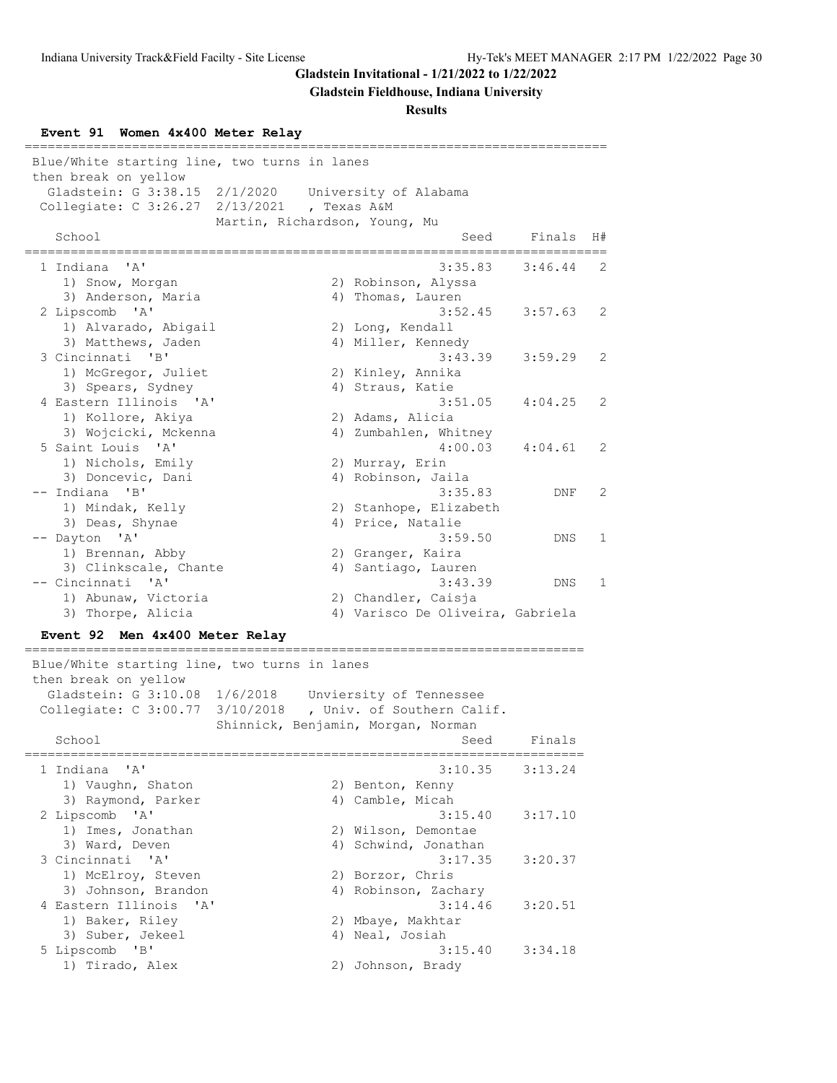**Gladstein Fieldhouse, Indiana University**

**Results**

**Event 91 Women 4x400 Meter Relay**

| Blue/White starting line, two turns in lanes<br>then break on yellow                         |                                                                                                   |    |
|----------------------------------------------------------------------------------------------|---------------------------------------------------------------------------------------------------|----|
| Gladstein: G 3:38.15 2/1/2020<br>Collegiate: $C$ 3:26.27                                     | University of Alabama<br>2/13/2021<br>, Texas A&M                                                 |    |
| School                                                                                       | Martin, Richardson, Young, Mu<br>Finals<br>Seed                                                   | H# |
| ' A'<br>1 Indiana                                                                            | 3:35.83<br>3:46.44                                                                                | 2  |
| 1) Snow, Morgan<br>3) Anderson, Maria<br>2 Lipscomb 'A'                                      | 2) Robinson, Alyssa<br>4) Thomas, Lauren<br>3:52.45<br>3:57.63                                    | 2  |
| 1) Alvarado, Abigail<br>3) Matthews, Jaden<br>3 Cincinnati<br>"B"                            | 2) Long, Kendall<br>4) Miller, Kennedy<br>3:43.39<br>3:59.29                                      | 2  |
| 1) McGregor, Juliet<br>3) Spears, Sydney<br>4 Eastern Illinois 'A'                           | 2) Kinley, Annika<br>4) Straus, Katie<br>3:51.05<br>4:04.25                                       | 2  |
| 1) Kollore, Akiya<br>3) Wojcicki, Mckenna                                                    | 2) Adams, Alicia<br>4) Zumbahlen, Whitney                                                         |    |
| 5 Saint Louis 'A'<br>1) Nichols, Emily<br>3) Doncevic, Dani                                  | 4:00.03<br>4:04.61<br>2) Murray, Erin<br>4) Robinson, Jaila                                       | 2  |
| -- Indiana 'B'<br>1) Mindak, Kelly                                                           | 3:35.83<br>DNF<br>2) Stanhope, Elizabeth                                                          | 2  |
| 3) Deas, Shynae<br>-- Dayton 'A'<br>1) Brennan, Abby                                         | 4) Price, Natalie<br>3:59.50<br>DNS<br>2) Granger, Kaira                                          | 1  |
| 3) Clinkscale, Chante<br>-- Cincinnati<br>$\mathsf{A}$                                       | 4) Santiago, Lauren<br>3:43.39<br>DNS.                                                            | 1  |
| 1) Abunaw, Victoria<br>3) Thorpe, Alicia                                                     | 2) Chandler, Caisja<br>4) Varisco De Oliveira, Gabriela                                           |    |
| Event 92 Men 4x400 Meter Relay                                                               |                                                                                                   |    |
| Blue/White starting line, two turns in lanes<br>then break on yellow<br>Gladstein: G 3:10.08 | 1/6/2018<br>Unviersity of Tennessee<br>Collegiate: C 3:00.77 3/10/2018 , Univ. of Southern Calif. |    |
| School                                                                                       | Shinnick, Benjamin, Morgan, Norman<br>Seed<br>Finals                                              |    |
| 1 Indiana<br>'A'<br>1) Vaughn, Shaton<br>3) Raymond, Parker                                  | 3:10.35<br>3:13.24<br>2) Benton, Kenny                                                            |    |
| 2 Lipscomb 'A'<br>1) Imes, Jonathan                                                          | 4) Camble, Micah<br>3:15.40<br>3:17.10<br>2) Wilson, Demontae                                     |    |
| 3) Ward, Deven<br>3 Cincinnati 'A'<br>1) McElroy, Steven                                     | 4) Schwind, Jonathan<br>3:17.35<br>3:20.37<br>2) Borzor, Chris                                    |    |
| 3) Johnson, Brandon<br>4 Eastern Illinois<br>$\mathsf{A}$<br>1) Baker, Riley                 | 4) Robinson, Zachary<br>3:14.46<br>3:20.51<br>2) Mbaye, Makhtar                                   |    |
| 3) Suber, Jekeel<br>5 Lipscomb 'B'<br>1) Tirado, Alex                                        | 4) Neal, Josiah<br>3:15.40<br>3:34.18                                                             |    |
|                                                                                              | 2) Johnson, Brady                                                                                 |    |